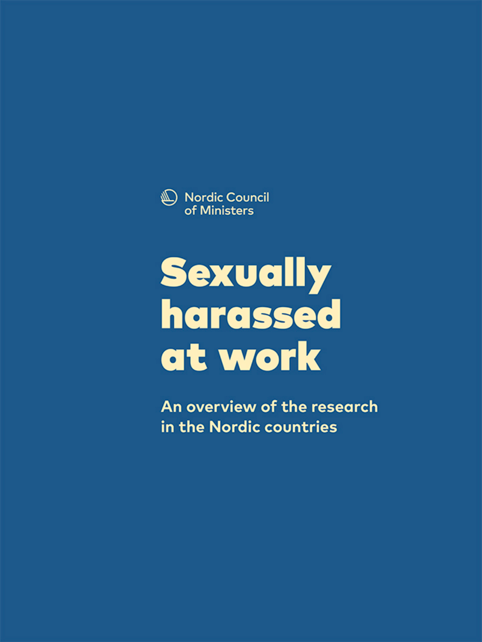

# **Sexually** harassed at work

An overview of the research in the Nordic countries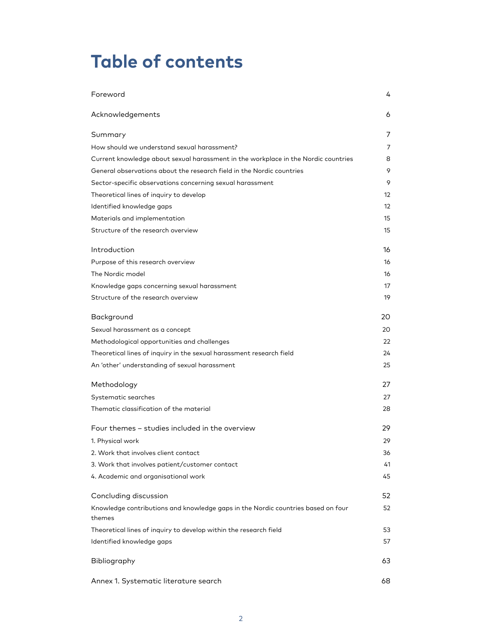# **Table of contents**

| Foreword                                                                                   | 4  |
|--------------------------------------------------------------------------------------------|----|
| Acknowledgements                                                                           | 6  |
| Summary                                                                                    | 7  |
| How should we understand sexual harassment?                                                | 7  |
| Current knowledge about sexual harassment in the workplace in the Nordic countries         | 8  |
| General observations about the research field in the Nordic countries                      | 9  |
| Sector-specific observations concerning sexual harassment                                  | 9  |
| Theoretical lines of inquiry to develop                                                    | 12 |
| Identified knowledge gaps                                                                  | 12 |
| Materials and implementation                                                               | 15 |
| Structure of the research overview                                                         | 15 |
| Introduction                                                                               | 16 |
| Purpose of this research overview                                                          | 16 |
| The Nordic model                                                                           | 16 |
| Knowledge gaps concerning sexual harassment                                                | 17 |
| Structure of the research overview                                                         | 19 |
| Background                                                                                 | 20 |
| Sexual harassment as a concept                                                             | 20 |
| Methodological opportunities and challenges                                                | 22 |
| Theoretical lines of inquiry in the sexual harassment research field                       | 24 |
| An 'other' understanding of sexual harassment                                              | 25 |
| Methodology                                                                                | 27 |
| Systematic searches                                                                        | 27 |
| Thematic classification of the material                                                    | 28 |
| Four themes - studies included in the overview                                             | 29 |
| 1. Physical work                                                                           | 29 |
| 2. Work that involves client contact                                                       | 36 |
| 3. Work that involves patient/customer contact                                             | 41 |
| 4. Academic and organisational work                                                        | 45 |
| Concluding discussion                                                                      | 52 |
| Knowledge contributions and knowledge gaps in the Nordic countries based on four<br>themes | 52 |
| Theoretical lines of inquiry to develop within the research field                          | 53 |
| Identified knowledge gaps                                                                  | 57 |
| Bibliography                                                                               | 63 |
| Annex 1. Systematic literature search                                                      | 68 |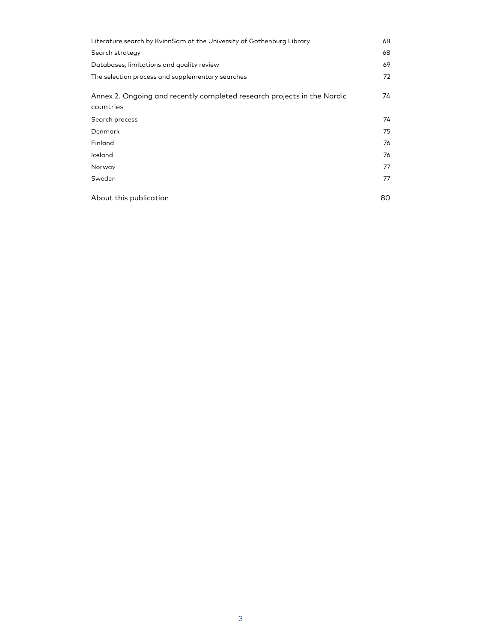| Literature search by KvinnSam at the University of Gothenburg Library                | 68 |
|--------------------------------------------------------------------------------------|----|
| Search strategy                                                                      | 68 |
| Databases, limitations and quality review                                            | 69 |
| The selection process and supplementary searches                                     | 72 |
| Annex 2. Ongoing and recently completed research projects in the Nordic<br>countries | 74 |
| Search process                                                                       | 74 |
| Denmark                                                                              | 75 |
| Finland                                                                              | 76 |
| Iceland                                                                              | 76 |
| Norway                                                                               | 77 |
| Sweden                                                                               | 77 |
| About this publication                                                               | 80 |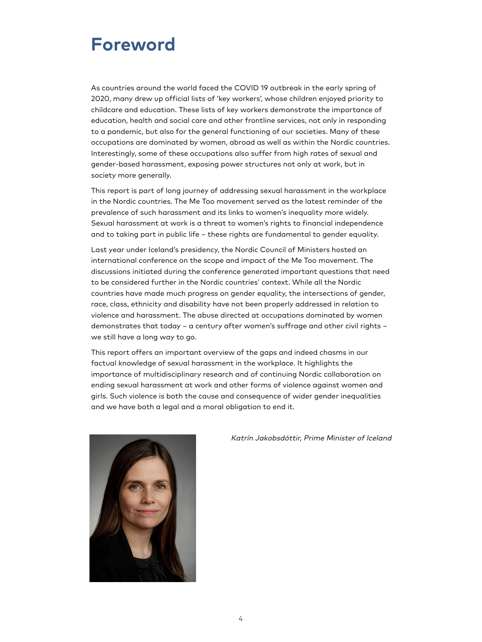### <span id="page-3-0"></span>**Foreword**

As countries around the world faced the COVID 19 outbreak in the early spring of 2020, many drew up official lists of 'key workers', whose children enjoyed priority to childcare and education. These lists of key workers demonstrate the importance of education, health and social care and other frontline services, not only in responding to a pandemic, but also for the general functioning of our societies. Many of these occupations are dominated by women, abroad as well as within the Nordic countries. Interestingly, some of these occupations also suffer from high rates of sexual and gender-based harassment, exposing power structures not only at work, but in society more generally.

This report is part of long journey of addressing sexual harassment in the workplace in the Nordic countries. The Me Too movement served as the latest reminder of the prevalence of such harassment and its links to women's inequality more widely. Sexual harassment at work is a threat to women's rights to financial independence and to taking part in public life – these rights are fundamental to gender equality.

Last year under Iceland's presidency, the Nordic Council of Ministers hosted an international conference on the scope and impact of the Me Too movement. The discussions initiated during the conference generated important questions that need to be considered further in the Nordic countries' context. While all the Nordic countries have made much progress on gender equality, the intersections of gender, race, class, ethnicity and disability have not been properly addressed in relation to violence and harassment. The abuse directed at occupations dominated by women demonstrates that today – a century after women's suffrage and other civil rights – we still have a long way to go.

This report offers an important overview of the gaps and indeed chasms in our factual knowledge of sexual harassment in the workplace. It highlights the importance of multidisciplinary research and of continuing Nordic collaboration on ending sexual harassment at work and other forms of violence against women and girls. Such violence is both the cause and consequence of wider gender inequalities and we have both a legal and a moral obligation to end it.



Katrín Jakobsdóttir, Prime Minister of Iceland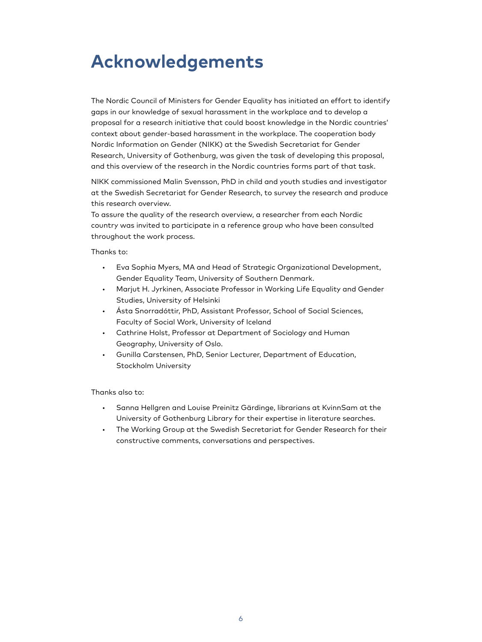# <span id="page-4-0"></span>**Acknowledgements**

The Nordic Council of Ministers for Gender Equality has initiated an effort to identify gaps in our knowledge of sexual harassment in the workplace and to develop a proposal for a research initiative that could boost knowledge in the Nordic countries' context about gender-based harassment in the workplace. The cooperation body Nordic Information on Gender (NIKK) at the Swedish Secretariat for Gender Research, University of Gothenburg, was given the task of developing this proposal, and this overview of the research in the Nordic countries forms part of that task.

NIKK commissioned Malin Svensson, PhD in child and youth studies and investigator at the Swedish Secretariat for Gender Research, to survey the research and produce this research overview.

To assure the quality of the research overview, a researcher from each Nordic country was invited to participate in a reference group who have been consulted throughout the work process.

Thanks to:

- Eva Sophia Myers, MA and Head of Strategic Organizational Development, Gender Equality Team, University of Southern Denmark.
- Marjut H. Jyrkinen, Associate Professor in Working Life Equality and Gender Studies, University of Helsinki
- Ásta Snorradóttir, PhD, Assistant Professor, School of Social Sciences, Faculty of Social Work, University of Iceland
- Cathrine Holst, Professor at Department of Sociology and Human Geography, University of Oslo.
- Gunilla Carstensen, PhD, Senior Lecturer, Department of Education, Stockholm University

Thanks also to:

- Sanna Hellgren and Louise Preinitz Gärdinge, librarians at KvinnSam at the University of Gothenburg Library for their expertise in literature searches.
- The Working Group at the Swedish Secretariat for Gender Research for their constructive comments, conversations and perspectives.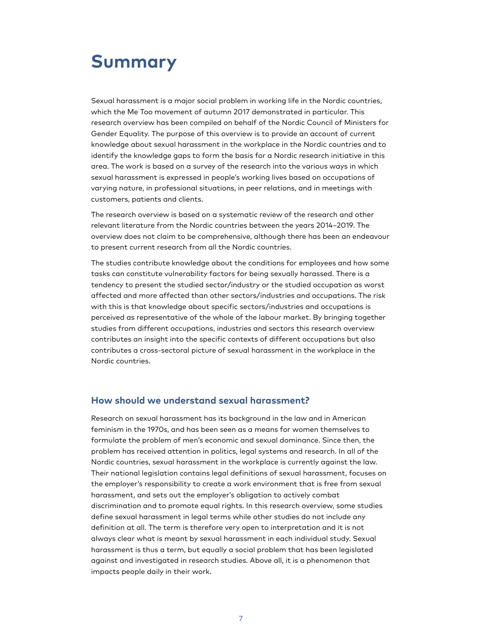# <span id="page-5-0"></span>**Summary**

Sexual harassment is a major social problem in working life in the Nordic countries, which the Me Too movement of autumn 2017 demonstrated in particular. This research overview has been compiled on behalf of the Nordic Council of Ministers for Gender Equality. The purpose of this overview is to provide an account of current knowledge about sexual harassment in the workplace in the Nordic countries and to identify the knowledge gaps to form the basis for a Nordic research initiative in this area. The work is based on a survey of the research into the various ways in which sexual harassment is expressed in people's working lives based on occupations of varying nature, in professional situations, in peer relations, and in meetings with customers, patients and clients.

The research overview is based on a systematic review of the research and other relevant literature from the Nordic countries between the years 2014–2019. The overview does not claim to be comprehensive, although there has been an endeavour to present current research from all the Nordic countries.

The studies contribute knowledge about the conditions for employees and how some tasks can constitute vulnerability factors for being sexually harassed. There is a tendency to present the studied sector/industry or the studied occupation as worst affected and more affected than other sectors/industries and occupations. The risk with this is that knowledge about specific sectors/industries and occupations is perceived as representative of the whole of the labour market. By bringing together studies from different occupations, industries and sectors this research overview contributes an insight into the specific contexts of different occupations but also contributes a cross-sectoral picture of sexual harassment in the workplace in the Nordic countries.

#### <span id="page-5-1"></span>**How should we understand sexual harassment?**

Research on sexual harassment has its background in the law and in American feminism in the 1970s, and has been seen as a means for women themselves to formulate the problem of men's economic and sexual dominance. Since then, the problem has received attention in politics, legal systems and research. In all of the Nordic countries, sexual harassment in the workplace is currently against the law. Their national legislation contains legal definitions of sexual harassment, focuses on the employer's responsibility to create a work environment that is free from sexual harassment, and sets out the employer's obligation to actively combat discrimination and to promote equal rights. In this research overview, some studies define sexual harassment in legal terms while other studies do not include any definition at all. The term is therefore very open to interpretation and it is not always clear what is meant by sexual harassment in each individual study. Sexual harassment is thus a term, but equally a social problem that has been legislated against and investigated in research studies. Above all, it is a phenomenon that impacts people daily in their work.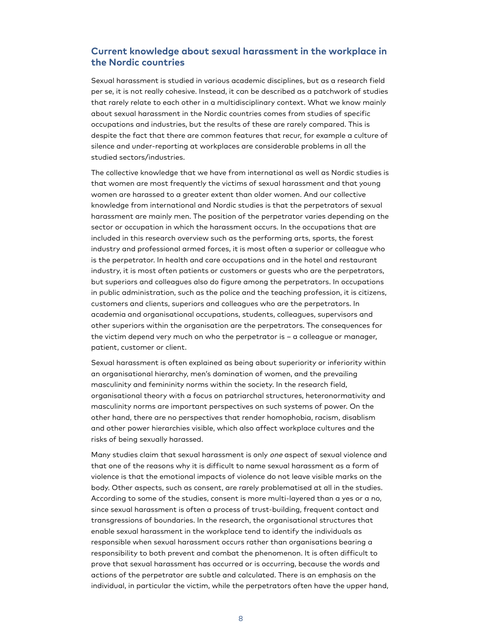#### <span id="page-6-0"></span>**Current knowledge about sexual harassment in the workplace in the Nordic countries**

Sexual harassment is studied in various academic disciplines, but as a research field per se, it is not really cohesive. Instead, it can be described as a patchwork of studies that rarely relate to each other in a multidisciplinary context. What we know mainly about sexual harassment in the Nordic countries comes from studies of specific occupations and industries, but the results of these are rarely compared. This is despite the fact that there are common features that recur, for example a culture of silence and under-reporting at workplaces are considerable problems in all the studied sectors/industries.

The collective knowledge that we have from international as well as Nordic studies is that women are most frequently the victims of sexual harassment and that young women are harassed to a greater extent than older women. And our collective knowledge from international and Nordic studies is that the perpetrators of sexual harassment are mainly men. The position of the perpetrator varies depending on the sector or occupation in which the harassment occurs. In the occupations that are included in this research overview such as the performing arts, sports, the forest industry and professional armed forces, it is most often a superior or colleague who is the perpetrator. In health and care occupations and in the hotel and restaurant industry, it is most often patients or customers or guests who are the perpetrators, but superiors and colleagues also do figure among the perpetrators. In occupations in public administration, such as the police and the teaching profession, it is citizens, customers and clients, superiors and colleagues who are the perpetrators. In academia and organisational occupations, students, colleagues, supervisors and other superiors within the organisation are the perpetrators. The consequences for the victim depend very much on who the perpetrator is – a colleague or manager, patient, customer or client.

Sexual harassment is often explained as being about superiority or inferiority within an organisational hierarchy, men's domination of women, and the prevailing masculinity and femininity norms within the society. In the research field, organisational theory with a focus on patriarchal structures, heteronormativity and masculinity norms are important perspectives on such systems of power. On the other hand, there are no perspectives that render homophobia, racism, disablism and other power hierarchies visible, which also affect workplace cultures and the risks of being sexually harassed.

Many studies claim that sexual harassment is only one aspect of sexual violence and that one of the reasons why it is difficult to name sexual harassment as a form of violence is that the emotional impacts of violence do not leave visible marks on the body. Other aspects, such as consent, are rarely problematised at all in the studies. According to some of the studies, consent is more multi-layered than a yes or a no, since sexual harassment is often a process of trust-building, frequent contact and transgressions of boundaries. In the research, the organisational structures that enable sexual harassment in the workplace tend to identify the individuals as responsible when sexual harassment occurs rather than organisations bearing a responsibility to both prevent and combat the phenomenon. It is often difficult to prove that sexual harassment has occurred or is occurring, because the words and actions of the perpetrator are subtle and calculated. There is an emphasis on the individual, in particular the victim, while the perpetrators often have the upper hand,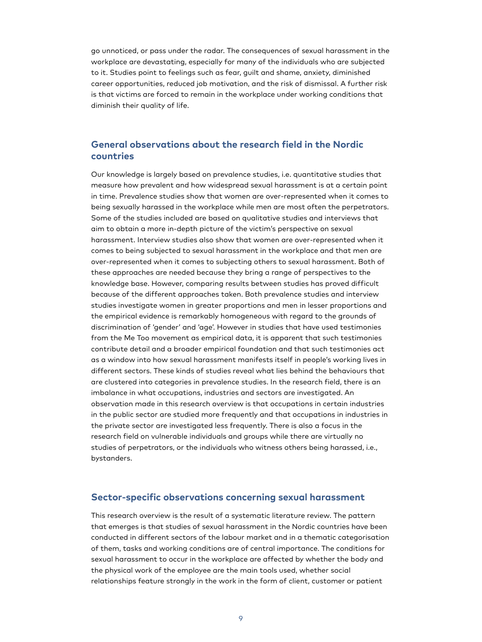go unnoticed, or pass under the radar. The consequences of sexual harassment in the workplace are devastating, especially for many of the individuals who are subjected to it. Studies point to feelings such as fear, guilt and shame, anxiety, diminished career opportunities, reduced job motivation, and the risk of dismissal. A further risk is that victims are forced to remain in the workplace under working conditions that diminish their quality of life.

#### <span id="page-7-0"></span>**General observations about the research field in the Nordic countries**

Our knowledge is largely based on prevalence studies, i.e. quantitative studies that measure how prevalent and how widespread sexual harassment is at a certain point in time. Prevalence studies show that women are over-represented when it comes to being sexually harassed in the workplace while men are most often the perpetrators. Some of the studies included are based on qualitative studies and interviews that aim to obtain a more in-depth picture of the victim's perspective on sexual harassment. Interview studies also show that women are over-represented when it comes to being subjected to sexual harassment in the workplace and that men are over-represented when it comes to subjecting others to sexual harassment. Both of these approaches are needed because they bring a range of perspectives to the knowledge base. However, comparing results between studies has proved difficult because of the different approaches taken. Both prevalence studies and interview studies investigate women in greater proportions and men in lesser proportions and the empirical evidence is remarkably homogeneous with regard to the grounds of discrimination of 'gender' and 'age'. However in studies that have used testimonies from the Me Too movement as empirical data, it is apparent that such testimonies contribute detail and a broader empirical foundation and that such testimonies act as a window into how sexual harassment manifests itself in people's working lives in different sectors. These kinds of studies reveal what lies behind the behaviours that are clustered into categories in prevalence studies. In the research field, there is an imbalance in what occupations, industries and sectors are investigated. An observation made in this research overview is that occupations in certain industries in the public sector are studied more frequently and that occupations in industries in the private sector are investigated less frequently. There is also a focus in the research field on vulnerable individuals and groups while there are virtually no studies of perpetrators, or the individuals who witness others being harassed, i.e., bystanders.

#### <span id="page-7-1"></span>**Sector-specific observations concerning sexual harassment**

This research overview is the result of a systematic literature review. The pattern that emerges is that studies of sexual harassment in the Nordic countries have been conducted in different sectors of the labour market and in a thematic categorisation of them, tasks and working conditions are of central importance. The conditions for sexual harassment to occur in the workplace are affected by whether the body and the physical work of the employee are the main tools used, whether social relationships feature strongly in the work in the form of client, customer or patient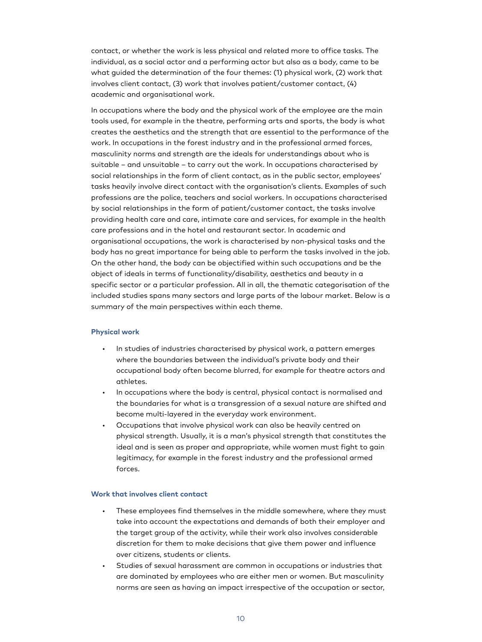contact, or whether the work is less physical and related more to office tasks. The individual, as a social actor and a performing actor but also as a body, came to be what guided the determination of the four themes: (1) physical work, (2) work that involves client contact, (3) work that involves patient/customer contact, (4) academic and organisational work.

In occupations where the body and the physical work of the employee are the main tools used, for example in the theatre, performing arts and sports, the body is what creates the aesthetics and the strength that are essential to the performance of the work. In occupations in the forest industry and in the professional armed forces, masculinity norms and strength are the ideals for understandings about who is suitable – and unsuitable – to carry out the work. In occupations characterised by social relationships in the form of client contact, as in the public sector, employees' tasks heavily involve direct contact with the organisation's clients. Examples of such professions are the police, teachers and social workers. In occupations characterised by social relationships in the form of patient/customer contact, the tasks involve providing health care and care, intimate care and services, for example in the health care professions and in the hotel and restaurant sector. In academic and organisational occupations, the work is characterised by non-physical tasks and the body has no great importance for being able to perform the tasks involved in the job. On the other hand, the body can be objectified within such occupations and be the object of ideals in terms of functionality/disability, aesthetics and beauty in a specific sector or a particular profession. All in all, the thematic categorisation of the included studies spans many sectors and large parts of the labour market. Below is a summary of the main perspectives within each theme.

#### **Physical work**

- In studies of industries characterised by physical work, a pattern emerges where the boundaries between the individual's private body and their occupational body often become blurred, for example for theatre actors and athletes.
- In occupations where the body is central, physical contact is normalised and the boundaries for what is a transgression of a sexual nature are shifted and become multi-layered in the everyday work environment.
- Occupations that involve physical work can also be heavily centred on physical strength. Usually, it is a man's physical strength that constitutes the ideal and is seen as proper and appropriate, while women must fight to gain legitimacy, for example in the forest industry and the professional armed forces.

#### **Work that involves client contact**

- These employees find themselves in the middle somewhere, where they must take into account the expectations and demands of both their employer and the target group of the activity, while their work also involves considerable discretion for them to make decisions that give them power and influence over citizens, students or clients.
- Studies of sexual harassment are common in occupations or industries that are dominated by employees who are either men or women. But masculinity norms are seen as having an impact irrespective of the occupation or sector,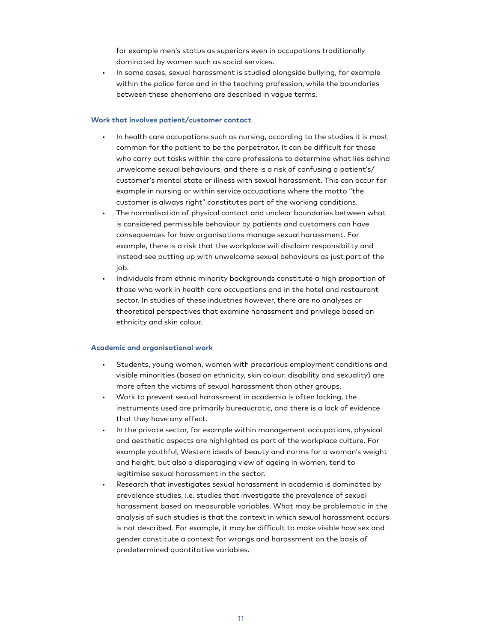for example men's status as superiors even in occupations traditionally dominated by women such as social services.

• In some cases, sexual harassment is studied alongside bullying, for example within the police force and in the teaching profession, while the boundaries between these phenomena are described in vague terms.

#### **Work that involves patient/customer contact**

- In health care occupations such as nursing, according to the studies it is most common for the patient to be the perpetrator. It can be difficult for those who carry out tasks within the care professions to determine what lies behind unwelcome sexual behaviours, and there is a risk of confusing a patient's/ customer's mental state or illness with sexual harassment. This can occur for example in nursing or within service occupations where the motto "the customer is always right" constitutes part of the working conditions.
- The normalisation of physical contact and unclear boundaries between what is considered permissible behaviour by patients and customers can have consequences for how organisations manage sexual harassment. For example, there is a risk that the workplace will disclaim responsibility and instead see putting up with unwelcome sexual behaviours as just part of the job.
- Individuals from ethnic minority backgrounds constitute a high proportion of those who work in health care occupations and in the hotel and restaurant sector. In studies of these industries however, there are no analyses or theoretical perspectives that examine harassment and privilege based on ethnicity and skin colour.

#### **Academic and organisational work**

- Students, young women, women with precarious employment conditions and visible minorities (based on ethnicity, skin colour, disability and sexuality) are more often the victims of sexual harassment than other groups.
- Work to prevent sexual harassment in academia is often lacking, the instruments used are primarily bureaucratic, and there is a lack of evidence that they have any effect.
- In the private sector, for example within management occupations, physical and aesthetic aspects are highlighted as part of the workplace culture. For example youthful, Western ideals of beauty and norms for a woman's weight and height, but also a disparaging view of ageing in women, tend to legitimise sexual harassment in the sector.
- Research that investigates sexual harassment in academia is dominated by prevalence studies, i.e. studies that investigate the prevalence of sexual harassment based on measurable variables. What may be problematic in the analysis of such studies is that the context in which sexual harassment occurs is not described. For example, it may be difficult to make visible how sex and gender constitute a context for wrongs and harassment on the basis of predetermined quantitative variables.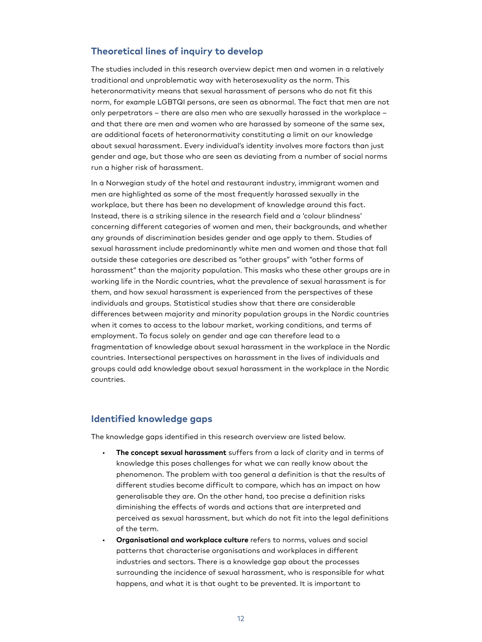#### <span id="page-10-0"></span>**Theoretical lines of inquiry to develop**

The studies included in this research overview depict men and women in a relatively traditional and unproblematic way with heterosexuality as the norm. This heteronormativity means that sexual harassment of persons who do not fit this norm, for example LGBTQI persons, are seen as abnormal. The fact that men are not only perpetrators – there are also men who are sexually harassed in the workplace – and that there are men and women who are harassed by someone of the same sex, are additional facets of heteronormativity constituting a limit on our knowledge about sexual harassment. Every individual's identity involves more factors than just gender and age, but those who are seen as deviating from a number of social norms run a higher risk of harassment.

In a Norwegian study of the hotel and restaurant industry, immigrant women and men are highlighted as some of the most frequently harassed sexually in the workplace, but there has been no development of knowledge around this fact. Instead, there is a striking silence in the research field and a 'colour blindness' concerning different categories of women and men, their backgrounds, and whether any grounds of discrimination besides gender and age apply to them. Studies of sexual harassment include predominantly white men and women and those that fall outside these categories are described as "other groups" with "other forms of harassment" than the majority population. This masks who these other groups are in working life in the Nordic countries, what the prevalence of sexual harassment is for them, and how sexual harassment is experienced from the perspectives of these individuals and groups. Statistical studies show that there are considerable differences between majority and minority population groups in the Nordic countries when it comes to access to the labour market, working conditions, and terms of employment. To focus solely on gender and age can therefore lead to a fragmentation of knowledge about sexual harassment in the workplace in the Nordic countries. Intersectional perspectives on harassment in the lives of individuals and groups could add knowledge about sexual harassment in the workplace in the Nordic countries.

#### <span id="page-10-1"></span>**Identified knowledge gaps**

The knowledge gaps identified in this research overview are listed below.

- **The concept sexual harassment** suffers from a lack of clarity and in terms of knowledge this poses challenges for what we can really know about the phenomenon. The problem with too general a definition is that the results of different studies become difficult to compare, which has an impact on how generalisable they are. On the other hand, too precise a definition risks diminishing the effects of words and actions that are interpreted and perceived as sexual harassment, but which do not fit into the legal definitions of the term.
- **Organisational and workplace culture** refers to norms, values and social patterns that characterise organisations and workplaces in different industries and sectors. There is a knowledge gap about the processes surrounding the incidence of sexual harassment, who is responsible for what happens, and what it is that ought to be prevented. It is important to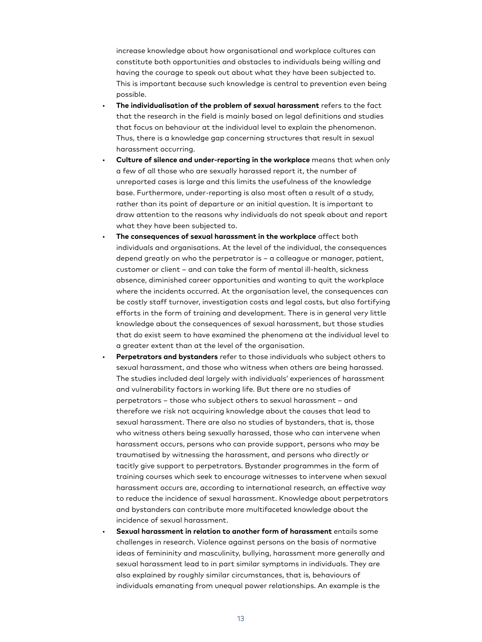increase knowledge about how organisational and workplace cultures can constitute both opportunities and obstacles to individuals being willing and having the courage to speak out about what they have been subjected to. This is important because such knowledge is central to prevention even being possible.

- **The individualisation of the problem of sexual harassment** refers to the fact that the research in the field is mainly based on legal definitions and studies that focus on behaviour at the individual level to explain the phenomenon. Thus, there is a knowledge gap concerning structures that result in sexual harassment occurring.
- **Culture of silence and under-reporting in the workplace** means that when only a few of all those who are sexually harassed report it, the number of unreported cases is large and this limits the usefulness of the knowledge base. Furthermore, under-reporting is also most often a result of a study, rather than its point of departure or an initial question. It is important to draw attention to the reasons why individuals do not speak about and report what they have been subjected to.
- **The consequences of sexual harassment in the workplace** affect both individuals and organisations. At the level of the individual, the consequences depend greatly on who the perpetrator is – a colleague or manager, patient, customer or client – and can take the form of mental ill-health, sickness absence, diminished career opportunities and wanting to quit the workplace where the incidents occurred. At the organisation level, the consequences can be costly staff turnover, investigation costs and legal costs, but also fortifying efforts in the form of training and development. There is in general very little knowledge about the consequences of sexual harassment, but those studies that do exist seem to have examined the phenomena at the individual level to a greater extent than at the level of the organisation.
- **Perpetrators and bystanders** refer to those individuals who subject others to sexual harassment, and those who witness when others are being harassed. The studies included deal largely with individuals' experiences of harassment and vulnerability factors in working life. But there are no studies of perpetrators – those who subject others to sexual harassment – and therefore we risk not acquiring knowledge about the causes that lead to sexual harassment. There are also no studies of bystanders, that is, those who witness others being sexually harassed, those who can intervene when harassment occurs, persons who can provide support, persons who may be traumatised by witnessing the harassment, and persons who directly or tacitly give support to perpetrators. Bystander programmes in the form of training courses which seek to encourage witnesses to intervene when sexual harassment occurs are, according to international research, an effective way to reduce the incidence of sexual harassment. Knowledge about perpetrators and bystanders can contribute more multifaceted knowledge about the incidence of sexual harassment.
- **Sexual harassment in relation to another form of harassment** entails some challenges in research. Violence against persons on the basis of normative ideas of femininity and masculinity, bullying, harassment more generally and sexual harassment lead to in part similar symptoms in individuals. They are also explained by roughly similar circumstances, that is, behaviours of individuals emanating from unequal power relationships. An example is the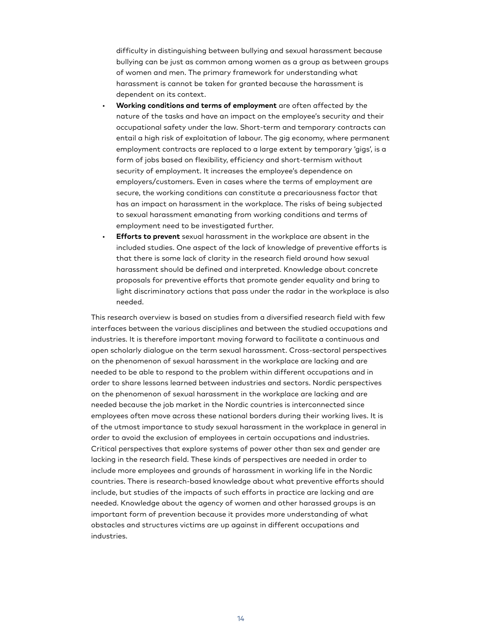difficulty in distinguishing between bullying and sexual harassment because bullying can be just as common among women as a group as between groups of women and men. The primary framework for understanding what harassment is cannot be taken for granted because the harassment is dependent on its context.

- **Working conditions and terms of employment** are often affected by the nature of the tasks and have an impact on the employee's security and their occupational safety under the law. Short-term and temporary contracts can entail a high risk of exploitation of labour. The gig economy, where permanent employment contracts are replaced to a large extent by temporary 'gigs', is a form of jobs based on flexibility, efficiency and short-termism without security of employment. It increases the employee's dependence on employers/customers. Even in cases where the terms of employment are secure, the working conditions can constitute a precariousness factor that has an impact on harassment in the workplace. The risks of being subjected to sexual harassment emanating from working conditions and terms of employment need to be investigated further.
- **Efforts to prevent** sexual harassment in the workplace are absent in the included studies. One aspect of the lack of knowledge of preventive efforts is that there is some lack of clarity in the research field around how sexual harassment should be defined and interpreted. Knowledge about concrete proposals for preventive efforts that promote gender equality and bring to light discriminatory actions that pass under the radar in the workplace is also needed.

This research overview is based on studies from a diversified research field with few interfaces between the various disciplines and between the studied occupations and industries. It is therefore important moving forward to facilitate a continuous and open scholarly dialogue on the term sexual harassment. Cross-sectoral perspectives on the phenomenon of sexual harassment in the workplace are lacking and are needed to be able to respond to the problem within different occupations and in order to share lessons learned between industries and sectors. Nordic perspectives on the phenomenon of sexual harassment in the workplace are lacking and are needed because the job market in the Nordic countries is interconnected since employees often move across these national borders during their working lives. It is of the utmost importance to study sexual harassment in the workplace in general in order to avoid the exclusion of employees in certain occupations and industries. Critical perspectives that explore systems of power other than sex and gender are lacking in the research field. These kinds of perspectives are needed in order to include more employees and grounds of harassment in working life in the Nordic countries. There is research-based knowledge about what preventive efforts should include, but studies of the impacts of such efforts in practice are lacking and are needed. Knowledge about the agency of women and other harassed groups is an important form of prevention because it provides more understanding of what obstacles and structures victims are up against in different occupations and industries.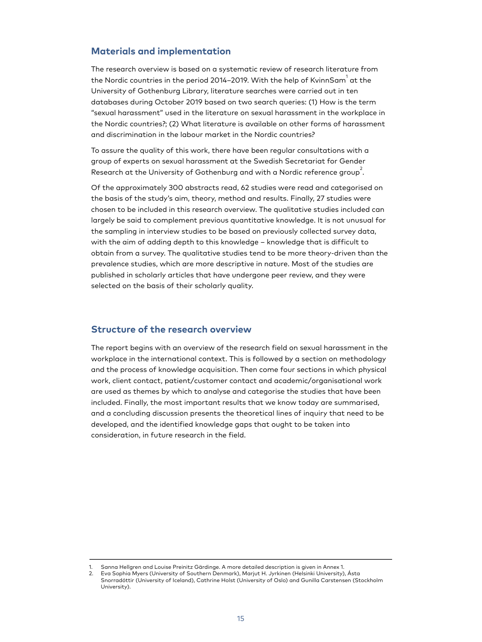#### <span id="page-13-0"></span>**Materials and implementation**

The research overview is based on a systematic review of research literature from the Nordic countries in the period 2014–2019. With the help of KvinnSam $^{\rm 1}$  at the University of Gothenburg Library, literature searches were carried out in ten databases during October 2019 based on two search queries: (1) How is the term "sexual harassment" used in the literature on sexual harassment in the workplace in the Nordic countries?; (2) What literature is available on other forms of harassment and discrimination in the labour market in the Nordic countries?

To assure the quality of this work, there have been regular consultations with a group of experts on sexual harassment at the Swedish Secretariat for Gender Research at the University of Gothenburg and with a Nordic reference group  $\overset{\,\,{}_\circ}{.}$ 

Of the approximately 300 abstracts read, 62 studies were read and categorised on the basis of the study's aim, theory, method and results. Finally, 27 studies were chosen to be included in this research overview. The qualitative studies included can largely be said to complement previous quantitative knowledge. It is not unusual for the sampling in interview studies to be based on previously collected survey data, with the aim of adding depth to this knowledge – knowledge that is difficult to obtain from a survey. The qualitative studies tend to be more theory-driven than the prevalence studies, which are more descriptive in nature. Most of the studies are published in scholarly articles that have undergone peer review, and they were selected on the basis of their scholarly quality.

#### <span id="page-13-1"></span>**Structure of the research overview**

The report begins with an overview of the research field on sexual harassment in the workplace in the international context. This is followed by a section on methodology and the process of knowledge acquisition. Then come four sections in which physical work, client contact, patient/customer contact and academic/organisational work are used as themes by which to analyse and categorise the studies that have been included. Finally, the most important results that we know today are summarised, and a concluding discussion presents the theoretical lines of inquiry that need to be developed, and the identified knowledge gaps that ought to be taken into consideration, in future research in the field.

<sup>1.</sup> Sanna Hellgren and Louise Preinitz Gärdinge. A more detailed description is given in Annex 1.

<sup>2.</sup> Eva Sophia Myers (University of Southern Denmark), Marjut H. Jyrkinen (Helsinki University), Ásta Snorradóttir (University of Iceland), Cathrine Holst (University of Oslo) and Gunilla Carstensen (Stockholm University).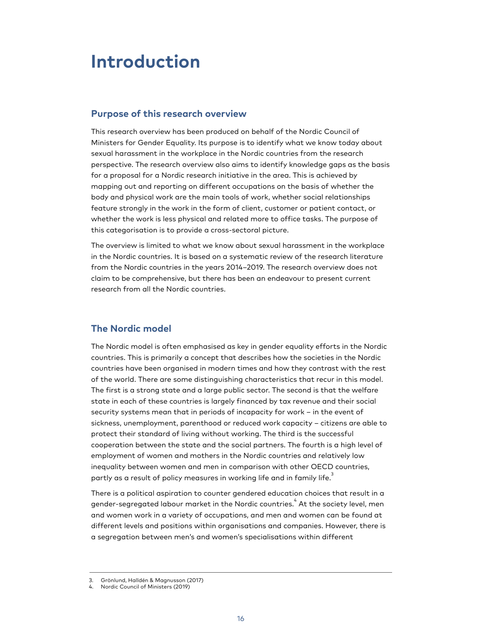### <span id="page-14-0"></span>**Introduction**

#### <span id="page-14-1"></span>**Purpose of this research overview**

This research overview has been produced on behalf of the Nordic Council of Ministers for Gender Equality. Its purpose is to identify what we know today about sexual harassment in the workplace in the Nordic countries from the research perspective. The research overview also aims to identify knowledge gaps as the basis for a proposal for a Nordic research initiative in the area. This is achieved by mapping out and reporting on different occupations on the basis of whether the body and physical work are the main tools of work, whether social relationships feature strongly in the work in the form of client, customer or patient contact, or whether the work is less physical and related more to office tasks. The purpose of this categorisation is to provide a cross-sectoral picture.

The overview is limited to what we know about sexual harassment in the workplace in the Nordic countries. It is based on a systematic review of the research literature from the Nordic countries in the years 2014–2019. The research overview does not claim to be comprehensive, but there has been an endeavour to present current research from all the Nordic countries.

#### <span id="page-14-2"></span>**The Nordic model**

The Nordic model is often emphasised as key in gender equality efforts in the Nordic countries. This is primarily a concept that describes how the societies in the Nordic countries have been organised in modern times and how they contrast with the rest of the world. There are some distinguishing characteristics that recur in this model. The first is a strong state and a large public sector. The second is that the welfare state in each of these countries is largely financed by tax revenue and their social security systems mean that in periods of incapacity for work – in the event of sickness, unemployment, parenthood or reduced work capacity – citizens are able to protect their standard of living without working. The third is the successful cooperation between the state and the social partners. The fourth is a high level of employment of women and mothers in the Nordic countries and relatively low inequality between women and men in comparison with other OECD countries, partly as a result of policy measures in working life and in family life. $\overset{3}{\cdot}$ 

There is a political aspiration to counter gendered education choices that result in a gender-segregated labour market in the Nordic countries. $\stackrel{4}{\cdot}$  At the society level, men and women work in a variety of occupations, and men and women can be found at different levels and positions within organisations and companies. However, there is a segregation between men's and women's specialisations within different

<sup>3.</sup> Grönlund, Halldén & Magnusson (2017)

<sup>4.</sup> Nordic Council of Ministers (2019)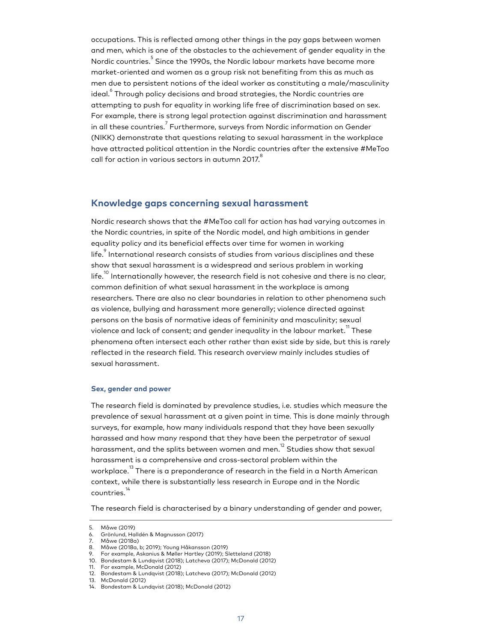occupations. This is reflected among other things in the pay gaps between women and men, which is one of the obstacles to the achievement of gender equality in the Nordic countries.<sup>5</sup> Since the 1990s, the Nordic labour markets have become more market-oriented and women as a group risk not benefiting from this as much as men due to persistent notions of the ideal worker as constituting a male/masculinity ideal. $^{\rm 6}$  Through policy decisions and broad strategies, the Nordic countries are attempting to push for equality in working life free of discrimination based on sex. For example, there is strong legal protection against discrimination and harassment in all these countries. $^7$  Furthermore, surveys from Nordic information on Gender (NIKK) demonstrate that questions relating to sexual harassment in the workplace have attracted political attention in the Nordic countries after the extensive #MeToo call for action in various sectors in autumn 2017. $^{\rm 8}$ 

#### <span id="page-15-0"></span>**Knowledge gaps concerning sexual harassment**

Nordic research shows that the #MeToo call for action has had varying outcomes in the Nordic countries, in spite of the Nordic model, and high ambitions in gender equality policy and its beneficial effects over time for women in working life. $\degree$  International research consists of studies from various disciplines and these show that sexual harassment is a widespread and serious problem in working life. $^{10}$  Internationally however, the research field is not cohesive and there is no clear, common definition of what sexual harassment in the workplace is among researchers. There are also no clear boundaries in relation to other phenomena such as violence, bullying and harassment more generally; violence directed against persons on the basis of normative ideas of femininity and masculinity; sexual violence and lack of consent; and gender inequality in the labour market. $^{\rm 11}$  These phenomena often intersect each other rather than exist side by side, but this is rarely reflected in the research field. This research overview mainly includes studies of sexual harassment.

#### **Sex, gender and power**

The research field is dominated by prevalence studies, i.e. studies which measure the prevalence of sexual harassment at a given point in time. This is done mainly through surveys, for example, how many individuals respond that they have been sexually harassed and how many respond that they have been the perpetrator of sexual harassment, and the splits between women and men.<sup>12</sup> Studies show that sexual harassment is a comprehensive and cross-sectoral problem within the workplace. <sup>13</sup> There is a preponderance of research in the field in a North American context, while there is substantially less research in Europe and in the Nordic countries.<sup>1</sup>

The research field is characterised by a binary understanding of gender and power,

<sup>5.</sup> Måwe (2019)

<sup>6.</sup> Grönlund, Halldén & Magnusson (2017)

<sup>7.</sup> Måwe (2018a)

<sup>8.</sup> Måwe (2018a, b; 2019); Young Håkansson (2019)

<sup>9.</sup> For example, Askanius & Møller Hartley (2019); Sletteland (2018)

<sup>10.</sup> Bondestam & Lundqvist (2018); Latcheva (2017); McDonald (2012)

<sup>11.</sup> For example, McDonald (2012) 12. Bondestam & Lundqvist (2018); Latcheva (2017); McDonald (2012)

<sup>13.</sup> McDonald (2012)

<sup>14.</sup> Bondestam & Lundqvist (2018); McDonald (2012)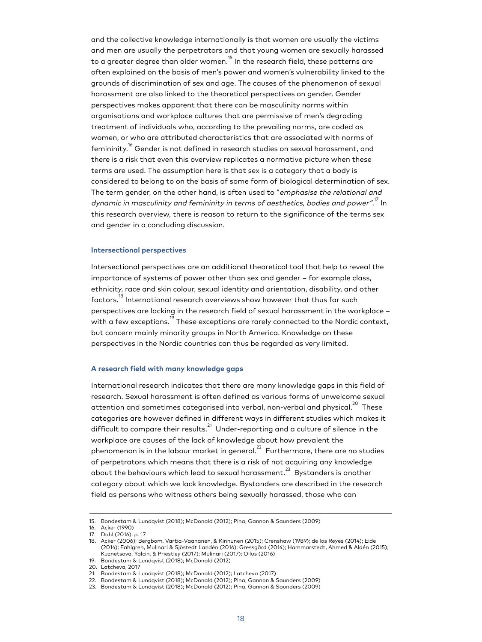and the collective knowledge internationally is that women are usually the victims and men are usually the perpetrators and that young women are sexually harassed to a greater degree than older women.<sup>15</sup> In the research field, these patterns are often explained on the basis of men's power and women's vulnerability linked to the grounds of discrimination of sex and age. The causes of the phenomenon of sexual harassment are also linked to the theoretical perspectives on gender. Gender perspectives makes apparent that there can be masculinity norms within organisations and workplace cultures that are permissive of men's degrading treatment of individuals who, according to the prevailing norms, are coded as women, or who are attributed characteristics that are associated with norms of femininity. <sup>16</sup> Gender is not defined in research studies on sexual harassment, and there is a risk that even this overview replicates a normative picture when these terms are used. The assumption here is that sex is a category that a body is considered to belong to on the basis of some form of biological determination of sex. The term gender, on the other hand, is often used to "emphasise the relational and dynamic in masculinity and femininity in terms of aesthetics, bodies and power". $^{7}$  In this research overview, there is reason to return to the significance of the terms sex and gender in a concluding discussion.

#### **Intersectional perspectives**

Intersectional perspectives are an additional theoretical tool that help to reveal the importance of systems of power other than sex and gender – for example class, ethnicity, race and skin colour, sexual identity and orientation, disability, and other factors.<sup>18</sup> International research overviews show however that thus far such perspectives are lacking in the research field of sexual harassment in the workplace – with a few exceptions.<sup>19</sup> These exceptions are rarely connected to the Nordic context, but concern mainly minority groups in North America. Knowledge on these perspectives in the Nordic countries can thus be regarded as very limited.

#### **A research field with many knowledge gaps**

International research indicates that there are many knowledge gaps in this field of research. Sexual harassment is often defined as various forms of unwelcome sexual attention and sometimes categorised into verbal, non-verbal and physical.<sup>20</sup> These categories are however defined in different ways in different studies which makes it difficult to compare their results. $^{21}$  Under-reporting and a culture of silence in the workplace are causes of the lack of knowledge about how prevalent the phenomenon is in the labour market in general. $^{22}$  Furthermore, there are no studies of perpetrators which means that there is a risk of not acquiring any knowledge about the behaviours which lead to sexual harassment. $^{\rm 23}$  Bystanders is another category about which we lack knowledge. Bystanders are described in the research field as persons who witness others being sexually harassed, those who can

<sup>15.</sup> Bondestam & Lundqvist (2018); McDonald (2012); Pina, Gannon & Saunders (2009)

<sup>16.</sup> Acker (1990)

<sup>17.</sup> Dahl (2016), p. 17

<sup>18.</sup> Acker (2006); Bergbom, Vartia-Vaananen, & Kinnunen (2015); Crenshaw (1989); de los Reyes (2014); Eide (2014); Fahlgren, Mulinari & Sjöstedt Landén (2016); Gressgård (2014); Hammarstedt, Ahmed & Aldén (2015); Kuznetsova, Yalcin, & Priestley (2017); Mulinari (2017); Ollus (2016)

<sup>19.</sup> Bondestam & Lundqvist (2018); McDonald (2012)

<sup>20.</sup> Latcheva, 2017

<sup>21.</sup> Bondestam & Lundqvist (2018); McDonald (2012); Latcheva (2017)

<sup>22.</sup> Bondestam & Lundqvist (2018); McDonald (2012); Pina, Gannon & Saunders (2009)

<sup>23.</sup> Bondestam & Lundqvist (2018); McDonald (2012); Pina, Gannon & Saunders (2009)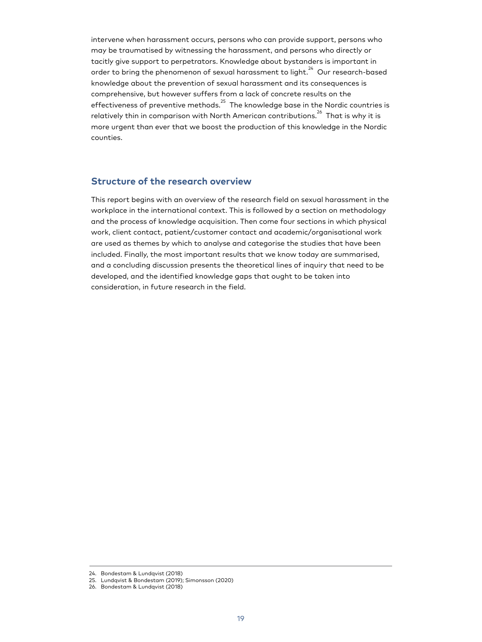intervene when harassment occurs, persons who can provide support, persons who may be traumatised by witnessing the harassment, and persons who directly or tacitly give support to perpetrators. Knowledge about bystanders is important in order to bring the phenomenon of sexual harassment to light. $^{24}$  Our research-based knowledge about the prevention of sexual harassment and its consequences is comprehensive, but however suffers from a lack of concrete results on the effectiveness of preventive methods. $^{25}$  The knowledge base in the Nordic countries is relatively thin in comparison with North American contributions.<sup>26</sup> That is why it is more urgent than ever that we boost the production of this knowledge in the Nordic counties.

#### <span id="page-17-0"></span>**Structure of the research overview**

This report begins with an overview of the research field on sexual harassment in the workplace in the international context. This is followed by a section on methodology and the process of knowledge acquisition. Then come four sections in which physical work, client contact, patient/customer contact and academic/organisational work are used as themes by which to analyse and categorise the studies that have been included. Finally, the most important results that we know today are summarised, and a concluding discussion presents the theoretical lines of inquiry that need to be developed, and the identified knowledge gaps that ought to be taken into consideration, in future research in the field.

<sup>24.</sup> Bondestam & Lundqvist (2018)

<sup>25.</sup> Lundqvist & Bondestam (2019); Simonsson (2020)

<sup>26.</sup> Bondestam & Lundqvist (2018)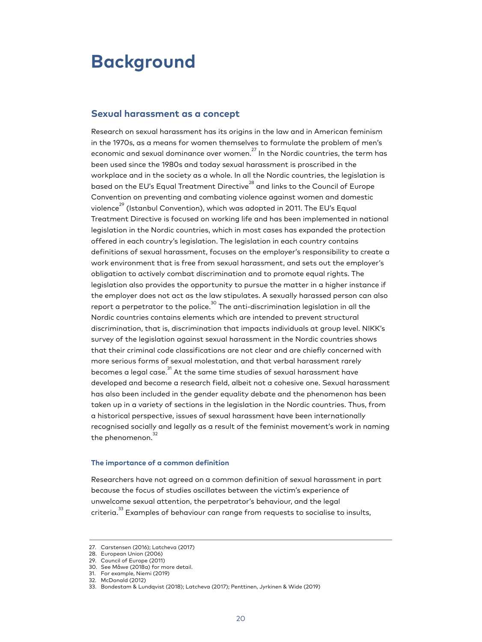### <span id="page-18-0"></span>**Background**

#### <span id="page-18-1"></span>**Sexual harassment as a concept**

Research on sexual harassment has its origins in the law and in American feminism in the 1970s, as a means for women themselves to formulate the problem of men's economic and sexual dominance over women.<sup>27</sup> In the Nordic countries, the term has been used since the 1980s and today sexual harassment is proscribed in the workplace and in the society as a whole. In all the Nordic countries, the legislation is based on the EU's Equal Treatment Directive<sup>28</sup> and links to the Council of Europe Convention on preventing and combating violence against women and domestic violence<sup>29</sup> (Istanbul Convention), which was adopted in 2011. The EU's Equal Treatment Directive is focused on working life and has been implemented in national legislation in the Nordic countries, which in most cases has expanded the protection offered in each country's legislation. The legislation in each country contains definitions of sexual harassment, focuses on the employer's responsibility to create a work environment that is free from sexual harassment, and sets out the employer's obligation to actively combat discrimination and to promote equal rights. The legislation also provides the opportunity to pursue the matter in a higher instance if the employer does not act as the law stipulates. A sexually harassed person can also report a perpetrator to the police. $^{\rm 3O}$  The anti-discrimination legislation in all the Nordic countries contains elements which are intended to prevent structural discrimination, that is, discrimination that impacts individuals at group level. NIKK's survey of the legislation against sexual harassment in the Nordic countries shows that their criminal code classifications are not clear and are chiefly concerned with more serious forms of sexual molestation, and that verbal harassment rarely becomes a legal case. $^{\textrm{31}}$  At the same time studies of sexual harassment have developed and become a research field, albeit not a cohesive one. Sexual harassment has also been included in the gender equality debate and the phenomenon has been taken up in a variety of sections in the legislation in the Nordic countries. Thus, from a historical perspective, issues of sexual harassment have been internationally recognised socially and legally as a result of the feminist movement's work in naming the phenomenon.<sup>32</sup>

#### **The importance of a common definition**

Researchers have not agreed on a common definition of sexual harassment in part because the focus of studies oscillates between the victim's experience of unwelcome sexual attention, the perpetrator's behaviour, and the legal criteria.<sup>33</sup> Examples of behaviour can range from requests to socialise to insults,

<sup>27.</sup> Carstensen (2016); Latcheva (2017)

<sup>28.</sup> European Union (2006)

<sup>29.</sup> Council of Europe (2011)

<sup>30.</sup> See Måwe (2018a) for more detail.

<sup>31.</sup> For example, Niemi (2019)

<sup>32.</sup> McDonald (2012)

<sup>33.</sup> Bondestam & Lundqvist (2018); Latcheva (2017); Penttinen, Jyrkinen & Wide (2019)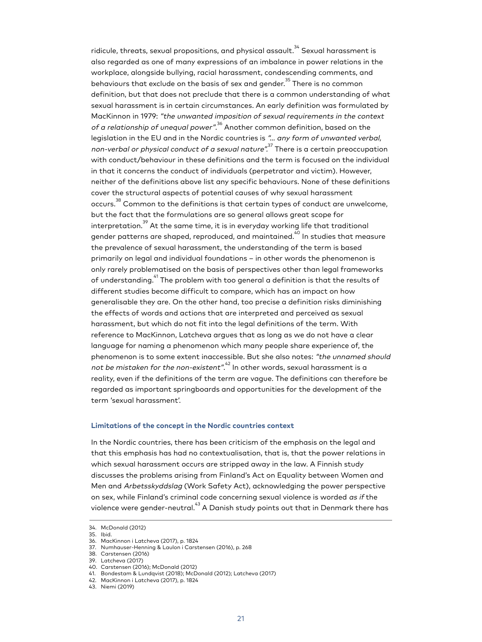ridicule, threats, sexual propositions, and physical assault. $^{\rm 34}$  Sexual harassment is also regarded as one of many expressions of an imbalance in power relations in the workplace, alongside bullying, racial harassment, condescending comments, and behaviours that exclude on the basis of sex and gender.<sup>35</sup> There is no common definition, but that does not preclude that there is a common understanding of what sexual harassment is in certain circumstances. An early definition was formulated by MacKinnon in 1979: "the unwanted imposition of sexual requirements in the context *of a relationship of unequal power"*. $\mathrm{^{36}}$  Another common definition, based on the legislation in the EU and in the Nordic countries is "… any form of unwanted verbal, non-verbal or physical conduct of a sexual nature". $^{\rm 37}$  There is a certain preoccupation with conduct/behaviour in these definitions and the term is focused on the individual in that it concerns the conduct of individuals (perpetrator and victim). However, neither of the definitions above list any specific behaviours. None of these definitions cover the structural aspects of potential causes of why sexual harassment occurs.<sup>38</sup> Common to the definitions is that certain types of conduct are unwelcome, but the fact that the formulations are so general allows great scope for interpretation. $^{39}$  At the same time, it is in everyday working life that traditional gender patterns are shaped, reproduced, and maintained. $^{40}$  In studies that measure the prevalence of sexual harassment, the understanding of the term is based primarily on legal and individual foundations – in other words the phenomenon is only rarely problematised on the basis of perspectives other than legal frameworks of understanding. $^{\rm 41}$  The problem with too general a definition is that the results of different studies become difficult to compare, which has an impact on how generalisable they are. On the other hand, too precise a definition risks diminishing the effects of words and actions that are interpreted and perceived as sexual harassment, but which do not fit into the legal definitions of the term. With reference to MacKinnon, Latcheva argues that as long as we do not have a clear language for naming a phenomenon which many people share experience of, the phenomenon is to some extent inaccessible. But she also notes: "the unnamed should not be mistaken for the non-existent". $^{\textrm{\tiny{42}}}$  In other words, sexual harassment is a reality, even if the definitions of the term are vague. The definitions can therefore be regarded as important springboards and opportunities for the development of the term 'sexual harassment'.

#### **Limitations of the concept in the Nordic countries context**

In the Nordic countries, there has been criticism of the emphasis on the legal and that this emphasis has had no contextualisation, that is, that the power relations in which sexual harassment occurs are stripped away in the law. A Finnish study discusses the problems arising from Finland's Act on Equality between Women and Men and Arbetsskyddslag (Work Safety Act), acknowledging the power perspective on sex, while Finland's criminal code concerning sexual violence is worded as if the violence were gender-neutral.<sup>43</sup> A Danish study points out that in Denmark there has

<sup>34.</sup> McDonald (2012)

<sup>35.</sup> Ibid.

<sup>36.</sup> MacKinnon i Latcheva (2017), p. 1824

<sup>37.</sup> Numhauser-Henning & Laulon i Carstensen (2016), p. 268

<sup>38.</sup> Carstensen (2016)

<sup>39.</sup> Latcheva (2017)

<sup>40.</sup> Carstensen (2016); McDonald (2012)

<sup>41.</sup> Bondestam & Lundqvist (2018); McDonald (2012); Latcheva (2017)

<sup>42.</sup> MacKinnon i Latcheva (2017), p. 1824

<sup>43.</sup> Niemi (2019)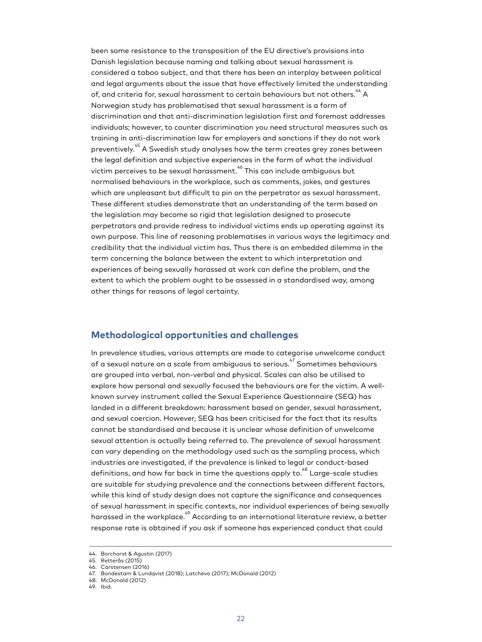been some resistance to the transposition of the EU directive's provisions into Danish legislation because naming and talking about sexual harassment is considered a taboo subject, and that there has been an interplay between political and legal arguments about the issue that have effectively limited the understanding of, and criteria for, sexual harassment to certain behaviours but not others. $^{\rm 44}$  A Norwegian study has problematised that sexual harassment is a form of discrimination and that anti-discrimination legislation first and foremost addresses individuals; however, to counter discrimination you need structural measures such as training in anti-discrimination law for employers and sanctions if they do not work preventively.<sup>45</sup> A Swedish study analyses how the term creates grey zones between the legal definition and subjective experiences in the form of what the individual victim perceives to be sexual harassment. 46 This can include ambiguous but normalised behaviours in the workplace, such as comments, jokes, and gestures which are unpleasant but difficult to pin on the perpetrator as sexual harassment. These different studies demonstrate that an understanding of the term based on the legislation may become so rigid that legislation designed to prosecute perpetrators and provide redress to individual victims ends up operating against its own purpose. This line of reasoning problematises in various ways the legitimacy and credibility that the individual victim has. Thus there is an embedded dilemma in the term concerning the balance between the extent to which interpretation and experiences of being sexually harassed at work can define the problem, and the extent to which the problem ought to be assessed in a standardised way, among other things for reasons of legal certainty.

#### <span id="page-20-0"></span>**Methodological opportunities and challenges**

In prevalence studies, various attempts are made to categorise unwelcome conduct of a sexual nature on a scale from ambiguous to serious. $^{47}$  Sometimes behaviours are grouped into verbal, non-verbal and physical. Scales can also be utilised to explore how personal and sexually focused the behaviours are for the victim. A wellknown survey instrument called the Sexual Experience Questionnaire (SEQ) has landed in a different breakdown: harassment based on gender, sexual harassment, and sexual coercion. However, SEQ has been criticised for the fact that its results cannot be standardised and because it is unclear whose definition of unwelcome sexual attention is actually being referred to. The prevalence of sexual harassment can vary depending on the methodology used such as the sampling process, which industries are investigated, if the prevalence is linked to legal or conduct-based definitions, and how far back in time the questions apply to.<sup>48</sup> Large-scale studies are suitable for studying prevalence and the connections between different factors, while this kind of study design does not capture the significance and consequences of sexual harassment in specific contexts, nor individual experiences of being sexually harassed in the workplace.<sup>49</sup> According to an international literature review, a better response rate is obtained if you ask if someone has experienced conduct that could

<sup>44.</sup> Borchorst & Agustin (2017)

<sup>45.</sup> Retterås (2015)

<sup>46.</sup> Carstensen (2016)

<sup>47.</sup> Bondestam & Lundqvist (2018); Latcheva (2017); McDonald (2012) 48. McDonald (2012)

<sup>49.</sup> Ibid.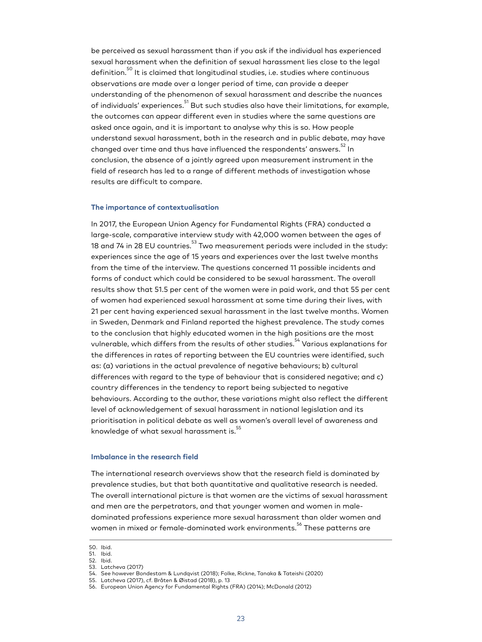be perceived as sexual harassment than if you ask if the individual has experienced sexual harassment when the definition of sexual harassment lies close to the legal definition.<sup>50</sup> It is claimed that longitudinal studies, i.e. studies where continuous observations are made over a longer period of time, can provide a deeper understanding of the phenomenon of sexual harassment and describe the nuances of individuals' experiences.<sup>51</sup> But such studies also have their limitations, for example, the outcomes can appear different even in studies where the same questions are asked once again, and it is important to analyse why this is so. How people understand sexual harassment, both in the research and in public debate, may have changed over time and thus have influenced the respondents' answers.<sup>52</sup> In conclusion, the absence of a jointly agreed upon measurement instrument in the field of research has led to a range of different methods of investigation whose results are difficult to compare.

#### **The importance of contextualisation**

In 2017, the European Union Agency for Fundamental Rights (FRA) conducted a large-scale, comparative interview study with 42,000 women between the ages of 18 and 74 in 28 EU countries.<sup>53</sup> Two measurement periods were included in the study: experiences since the age of 15 years and experiences over the last twelve months from the time of the interview. The questions concerned 11 possible incidents and forms of conduct which could be considered to be sexual harassment. The overall results show that 51.5 per cent of the women were in paid work, and that 55 per cent of women had experienced sexual harassment at some time during their lives, with 21 per cent having experienced sexual harassment in the last twelve months. Women in Sweden, Denmark and Finland reported the highest prevalence. The study comes to the conclusion that highly educated women in the high positions are the most vulnerable, which differs from the results of other studies. $^{\rm 54}$  Various explanations for the differences in rates of reporting between the EU countries were identified, such as: (a) variations in the actual prevalence of negative behaviours; b) cultural differences with regard to the type of behaviour that is considered negative; and c) country differences in the tendency to report being subjected to negative behaviours. According to the author, these variations might also reflect the different level of acknowledgement of sexual harassment in national legislation and its prioritisation in political debate as well as women's overall level of awareness and knowledge of what sexual harassment is.<sup>55</sup>

#### **Imbalance in the research field**

The international research overviews show that the research field is dominated by prevalence studies, but that both quantitative and qualitative research is needed. The overall international picture is that women are the victims of sexual harassment and men are the perpetrators, and that younger women and women in maledominated professions experience more sexual harassment than older women and women in mixed or female-dominated work environments. <sup>56</sup> These patterns are

<sup>50.</sup> Ibid.

<sup>51.</sup> Ibid. 52. Ibid.

<sup>53.</sup> Latcheva (2017)

<sup>54.</sup> See however Bondestam & Lundqvist (2018); Folke, Rickne, Tanaka & Tateishi (2020)

<sup>55.</sup> Latcheva (2017), cf. Bråten & Øistad (2018), p. 13

<sup>56.</sup> European Union Agency for Fundamental Rights (FRA) (2014); McDonald (2012)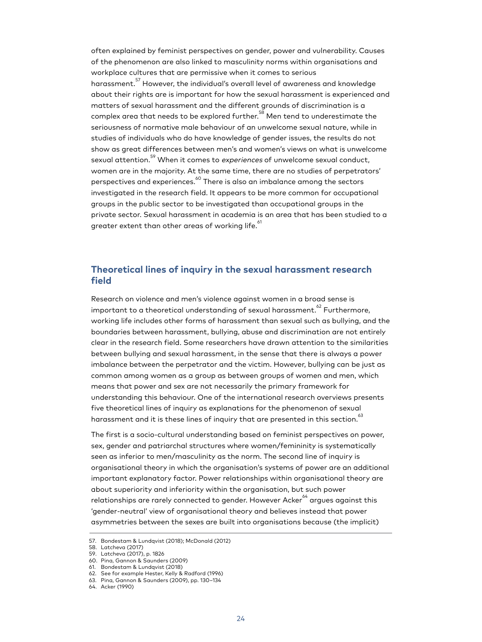often explained by feminist perspectives on gender, power and vulnerability. Causes of the phenomenon are also linked to masculinity norms within organisations and workplace cultures that are permissive when it comes to serious harassment.<sup>57</sup> However, the individual's overall level of awareness and knowledge about their rights are is important for how the sexual harassment is experienced and matters of sexual harassment and the different grounds of discrimination is a complex area that needs to be explored further. <sup>58</sup> Men tend to underestimate the seriousness of normative male behaviour of an unwelcome sexual nature, while in studies of individuals who do have knowledge of gender issues, the results do not show as great differences between men's and women's views on what is unwelcome sexual attention.<sup>59</sup> When it comes to *experiences* of unwelcome sexual conduct, women are in the majority. At the same time, there are no studies of perpetrators' perspectives and experiences. $^\mathrm{60}$  There is also an imbalance among the sectors investigated in the research field. It appears to be more common for occupational groups in the public sector to be investigated than occupational groups in the private sector. Sexual harassment in academia is an area that has been studied to a greater extent than other areas of working life. $^\mathrm{61}$ 

#### <span id="page-22-0"></span>**Theoretical lines of inquiry in the sexual harassment research field**

Research on violence and men's violence against women in a broad sense is important to a theoretical understanding of sexual harassment. $^{\rm 62}$  Furthermore, working life includes other forms of harassment than sexual such as bullying, and the boundaries between harassment, bullying, abuse and discrimination are not entirely clear in the research field. Some researchers have drawn attention to the similarities between bullying and sexual harassment, in the sense that there is always a power imbalance between the perpetrator and the victim. However, bullying can be just as common among women as a group as between groups of women and men, which means that power and sex are not necessarily the primary framework for understanding this behaviour. One of the international research overviews presents five theoretical lines of inquiry as explanations for the phenomenon of sexual harassment and it is these lines of inquiry that are presented in this section.<sup>63</sup>

The first is a socio-cultural understanding based on feminist perspectives on power, sex, gender and patriarchal structures where women/femininity is systematically seen as inferior to men/masculinity as the norm. The second line of inquiry is organisational theory in which the organisation's systems of power are an additional important explanatory factor. Power relationships within organisational theory are about superiority and inferiority within the organisation, but such power relationships are rarely connected to gender. However Acker $\overset{\scriptscriptstyle\wedge}{\scriptscriptstyle\circ}$  argues against this 'gender-neutral' view of organisational theory and believes instead that power asymmetries between the sexes are built into organisations because (the implicit)

<sup>57.</sup> Bondestam & Lundqvist (2018); McDonald (2012)

<sup>58.</sup> Latcheva (2017)

<sup>59.</sup> Latcheva (2017), p. 1826

<sup>60.</sup> Pina, Gannon & Saunders (2009) 61. Bondestam & Lundqvist (2018)

<sup>62.</sup> See for example Hester, Kelly & Radford (1996)

<sup>63.</sup> Pina, Gannon & Saunders (2009), pp. 130–134

<sup>64.</sup> Acker (1990)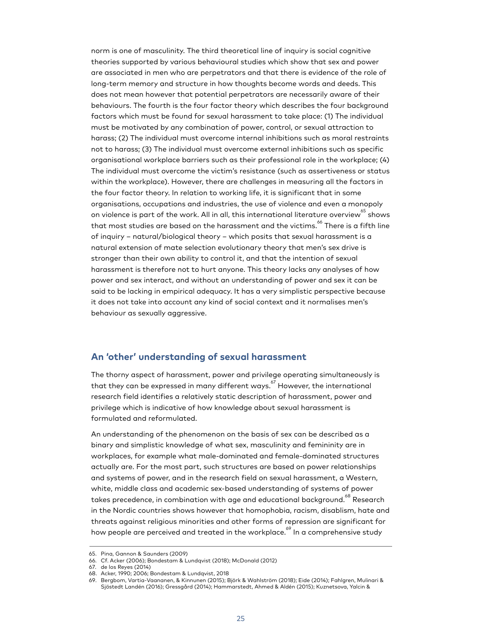norm is one of masculinity. The third theoretical line of inquiry is social cognitive theories supported by various behavioural studies which show that sex and power are associated in men who are perpetrators and that there is evidence of the role of long-term memory and structure in how thoughts become words and deeds. This does not mean however that potential perpetrators are necessarily aware of their behaviours. The fourth is the four factor theory which describes the four background factors which must be found for sexual harassment to take place: (1) The individual must be motivated by any combination of power, control, or sexual attraction to harass; (2) The individual must overcome internal inhibitions such as moral restraints not to harass; (3) The individual must overcome external inhibitions such as specific organisational workplace barriers such as their professional role in the workplace; (4) The individual must overcome the victim's resistance (such as assertiveness or status within the workplace). However, there are challenges in measuring all the factors in the four factor theory. In relation to working life, it is significant that in some organisations, occupations and industries, the use of violence and even a monopoly on violence is part of the work. All in all, this international literature overview $^\mathrm{65}$  shows that most studies are based on the harassment and the victims. $\overset{\text{\tiny{66}}}{ }$  There is a fifth line of inquiry – natural/biological theory – which posits that sexual harassment is a natural extension of mate selection evolutionary theory that men's sex drive is stronger than their own ability to control it, and that the intention of sexual harassment is therefore not to hurt anyone. This theory lacks any analyses of how power and sex interact, and without an understanding of power and sex it can be said to be lacking in empirical adequacy. It has a very simplistic perspective because it does not take into account any kind of social context and it normalises men's behaviour as sexually aggressive.

#### <span id="page-23-0"></span>**An 'other' understanding of sexual harassment**

The thorny aspect of harassment, power and privilege operating simultaneously is that they can be expressed in many different ways. 67 However, the international research field identifies a relatively static description of harassment, power and privilege which is indicative of how knowledge about sexual harassment is formulated and reformulated.

An understanding of the phenomenon on the basis of sex can be described as a binary and simplistic knowledge of what sex, masculinity and femininity are in workplaces, for example what male-dominated and female-dominated structures actually are. For the most part, such structures are based on power relationships and systems of power, and in the research field on sexual harassment, a Western, white, middle class and academic sex-based understanding of systems of power takes precedence, in combination with age and educational background.<sup>68</sup> Research in the Nordic countries shows however that homophobia, racism, disablism, hate and threats against religious minorities and other forms of repression are significant for how people are perceived and treated in the workplace.<sup>69</sup> In a comprehensive study

<sup>65.</sup> Pina, Gannon & Saunders (2009)

<sup>66.</sup> Cf. Acker (2006); Bondestam & Lundqvist (2018); McDonald (2012)

<sup>67.</sup> de los Reyes (2014)

<sup>68.</sup> Acker, 1990; 2006; Bondestam & Lundqvist, 2018

<sup>69.</sup> Bergbom, Vartia-Vaananen, & Kinnunen (2015); Björk & Wahlström (2018); Eide (2014); Fahlgren, Mulinari & Sjöstedt Landén (2016); Gressgård (2014); Hammarstedt, Ahmed & Aldén (2015); Kuznetsova, Yalcin &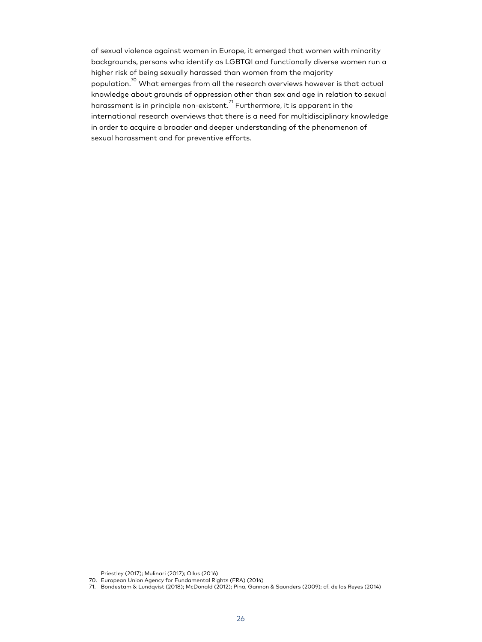of sexual violence against women in Europe, it emerged that women with minority backgrounds, persons who identify as LGBTQI and functionally diverse women run a higher risk of being sexually harassed than women from the majority population.<sup>70</sup> What emerges from all the research overviews however is that actual knowledge about grounds of oppression other than sex and age in relation to sexual harassment is in principle non-existent. $^{\text{71}}$  Furthermore, it is apparent in the international research overviews that there is a need for multidisciplinary knowledge in order to acquire a broader and deeper understanding of the phenomenon of sexual harassment and for preventive efforts.

Priestley (2017); Mulinari (2017); Ollus (2016)

<sup>70.</sup> European Union Agency for Fundamental Rights (FRA) (2014)

<sup>71.</sup> Bondestam & Lundqvist (2018); McDonald (2012); Pina, Gannon & Saunders (2009); cf. de los Reyes (2014)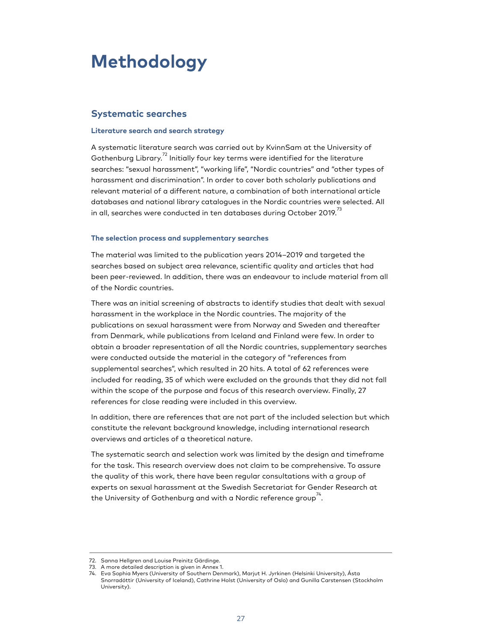# <span id="page-25-0"></span>**Methodology**

#### <span id="page-25-1"></span>**Systematic searches**

#### **Literature search and search strategy**

A systematic literature search was carried out by KvinnSam at the University of Gothenburg Library.<sup>72</sup> Initially four key terms were identified for the literature searches: "sexual harassment", "working life", "Nordic countries" and "other types of harassment and discrimination". In order to cover both scholarly publications and relevant material of a different nature, a combination of both international article databases and national library catalogues in the Nordic countries were selected. All in all, searches were conducted in ten databases during October 2019. $^{73}$ 

#### **The selection process and supplementary searches**

The material was limited to the publication years 2014–2019 and targeted the searches based on subject area relevance, scientific quality and articles that had been peer-reviewed. In addition, there was an endeavour to include material from all of the Nordic countries.

There was an initial screening of abstracts to identify studies that dealt with sexual harassment in the workplace in the Nordic countries. The majority of the publications on sexual harassment were from Norway and Sweden and thereafter from Denmark, while publications from Iceland and Finland were few. In order to obtain a broader representation of all the Nordic countries, supplementary searches were conducted outside the material in the category of "references from supplemental searches", which resulted in 20 hits. A total of 62 references were included for reading, 35 of which were excluded on the grounds that they did not fall within the scope of the purpose and focus of this research overview. Finally, 27 references for close reading were included in this overview.

In addition, there are references that are not part of the included selection but which constitute the relevant background knowledge, including international research overviews and articles of a theoretical nature.

The systematic search and selection work was limited by the design and timeframe for the task. This research overview does not claim to be comprehensive. To assure the quality of this work, there have been regular consultations with a group of experts on sexual harassment at the Swedish Secretariat for Gender Research at the University of Gothenburg and with a Nordic reference group  $^{\text{74}}$  .

<sup>72.</sup> Sanna Hellgren and Louise Preinitz Gärdinge.

<sup>73.</sup> A more detailed description is given in Annex 1.

<sup>74.</sup> Eva Sophia Myers (University of Southern Denmark), Marjut H. Jyrkinen (Helsinki University), Ásta Snorradóttir (University of Iceland), Cathrine Holst (University of Oslo) and Gunilla Carstensen (Stockholm University).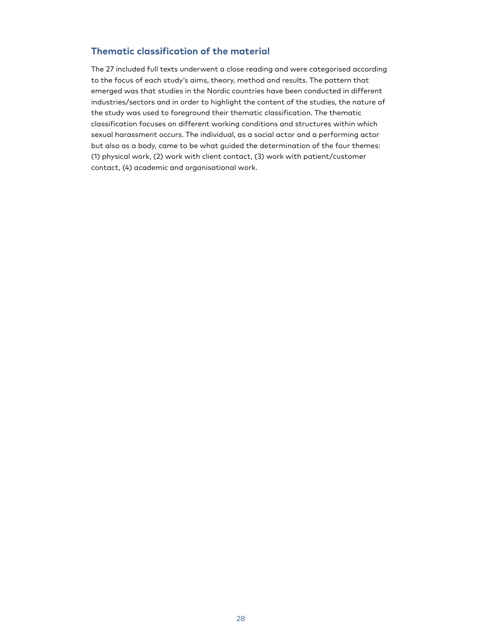#### <span id="page-26-0"></span>**Thematic classification of the material**

The 27 included full texts underwent a close reading and were categorised according to the focus of each study's aims, theory, method and results. The pattern that emerged was that studies in the Nordic countries have been conducted in different industries/sectors and in order to highlight the content of the studies, the nature of the study was used to foreground their thematic classification. The thematic classification focuses on different working conditions and structures within which sexual harassment occurs. The individual, as a social actor and a performing actor but also as a body, came to be what guided the determination of the four themes: (1) physical work, (2) work with client contact, (3) work with patient/customer contact, (4) academic and organisational work.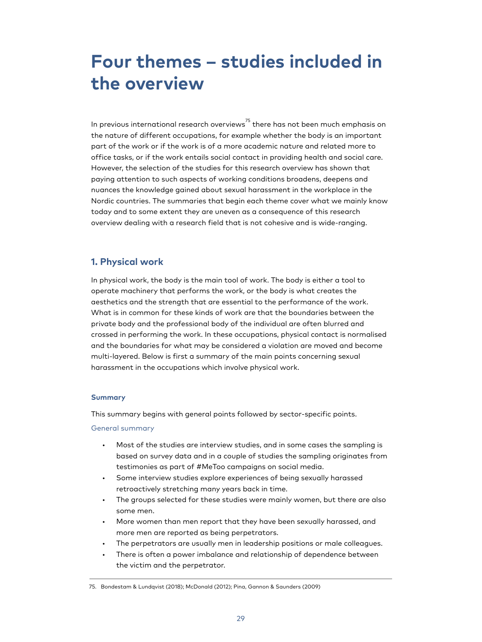# <span id="page-27-0"></span>**Four themes – studies included in the overview**

In previous international research overviews $^{\mathrm{75}}$  there has not been much emphasis on the nature of different occupations, for example whether the body is an important part of the work or if the work is of a more academic nature and related more to office tasks, or if the work entails social contact in providing health and social care. However, the selection of the studies for this research overview has shown that paying attention to such aspects of working conditions broadens, deepens and nuances the knowledge gained about sexual harassment in the workplace in the Nordic countries. The summaries that begin each theme cover what we mainly know today and to some extent they are uneven as a consequence of this research overview dealing with a research field that is not cohesive and is wide-ranging.

#### <span id="page-27-1"></span>**1. Physical work**

In physical work, the body is the main tool of work. The body is either a tool to operate machinery that performs the work, or the body is what creates the aesthetics and the strength that are essential to the performance of the work. What is in common for these kinds of work are that the boundaries between the private body and the professional body of the individual are often blurred and crossed in performing the work. In these occupations, physical contact is normalised and the boundaries for what may be considered a violation are moved and become multi-layered. Below is first a summary of the main points concerning sexual harassment in the occupations which involve physical work.

#### **Summary**

This summary begins with general points followed by sector-specific points.

#### General summary

- Most of the studies are interview studies, and in some cases the sampling is based on survey data and in a couple of studies the sampling originates from testimonies as part of #MeToo campaigns on social media.
- Some interview studies explore experiences of being sexually harassed retroactively stretching many years back in time.
- The groups selected for these studies were mainly women, but there are also some men.
- More women than men report that they have been sexually harassed, and more men are reported as being perpetrators.
- The perpetrators are usually men in leadership positions or male colleagues.
- There is often a power imbalance and relationship of dependence between the victim and the perpetrator.

<sup>75.</sup> Bondestam & Lundqvist (2018); McDonald (2012); Pina, Gannon & Saunders (2009)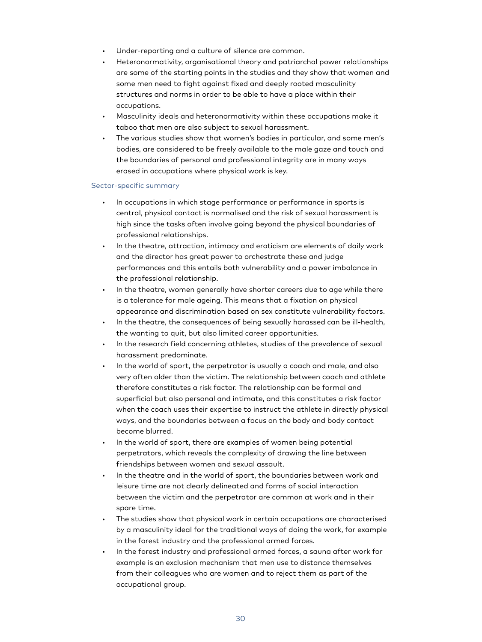- Under-reporting and a culture of silence are common.
- Heteronormativity, organisational theory and patriarchal power relationships are some of the starting points in the studies and they show that women and some men need to fight against fixed and deeply rooted masculinity structures and norms in order to be able to have a place within their occupations.
- Masculinity ideals and heteronormativity within these occupations make it taboo that men are also subject to sexual harassment.
- The various studies show that women's bodies in particular, and some men's bodies, are considered to be freely available to the male gaze and touch and the boundaries of personal and professional integrity are in many ways erased in occupations where physical work is key.

#### Sector-specific summary

- In occupations in which stage performance or performance in sports is central, physical contact is normalised and the risk of sexual harassment is high since the tasks often involve going beyond the physical boundaries of professional relationships.
- In the theatre, attraction, intimacy and eroticism are elements of daily work and the director has great power to orchestrate these and judge performances and this entails both vulnerability and a power imbalance in the professional relationship.
- In the theatre, women generally have shorter careers due to age while there is a tolerance for male ageing. This means that a fixation on physical appearance and discrimination based on sex constitute vulnerability factors.
- In the theatre, the consequences of being sexually harassed can be ill-health, the wanting to quit, but also limited career opportunities.
- In the research field concerning athletes, studies of the prevalence of sexual harassment predominate.
- In the world of sport, the perpetrator is usually a coach and male, and also very often older than the victim. The relationship between coach and athlete therefore constitutes a risk factor. The relationship can be formal and superficial but also personal and intimate, and this constitutes a risk factor when the coach uses their expertise to instruct the athlete in directly physical ways, and the boundaries between a focus on the body and body contact become blurred.
- In the world of sport, there are examples of women being potential perpetrators, which reveals the complexity of drawing the line between friendships between women and sexual assault.
- In the theatre and in the world of sport, the boundaries between work and leisure time are not clearly delineated and forms of social interaction between the victim and the perpetrator are common at work and in their spare time.
- The studies show that physical work in certain occupations are characterised by a masculinity ideal for the traditional ways of doing the work, for example in the forest industry and the professional armed forces.
- In the forest industry and professional armed forces, a sauna after work for example is an exclusion mechanism that men use to distance themselves from their colleagues who are women and to reject them as part of the occupational group.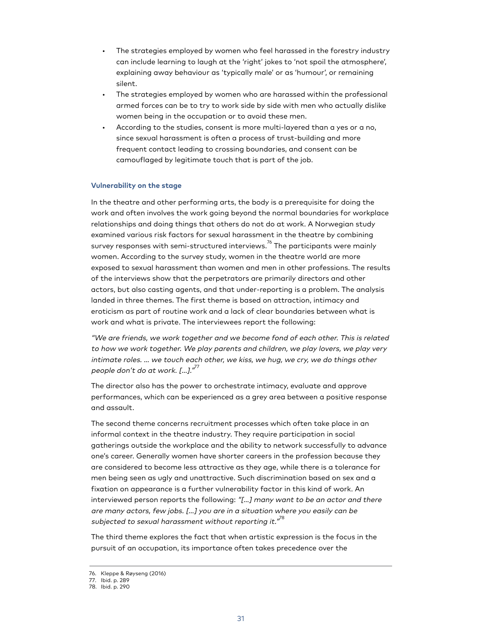- The strategies employed by women who feel harassed in the forestry industry can include learning to laugh at the 'right' jokes to 'not spoil the atmosphere', explaining away behaviour as 'typically male' or as 'humour', or remaining silent.
- The strategies employed by women who are harassed within the professional armed forces can be to try to work side by side with men who actually dislike women being in the occupation or to avoid these men.
- According to the studies, consent is more multi-layered than a yes or a no, since sexual harassment is often a process of trust-building and more frequent contact leading to crossing boundaries, and consent can be camouflaged by legitimate touch that is part of the job.

#### **Vulnerability on the stage**

In the theatre and other performing arts, the body is a prerequisite for doing the work and often involves the work going beyond the normal boundaries for workplace relationships and doing things that others do not do at work. A Norwegian study examined various risk factors for sexual harassment in the theatre by combining survey responses with semi-structured interviews. $^{\text{76}}$  The participants were mainly women. According to the survey study, women in the theatre world are more exposed to sexual harassment than women and men in other professions. The results of the interviews show that the perpetrators are primarily directors and other actors, but also casting agents, and that under-reporting is a problem. The analysis landed in three themes. The first theme is based on attraction, intimacy and eroticism as part of routine work and a lack of clear boundaries between what is work and what is private. The interviewees report the following:

"We are friends, we work together and we become fond of each other. This is related to how we work together. We play parents and children, we play lovers, we play very intimate roles. … we touch each other, we kiss, we hug, we cry, we do things other people don't do at work. [...]."<sup>77</sup>

The director also has the power to orchestrate intimacy, evaluate and approve performances, which can be experienced as a grey area between a positive response and assault.

The second theme concerns recruitment processes which often take place in an informal context in the theatre industry. They require participation in social gatherings outside the workplace and the ability to network successfully to advance one's career. Generally women have shorter careers in the profession because they are considered to become less attractive as they age, while there is a tolerance for men being seen as ugly and unattractive. Such discrimination based on sex and a fixation on appearance is a further vulnerability factor in this kind of work. An interviewed person reports the following: "[…] many want to be an actor and there are many actors, few jobs. […] you are in a situation where you easily can be subjected to sexual harassment without reporting it." $^{\mathrm{78}}$ 

The third theme explores the fact that when artistic expression is the focus in the pursuit of an occupation, its importance often takes precedence over the

<sup>76.</sup> Kleppe & Røyseng (2016)

<sup>77.</sup> Ibid. p. 289

<sup>78.</sup> Ibid. p. 290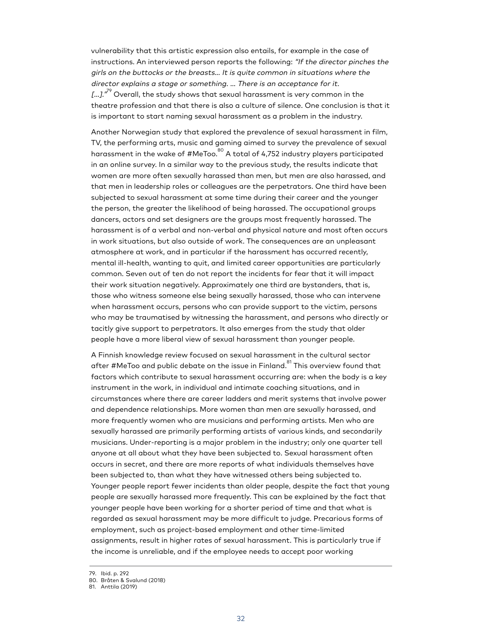vulnerability that this artistic expression also entails, for example in the case of instructions. An interviewed person reports the following: "If the director pinches the girls on the buttocks or the breasts… It is quite common in situations where the director explains a stage or something. … There is an acceptance for it. […]." $^{79}$  Overall, the study shows that sexual harassment is very common in the theatre profession and that there is also a culture of silence. One conclusion is that it is important to start naming sexual harassment as a problem in the industry.

Another Norwegian study that explored the prevalence of sexual harassment in film, TV, the performing arts, music and gaming aimed to survey the prevalence of sexual harassment in the wake of #MeToo.<sup>80</sup> A total of 4,752 industry players participated in an online survey. In a similar way to the previous study, the results indicate that women are more often sexually harassed than men, but men are also harassed, and that men in leadership roles or colleagues are the perpetrators. One third have been subjected to sexual harassment at some time during their career and the younger the person, the greater the likelihood of being harassed. The occupational groups dancers, actors and set designers are the groups most frequently harassed. The harassment is of a verbal and non-verbal and physical nature and most often occurs in work situations, but also outside of work. The consequences are an unpleasant atmosphere at work, and in particular if the harassment has occurred recently, mental ill-health, wanting to quit, and limited career opportunities are particularly common. Seven out of ten do not report the incidents for fear that it will impact their work situation negatively. Approximately one third are bystanders, that is, those who witness someone else being sexually harassed, those who can intervene when harassment occurs, persons who can provide support to the victim, persons who may be traumatised by witnessing the harassment, and persons who directly or tacitly give support to perpetrators. It also emerges from the study that older people have a more liberal view of sexual harassment than younger people.

A Finnish knowledge review focused on sexual harassment in the cultural sector after #MeToo and public debate on the issue in Finland.<sup>81</sup> This overview found that factors which contribute to sexual harassment occurring are: when the body is a key instrument in the work, in individual and intimate coaching situations, and in circumstances where there are career ladders and merit systems that involve power and dependence relationships. More women than men are sexually harassed, and more frequently women who are musicians and performing artists. Men who are sexually harassed are primarily performing artists of various kinds, and secondarily musicians. Under-reporting is a major problem in the industry; only one quarter tell anyone at all about what they have been subjected to. Sexual harassment often occurs in secret, and there are more reports of what individuals themselves have been subjected to, than what they have witnessed others being subjected to. Younger people report fewer incidents than older people, despite the fact that young people are sexually harassed more frequently. This can be explained by the fact that younger people have been working for a shorter period of time and that what is regarded as sexual harassment may be more difficult to judge. Precarious forms of employment, such as project-based employment and other time-limited assignments, result in higher rates of sexual harassment. This is particularly true if the income is unreliable, and if the employee needs to accept poor working

<sup>79.</sup> Ibid. p. 292

<sup>80.</sup> Bråten & Svalund (2018)

<sup>81.</sup> Anttila (2019)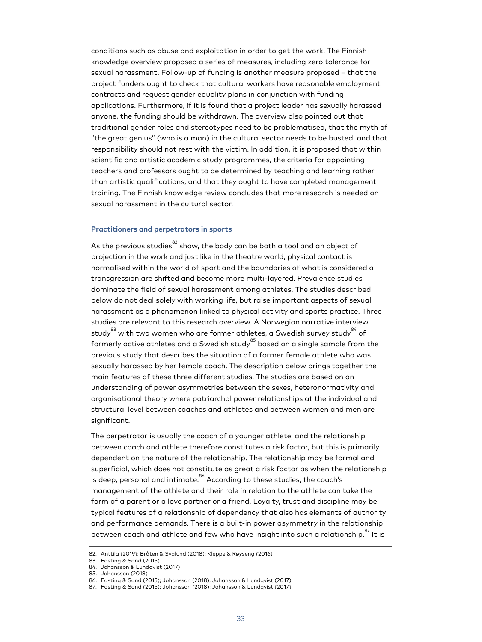conditions such as abuse and exploitation in order to get the work. The Finnish knowledge overview proposed a series of measures, including zero tolerance for sexual harassment. Follow-up of funding is another measure proposed – that the project funders ought to check that cultural workers have reasonable employment contracts and request gender equality plans in conjunction with funding applications. Furthermore, if it is found that a project leader has sexually harassed anyone, the funding should be withdrawn. The overview also pointed out that traditional gender roles and stereotypes need to be problematised, that the myth of "the great genius" (who is a man) in the cultural sector needs to be busted, and that responsibility should not rest with the victim. In addition, it is proposed that within scientific and artistic academic study programmes, the criteria for appointing teachers and professors ought to be determined by teaching and learning rather than artistic qualifications, and that they ought to have completed management training. The Finnish knowledge review concludes that more research is needed on sexual harassment in the cultural sector.

#### **Practitioners and perpetrators in sports**

As the previous studies $82$  show, the body can be both a tool and an object of projection in the work and just like in the theatre world, physical contact is normalised within the world of sport and the boundaries of what is considered a transgression are shifted and become more multi-layered. Prevalence studies dominate the field of sexual harassment among athletes. The studies described below do not deal solely with working life, but raise important aspects of sexual harassment as a phenomenon linked to physical activity and sports practice. Three studies are relevant to this research overview. A Norwegian narrative interview study $^{83}$  with two women who are former athletes, a Swedish survey study $^{84}$  of formerly active athletes and a Swedish study $^{85}$  based on a single sample from the previous study that describes the situation of a former female athlete who was sexually harassed by her female coach. The description below brings together the main features of these three different studies. The studies are based on an understanding of power asymmetries between the sexes, heteronormativity and organisational theory where patriarchal power relationships at the individual and structural level between coaches and athletes and between women and men are significant.

The perpetrator is usually the coach of a younger athlete, and the relationship between coach and athlete therefore constitutes a risk factor, but this is primarily dependent on the nature of the relationship. The relationship may be formal and superficial, which does not constitute as great a risk factor as when the relationship is deep, personal and intimate.<sup>86</sup> According to these studies, the coach's management of the athlete and their role in relation to the athlete can take the form of a parent or a love partner or a friend. Loyalty, trust and discipline may be typical features of a relationship of dependency that also has elements of authority and performance demands. There is a built-in power asymmetry in the relationship between coach and athlete and few who have insight into such a relationship. $^{\mathrm{87}}$  It is

<sup>82.</sup> Anttila (2019); Bråten & Svalund (2018); Kleppe & Røyseng (2016)

<sup>83.</sup> Fasting & Sand (2015)

<sup>84.</sup> Johansson & Lundqvist (2017) 85. Johansson (2018)

<sup>86.</sup> Fasting & Sand (2015); Johansson (2018); Johansson & Lundqvist (2017)

<sup>87.</sup> Fasting & Sand (2015); Johansson (2018); Johansson & Lundqvist (2017)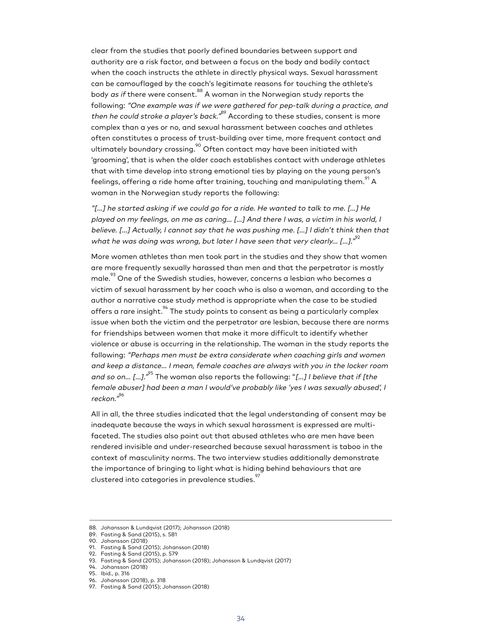clear from the studies that poorly defined boundaries between support and authority are a risk factor, and between a focus on the body and bodily contact when the coach instructs the athlete in directly physical ways. Sexual harassment can be camouflaged by the coach's legitimate reasons for touching the athlete's body *as if* there were consent.<sup>88</sup> A woman in the Norwegian study reports the following: "One example was if we were gathered for pep-talk during a practice, and then he could stroke a player's back."<sup>89</sup> According to these studies, consent is more complex than a yes or no, and sexual harassment between coaches and athletes often constitutes a process of trust-building over time, more frequent contact and ultimately boundary crossing. $^{90}$  Often contact may have been initiated with 'grooming', that is when the older coach establishes contact with underage athletes that with time develop into strong emotional ties by playing on the young person's feelings, offering a ride home after training, touching and manipulating them. $^{^{\mathrm{91}}}$  A woman in the Norwegian study reports the following:

"[…] he started asking if we could go for a ride. He wanted to talk to me. […] He played on my feelings, on me as caring… […] And there I was, a victim in his world, I believe. […] Actually, I cannot say that he was pushing me. […] I didn't think then that what he was doing was wrong, but later I have seen that very clearly... [...]." $^{22}$ 

More women athletes than men took part in the studies and they show that women are more frequently sexually harassed than men and that the perpetrator is mostly male. $^{23}$  One of the Swedish studies, however, concerns a lesbian who becomes a victim of sexual harassment by her coach who is also a woman, and according to the author a narrative case study method is appropriate when the case to be studied offers a rare insight.<sup>94</sup> The study points to consent as being a particularly complex issue when both the victim and the perpetrator are lesbian, because there are norms for friendships between women that make it more difficult to identify whether violence or abuse is occurring in the relationship. The woman in the study reports the following: "Perhaps men must be extra considerate when coaching girls and women and keep a distance… I mean, female coaches are always with you in the locker room and so on... [...]."<sup>95</sup> The woman also reports the following: "[...] I believe that if [the female abuser] had been a man I would've probably like 'yes I was sexually abused', I reckon." 96

All in all, the three studies indicated that the legal understanding of consent may be inadequate because the ways in which sexual harassment is expressed are multifaceted. The studies also point out that abused athletes who are men have been rendered invisible and under-researched because sexual harassment is taboo in the context of masculinity norms. The two interview studies additionally demonstrate the importance of bringing to light what is hiding behind behaviours that are clustered into categories in prevalence studies.<sup>97</sup>

<sup>88.</sup> Johansson & Lundqvist (2017); Johansson (2018)

<sup>89.</sup> Fasting & Sand (2015), s. 581

<sup>90.</sup> Johansson (2018)

<sup>91.</sup> Fasting & Sand (2015); Johansson (2018)

<sup>92.</sup> Fasting & Sand (2015), p. 579

<sup>93.</sup> Fasting & Sand (2015); Johansson (2018); Johansson & Lundqvist (2017)

<sup>94.</sup> Johansson (2018)

<sup>95.</sup> Ibid., p. 316

<sup>96.</sup> Johansson (2018), p. 318

<sup>97.</sup> Fasting & Sand (2015); Johansson (2018)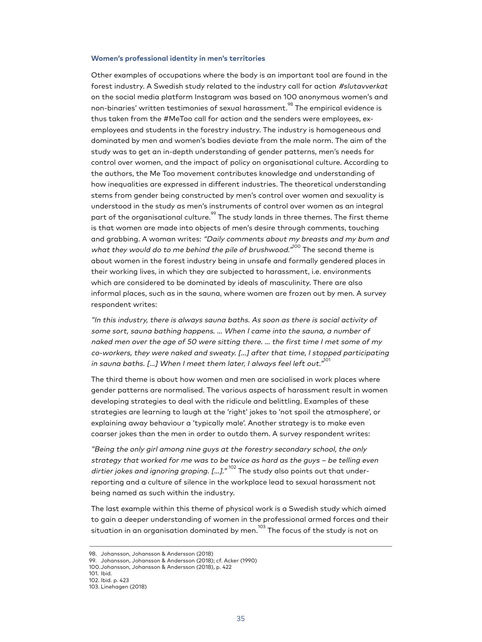#### **Women's professional identity in men's territories**

Other examples of occupations where the body is an important tool are found in the forest industry. A Swedish study related to the industry call for action #slutavverkat on the social media platform Instagram was based on 100 anonymous women's and non-binaries' written testimonies of sexual harassment. $^{^\mathrm{98}}$  The empirical evidence is thus taken from the #MeToo call for action and the senders were employees, exemployees and students in the forestry industry. The industry is homogeneous and dominated by men and women's bodies deviate from the male norm. The aim of the study was to get an in-depth understanding of gender patterns, men's needs for control over women, and the impact of policy on organisational culture. According to the authors, the Me Too movement contributes knowledge and understanding of how inequalities are expressed in different industries. The theoretical understanding stems from gender being constructed by men's control over women and sexuality is understood in the study as men's instruments of control over women as an integral part of the organisational culture. $^{^{99}}$  The study lands in three themes. The first theme is that women are made into objects of men's desire through comments, touching and grabbing. A woman writes: "Daily comments about my breasts and my bum and what they would do to me behind the pile of brushwood."<sup>100</sup> The second theme is about women in the forest industry being in unsafe and formally gendered places in their working lives, in which they are subjected to harassment, i.e. environments which are considered to be dominated by ideals of masculinity. There are also informal places, such as in the sauna, where women are frozen out by men. A survey respondent writes:

"In this industry, there is always sauna baths. As soon as there is social activity of some sort, sauna bathing happens. … When I came into the sauna, a number of naked men over the age of 50 were sitting there. … the first time I met some of my co-workers, they were naked and sweaty. […] after that time, I stopped participating in sauna baths. [...] When I meet them later, I always feel left out." $^{101}$ 

The third theme is about how women and men are socialised in work places where gender patterns are normalised. The various aspects of harassment result in women developing strategies to deal with the ridicule and belittling. Examples of these strategies are learning to laugh at the 'right' jokes to 'not spoil the atmosphere', or explaining away behaviour a 'typically male'. Another strategy is to make even coarser jokes than the men in order to outdo them. A survey respondent writes:

"Being the only girl among nine guys at the forestry secondary school, the only strategy that worked for me was to be twice as hard as the guys – be telling even dirtier jokes and ignoring groping. [...]." <sup>102</sup> The study also points out that underreporting and a culture of silence in the workplace lead to sexual harassment not being named as such within the industry.

The last example within this theme of physical work is a Swedish study which aimed to gain a deeper understanding of women in the professional armed forces and their situation in an organisation dominated by men. $^{\rm 103}$  The focus of the study is not on

102. Ibid. p. 423

<sup>98.</sup> Johansson, Johansson & Andersson (2018)

<sup>99.</sup> Johansson, Johansson & Andersson (2018); cf. Acker (1990)

<sup>100.</sup>Johansson, Johansson & Andersson (2018), p. 422 101. Ibid.

<sup>103.</sup> Linehagen (2018)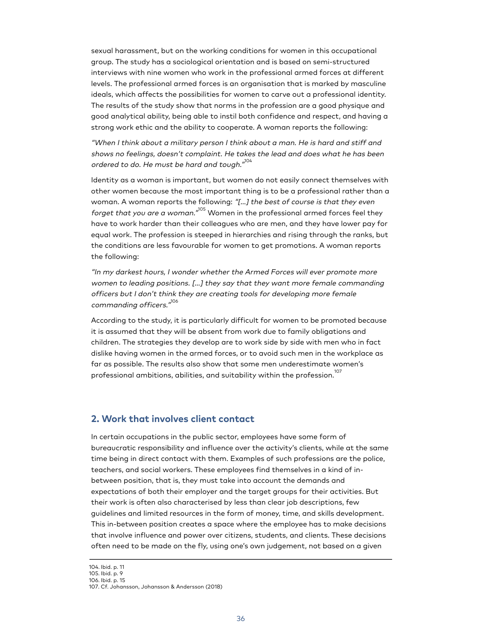sexual harassment, but on the working conditions for women in this occupational group. The study has a sociological orientation and is based on semi-structured interviews with nine women who work in the professional armed forces at different levels. The professional armed forces is an organisation that is marked by masculine ideals, which affects the possibilities for women to carve out a professional identity. The results of the study show that norms in the profession are a good physique and good analytical ability, being able to instil both confidence and respect, and having a strong work ethic and the ability to cooperate. A woman reports the following:

"When I think about a military person I think about a man. He is hard and stiff and shows no feelings, doesn't complaint. He takes the lead and does what he has been ordered to do. He must be hard and tough."<sup>104</sup>

Identity as a woman is important, but women do not easily connect themselves with other women because the most important thing is to be a professional rather than a woman. A woman reports the following: "[...] the best of course is that they even forget that you are a woman." $^{105}$  Women in the professional armed forces feel they have to work harder than their colleagues who are men, and they have lower pay for equal work. The profession is steeped in hierarchies and rising through the ranks, but the conditions are less favourable for women to get promotions. A woman reports the following:

"In my darkest hours, I wonder whether the Armed Forces will ever promote more women to leading positions. […] they say that they want more female commanding officers but I don't think they are creating tools for developing more female commanding officers." 106

According to the study, it is particularly difficult for women to be promoted because it is assumed that they will be absent from work due to family obligations and children. The strategies they develop are to work side by side with men who in fact dislike having women in the armed forces, or to avoid such men in the workplace as far as possible. The results also show that some men underestimate women's professional ambitions, abilities, and suitability within the profession.<sup>1</sup>

#### <span id="page-34-0"></span>**2. Work that involves client contact**

In certain occupations in the public sector, employees have some form of bureaucratic responsibility and influence over the activity's clients, while at the same time being in direct contact with them. Examples of such professions are the police, teachers, and social workers. These employees find themselves in a kind of inbetween position, that is, they must take into account the demands and expectations of both their employer and the target groups for their activities. But their work is often also characterised by less than clear job descriptions, few guidelines and limited resources in the form of money, time, and skills development. This in-between position creates a space where the employee has to make decisions that involve influence and power over citizens, students, and clients. These decisions often need to be made on the fly, using one's own judgement, not based on a given

<sup>104.</sup> Ibid. p. 11

<sup>105.</sup> Ibid. p. 9

<sup>106.</sup> Ibid. p. 15

<sup>107.</sup> Cf. Johansson, Johansson & Andersson (2018)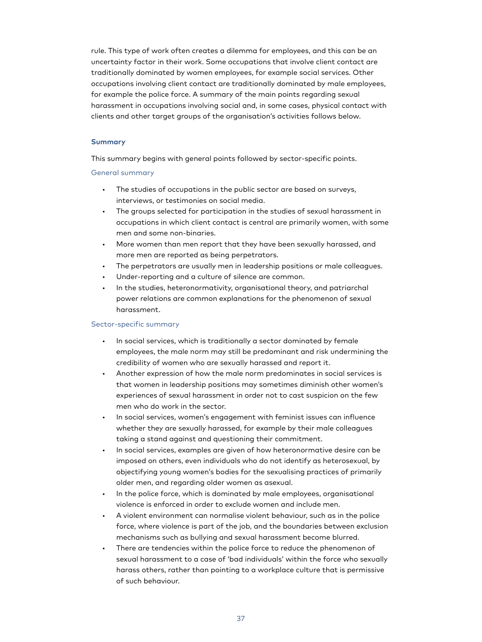rule. This type of work often creates a dilemma for employees, and this can be an uncertainty factor in their work. Some occupations that involve client contact are traditionally dominated by women employees, for example social services. Other occupations involving client contact are traditionally dominated by male employees, for example the police force. A summary of the main points regarding sexual harassment in occupations involving social and, in some cases, physical contact with clients and other target groups of the organisation's activities follows below.

#### **Summary**

This summary begins with general points followed by sector-specific points.

#### General summary

- The studies of occupations in the public sector are based on surveys, interviews, or testimonies on social media.
- The groups selected for participation in the studies of sexual harassment in occupations in which client contact is central are primarily women, with some men and some non-binaries.
- More women than men report that they have been sexually harassed, and more men are reported as being perpetrators.
- The perpetrators are usually men in leadership positions or male colleagues.
- Under-reporting and a culture of silence are common.
- In the studies, heteronormativity, organisational theory, and patriarchal power relations are common explanations for the phenomenon of sexual harassment.

#### Sector-specific summary

- In social services, which is traditionally a sector dominated by female employees, the male norm may still be predominant and risk undermining the credibility of women who are sexually harassed and report it.
- Another expression of how the male norm predominates in social services is that women in leadership positions may sometimes diminish other women's experiences of sexual harassment in order not to cast suspicion on the few men who do work in the sector.
- In social services, women's engagement with feminist issues can influence whether they are sexually harassed, for example by their male colleagues taking a stand against and questioning their commitment.
- In social services, examples are given of how heteronormative desire can be imposed on others, even individuals who do not identify as heterosexual, by objectifying young women's bodies for the sexualising practices of primarily older men, and regarding older women as asexual.
- In the police force, which is dominated by male employees, organisational violence is enforced in order to exclude women and include men.
- A violent environment can normalise violent behaviour, such as in the police force, where violence is part of the job, and the boundaries between exclusion mechanisms such as bullying and sexual harassment become blurred.
- There are tendencies within the police force to reduce the phenomenon of sexual harassment to a case of 'bad individuals' within the force who sexually harass others, rather than pointing to a workplace culture that is permissive of such behaviour.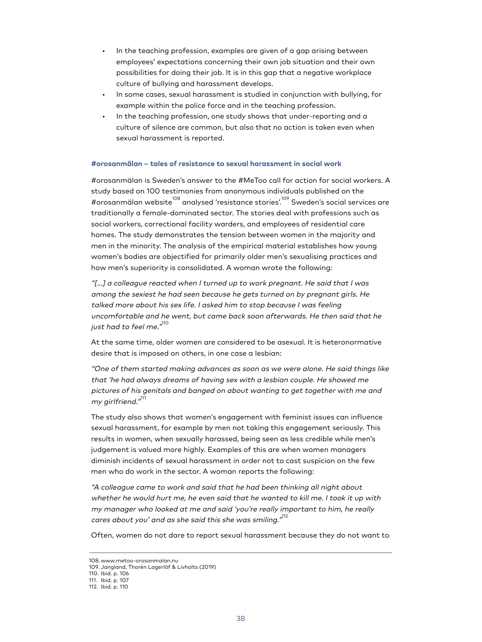- In the teaching profession, examples are given of a gap arising between employees' expectations concerning their own job situation and their own possibilities for doing their job. It is in this gap that a negative workplace culture of bullying and harassment develops.
- In some cases, sexual harassment is studied in conjunction with bullying, for example within the police force and in the teaching profession.
- In the teaching profession, one study shows that under-reporting and a culture of silence are common, but also that no action is taken even when sexual harassment is reported.

## **#orosanmälan – tales of resistance to sexual harassment in social work**

#orosanmälan is Sweden's answer to the #MeToo call for action for social workers. A study based on 100 testimonies from anonymous individuals published on the #orosanmälan website <sup>108</sup> analysed 'resistance stories'. <sup>109</sup> Sweden's social services are traditionally a female-dominated sector. The stories deal with professions such as social workers, correctional facility warders, and employees of residential care homes. The study demonstrates the tension between women in the majority and men in the minority. The analysis of the empirical material establishes how young women's bodies are objectified for primarily older men's sexualising practices and how men's superiority is consolidated. A woman wrote the following:

"[…] a colleague reacted when I turned up to work pregnant. He said that I was among the sexiest he had seen because he gets turned on by pregnant girls. He talked more about his sex life. I asked him to stop because I was feeling uncomfortable and he went, but came back soon afterwards. He then said that he just had to feel me."<sup>110</sup>

At the same time, older women are considered to be asexual. It is heteronormative desire that is imposed on others, in one case a lesbian:

"One of them started making advances as soon as we were alone. He said things like that 'he had always dreams of having sex with a lesbian couple. He showed me pictures of his genitals and banged on about wanting to get together with me and my girlfriend."<sup>111</sup>

The study also shows that women's engagement with feminist issues can influence sexual harassment, for example by men not taking this engagement seriously. This results in women, when sexually harassed, being seen as less credible while men's judgement is valued more highly. Examples of this are when women managers diminish incidents of sexual harassment in order not to cast suspicion on the few men who do work in the sector. A woman reports the following:

"A colleague came to work and said that he had been thinking all night about whether he would hurt me, he even said that he wanted to kill me. I took it up with my manager who looked at me and said 'you're really important to him, he really cares about you' and as she said this she was smiling." $^{\rm 112}$ 

Often, women do not dare to report sexual harassment because they do not want to

<sup>108.</sup> www.metoo-orosanmalan.nu

<sup>109.</sup> Jangland, Thorén Lagerlöf & Livholts (2019)

<sup>110.</sup> Ibid. p. 106

<sup>111.</sup> Ibid. p. 107

<sup>112.</sup> Ibid. p. 110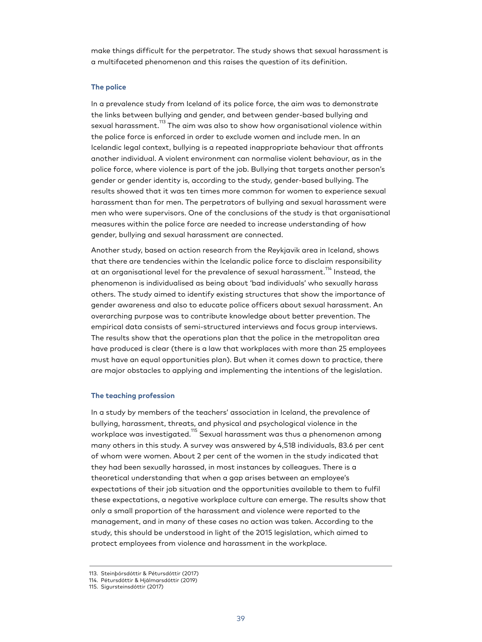make things difficult for the perpetrator. The study shows that sexual harassment is a multifaceted phenomenon and this raises the question of its definition.

#### **The police**

In a prevalence study from Iceland of its police force, the aim was to demonstrate the links between bullying and gender, and between gender-based bullying and sexual harassment.<sup>113</sup> The aim was also to show how organisational violence within the police force is enforced in order to exclude women and include men. In an Icelandic legal context, bullying is a repeated inappropriate behaviour that affronts another individual. A violent environment can normalise violent behaviour, as in the police force, where violence is part of the job. Bullying that targets another person's gender or gender identity is, according to the study, gender-based bullying. The results showed that it was ten times more common for women to experience sexual harassment than for men. The perpetrators of bullying and sexual harassment were men who were supervisors. One of the conclusions of the study is that organisational measures within the police force are needed to increase understanding of how gender, bullying and sexual harassment are connected.

Another study, based on action research from the Reykjavik area in Iceland, shows that there are tendencies within the Icelandic police force to disclaim responsibility at an organisational level for the prevalence of sexual harassment.<sup>114</sup> Instead, the phenomenon is individualised as being about 'bad individuals' who sexually harass others. The study aimed to identify existing structures that show the importance of gender awareness and also to educate police officers about sexual harassment. An overarching purpose was to contribute knowledge about better prevention. The empirical data consists of semi-structured interviews and focus group interviews. The results show that the operations plan that the police in the metropolitan area have produced is clear (there is a law that workplaces with more than 25 employees must have an equal opportunities plan). But when it comes down to practice, there are major obstacles to applying and implementing the intentions of the legislation.

#### **The teaching profession**

In a study by members of the teachers' association in Iceland, the prevalence of bullying, harassment, threats, and physical and psychological violence in the workplace was investigated.<sup>115</sup> Sexual harassment was thus a phenomenon among many others in this study. A survey was answered by 4,518 individuals, 83.6 per cent of whom were women. About 2 per cent of the women in the study indicated that they had been sexually harassed, in most instances by colleagues. There is a theoretical understanding that when a gap arises between an employee's expectations of their job situation and the opportunities available to them to fulfil these expectations, a negative workplace culture can emerge. The results show that only a small proportion of the harassment and violence were reported to the management, and in many of these cases no action was taken. According to the study, this should be understood in light of the 2015 legislation, which aimed to protect employees from violence and harassment in the workplace.

<sup>113.</sup> Steinþórsdóttir & Pétursdóttir (2017)

<sup>114.</sup> Pétursdóttir & Hjálmarsdóttir (2019)

<sup>115.</sup> Sigursteinsdóttir (2017)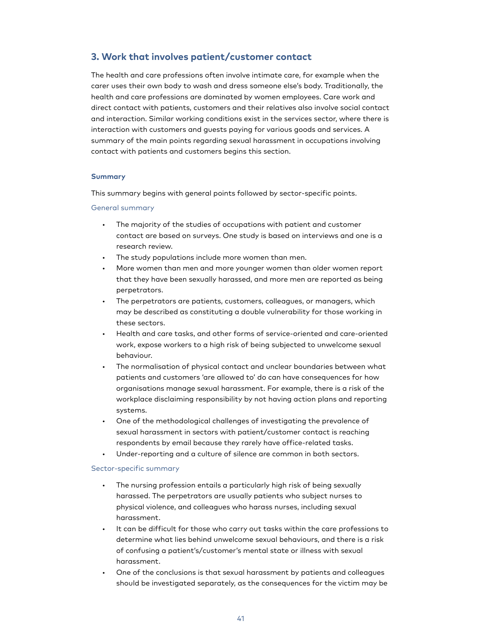# **3. Work that involves patient/customer contact**

The health and care professions often involve intimate care, for example when the carer uses their own body to wash and dress someone else's body. Traditionally, the health and care professions are dominated by women employees. Care work and direct contact with patients, customers and their relatives also involve social contact and interaction. Similar working conditions exist in the services sector, where there is interaction with customers and guests paying for various goods and services. A summary of the main points regarding sexual harassment in occupations involving contact with patients and customers begins this section.

## **Summary**

This summary begins with general points followed by sector-specific points.

## General summary

- The majority of the studies of occupations with patient and customer contact are based on surveys. One study is based on interviews and one is a research review.
- The study populations include more women than men.
- More women than men and more younger women than older women report that they have been sexually harassed, and more men are reported as being perpetrators.
- The perpetrators are patients, customers, colleagues, or managers, which may be described as constituting a double vulnerability for those working in these sectors.
- Health and care tasks, and other forms of service-oriented and care-oriented work, expose workers to a high risk of being subjected to unwelcome sexual behaviour.
- The normalisation of physical contact and unclear boundaries between what patients and customers 'are allowed to' do can have consequences for how organisations manage sexual harassment. For example, there is a risk of the workplace disclaiming responsibility by not having action plans and reporting systems.
- One of the methodological challenges of investigating the prevalence of sexual harassment in sectors with patient/customer contact is reaching respondents by email because they rarely have office-related tasks.
- Under-reporting and a culture of silence are common in both sectors.

## Sector-specific summary

- The nursing profession entails a particularly high risk of being sexually harassed. The perpetrators are usually patients who subject nurses to physical violence, and colleagues who harass nurses, including sexual harassment.
- It can be difficult for those who carry out tasks within the care professions to determine what lies behind unwelcome sexual behaviours, and there is a risk of confusing a patient's/customer's mental state or illness with sexual harassment.
- One of the conclusions is that sexual harassment by patients and colleagues should be investigated separately, as the consequences for the victim may be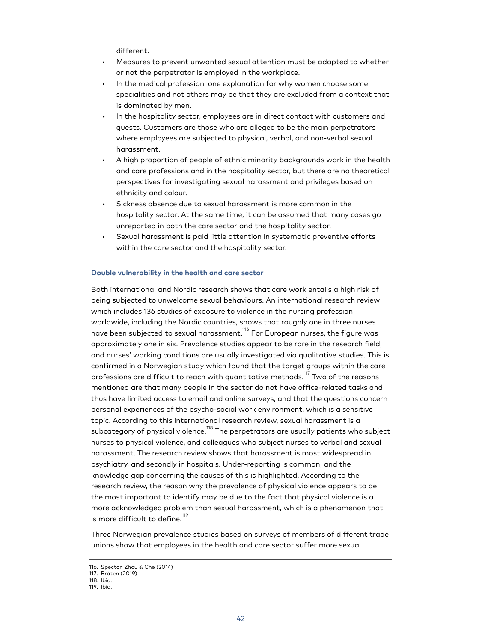different.

- Measures to prevent unwanted sexual attention must be adapted to whether or not the perpetrator is employed in the workplace.
- In the medical profession, one explanation for why women choose some specialities and not others may be that they are excluded from a context that is dominated by men.
- In the hospitality sector, employees are in direct contact with customers and guests. Customers are those who are alleged to be the main perpetrators where employees are subjected to physical, verbal, and non-verbal sexual harassment.
- A high proportion of people of ethnic minority backgrounds work in the health and care professions and in the hospitality sector, but there are no theoretical perspectives for investigating sexual harassment and privileges based on ethnicity and colour.
- Sickness absence due to sexual harassment is more common in the hospitality sector. At the same time, it can be assumed that many cases go unreported in both the care sector and the hospitality sector.
- Sexual harassment is paid little attention in systematic preventive efforts within the care sector and the hospitality sector.

## **Double vulnerability in the health and care sector**

Both international and Nordic research shows that care work entails a high risk of being subjected to unwelcome sexual behaviours. An international research review which includes 136 studies of exposure to violence in the nursing profession worldwide, including the Nordic countries, shows that roughly one in three nurses have been subjected to sexual harassment. $^{\rm 116}$  For European nurses, the figure was approximately one in six. Prevalence studies appear to be rare in the research field, and nurses' working conditions are usually investigated via qualitative studies. This is confirmed in a Norwegian study which found that the target groups within the care professions are difficult to reach with quantitative methods. $^{117}$  Two of the reasons mentioned are that many people in the sector do not have office-related tasks and thus have limited access to email and online surveys, and that the questions concern personal experiences of the psycho-social work environment, which is a sensitive topic. According to this international research review, sexual harassment is a subcategory of physical violence. $^{\rm 118}$  The perpetrators are usually patients who subject nurses to physical violence, and colleagues who subject nurses to verbal and sexual harassment. The research review shows that harassment is most widespread in psychiatry, and secondly in hospitals. Under-reporting is common, and the knowledge gap concerning the causes of this is highlighted. According to the research review, the reason why the prevalence of physical violence appears to be the most important to identify may be due to the fact that physical violence is a more acknowledged problem than sexual harassment, which is a phenomenon that is more difficult to define.<sup>119</sup>

Three Norwegian prevalence studies based on surveys of members of different trade unions show that employees in the health and care sector suffer more sexual

<sup>116.</sup> Spector, Zhou & Che (2014)

<sup>117.</sup> Bråten (2019) 118. Ibid.

<sup>119.</sup> Ibid.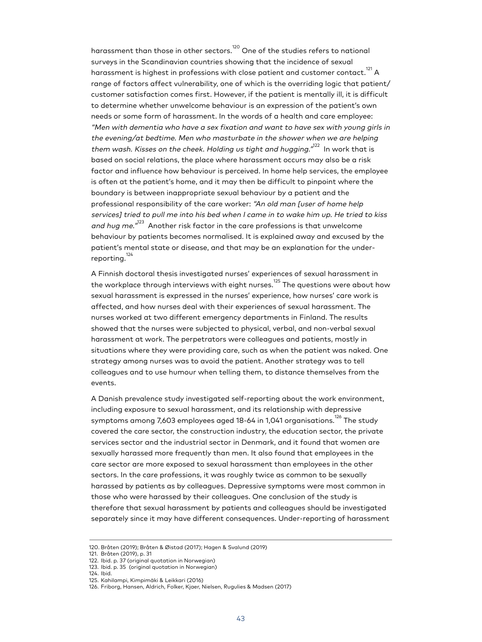harassment than those in other sectors.<sup>120</sup> One of the studies refers to national surveys in the Scandinavian countries showing that the incidence of sexual harassment is highest in professions with close patient and customer contact. $^{121}\,$ A range of factors affect vulnerability, one of which is the overriding logic that patient/ customer satisfaction comes first. However, if the patient is mentally ill, it is difficult to determine whether unwelcome behaviour is an expression of the patient's own needs or some form of harassment. In the words of a health and care employee: "Men with dementia who have a sex fixation and want to have sex with young girls in the evening/at bedtime. Men who masturbate in the shower when we are helping them wash. Kisses on the cheek. Holding us tight and hugging. $^{\prime^{\prime 22}}$  In work that is based on social relations, the place where harassment occurs may also be a risk factor and influence how behaviour is perceived. In home help services, the employee is often at the patient's home, and it may then be difficult to pinpoint where the boundary is between inappropriate sexual behaviour by a patient and the professional responsibility of the care worker: "An old man [user of home help services] tried to pull me into his bed when I came in to wake him up. He tried to kiss and hug me."<sup>123</sup> Another risk factor in the care professions is that unwelcome behaviour by patients becomes normalised. It is explained away and excused by the patient's mental state or disease, and that may be an explanation for the underreporting.<sup>124</sup>

A Finnish doctoral thesis investigated nurses' experiences of sexual harassment in the workplace through interviews with eight nurses. <sup>125</sup> The questions were about how sexual harassment is expressed in the nurses' experience, how nurses' care work is affected, and how nurses deal with their experiences of sexual harassment. The nurses worked at two different emergency departments in Finland. The results showed that the nurses were subjected to physical, verbal, and non-verbal sexual harassment at work. The perpetrators were colleagues and patients, mostly in situations where they were providing care, such as when the patient was naked. One strategy among nurses was to avoid the patient. Another strategy was to tell colleagues and to use humour when telling them, to distance themselves from the events.

A Danish prevalence study investigated self-reporting about the work environment, including exposure to sexual harassment, and its relationship with depressive symptoms among 7,603 employees aged 18-64 in 1,041 organisations.<sup>126</sup> The study covered the care sector, the construction industry, the education sector, the private services sector and the industrial sector in Denmark, and it found that women are sexually harassed more frequently than men. It also found that employees in the care sector are more exposed to sexual harassment than employees in the other sectors. In the care professions, it was roughly twice as common to be sexually harassed by patients as by colleagues. Depressive symptoms were most common in those who were harassed by their colleagues. One conclusion of the study is therefore that sexual harassment by patients and colleagues should be investigated separately since it may have different consequences. Under-reporting of harassment

124. Ibid.

<sup>120.</sup> Bråten (2019); Bråten & Øistad (2017); Hagen & Svalund (2019)

<sup>121.</sup> Bråten (2019), p. 31

<sup>122.</sup> Ibid. p. 37 (original quotation in Norwegian)

<sup>123.</sup> Ibid. p. 35 (original quotation in Norwegian)

<sup>125.</sup> Kahilampi, Kimpimäki & Leikkari (2016)

<sup>126.</sup> Friborg, Hansen, Aldrich, Folker, Kjaer, Nielsen, Rugulies & Madsen (2017)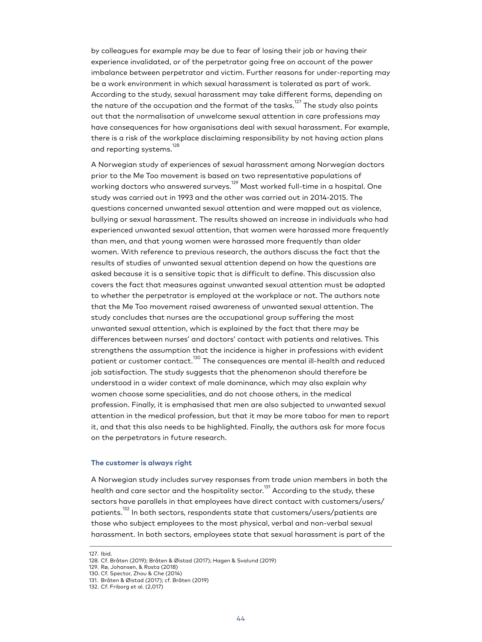by colleagues for example may be due to fear of losing their job or having their experience invalidated, or of the perpetrator going free on account of the power imbalance between perpetrator and victim. Further reasons for under-reporting may be a work environment in which sexual harassment is tolerated as part of work. According to the study, sexual harassment may take different forms, depending on the nature of the occupation and the format of the tasks. $^\mathrm{127}$  The study also points out that the normalisation of unwelcome sexual attention in care professions may have consequences for how organisations deal with sexual harassment. For example, there is a risk of the workplace disclaiming responsibility by not having action plans and reporting systems.<sup>128</sup>

A Norwegian study of experiences of sexual harassment among Norwegian doctors prior to the Me Too movement is based on two representative populations of working doctors who answered surveys. <sup>129</sup> Most worked full-time in a hospital. One study was carried out in 1993 and the other was carried out in 2014-2015. The questions concerned unwanted sexual attention and were mapped out as violence, bullying or sexual harassment. The results showed an increase in individuals who had experienced unwanted sexual attention, that women were harassed more frequently than men, and that young women were harassed more frequently than older women. With reference to previous research, the authors discuss the fact that the results of studies of unwanted sexual attention depend on how the questions are asked because it is a sensitive topic that is difficult to define. This discussion also covers the fact that measures against unwanted sexual attention must be adapted to whether the perpetrator is employed at the workplace or not. The authors note that the Me Too movement raised awareness of unwanted sexual attention. The study concludes that nurses are the occupational group suffering the most unwanted sexual attention, which is explained by the fact that there may be differences between nurses' and doctors' contact with patients and relatives. This strengthens the assumption that the incidence is higher in professions with evident patient or customer contact.<sup>130</sup> The consequences are mental ill-health and reduced job satisfaction. The study suggests that the phenomenon should therefore be understood in a wider context of male dominance, which may also explain why women choose some specialities, and do not choose others, in the medical profession. Finally, it is emphasised that men are also subjected to unwanted sexual attention in the medical profession, but that it may be more taboo for men to report it, and that this also needs to be highlighted. Finally, the authors ask for more focus on the perpetrators in future research.

# **The customer is always right**

A Norwegian study includes survey responses from trade union members in both the health and care sector and the hospitality sector.<sup>131</sup> According to the study, these sectors have parallels in that employees have direct contact with customers/users/ patients.<sup>132</sup> In both sectors, respondents state that customers/users/patients are those who subject employees to the most physical, verbal and non-verbal sexual harassment. In both sectors, employees state that sexual harassment is part of the

<sup>127.</sup> Ibid.

<sup>128.</sup> Cf. Bråten (2019); Bråten & Øistad (2017); Hagen & Svalund (2019)

<sup>129.</sup> Rø, Johansen, & Rosta (2018)

<sup>130.</sup> Cf. Spector, Zhou & Che (2014)

<sup>131.</sup> Bråten & Øistad (2017); cf. Bråten (2019)

<sup>132.</sup> Cf. Friborg et al. (2,017)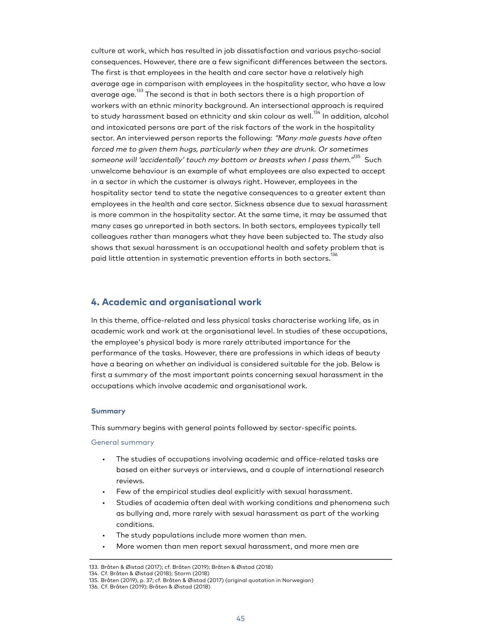culture at work, which has resulted in job dissatisfaction and various psycho-social consequences. However, there are a few significant differences between the sectors. The first is that employees in the health and care sector have a relatively high average age in comparison with employees in the hospitality sector, who have a low average age.<sup>133</sup> The second is that in both sectors there is a high proportion of workers with an ethnic minority background. An intersectional approach is required to study harassment based on ethnicity and skin colour as well.<sup>134</sup> In addition, alcohol and intoxicated persons are part of the risk factors of the work in the hospitality sector. An interviewed person reports the following: "Many male quests have often forced me to given them hugs, particularly when they are drunk. Or sometimes someone will 'accidentally' touch my bottom or breasts when I pass them.'<sup>,135</sup> Such unwelcome behaviour is an example of what employees are also expected to accept in a sector in which the customer is always right. However, employees in the hospitality sector tend to state the negative consequences to a greater extent than employees in the health and care sector. Sickness absence due to sexual harassment is more common in the hospitality sector. At the same time, it may be assumed that many cases go unreported in both sectors. In both sectors, employees typically tell colleagues rather than managers what they have been subjected to. The study also shows that sexual harassment is an occupational health and safety problem that is paid little attention in systematic prevention efforts in both sectors. $^{\rm 136}$ 

# **4. Academic and organisational work**

In this theme, office-related and less physical tasks characterise working life, as in academic work and work at the organisational level. In studies of these occupations, the employee's physical body is more rarely attributed importance for the performance of the tasks. However, there are professions in which ideas of beauty have a bearing on whether an individual is considered suitable for the job. Below is first a summary of the most important points concerning sexual harassment in the occupations which involve academic and organisational work.

#### **Summary**

This summary begins with general points followed by sector-specific points.

#### General summary

- The studies of occupations involving academic and office-related tasks are based on either surveys or interviews, and a couple of international research reviews.
- Few of the empirical studies deal explicitly with sexual harassment.
- Studies of academia often deal with working conditions and phenomena such as bullying and, more rarely with sexual harassment as part of the working conditions.
- The study populations include more women than men.
- More women than men report sexual harassment, and more men are

<sup>133.</sup> Bråten & Øistad (2017); cf. Bråten (2019); Bråten & Øistad (2018)

<sup>134.</sup> Cf. Bråten & Øistad (2018); Storm (2018)

<sup>135.</sup> Bråten (2019), p. 37; cf. Bråten & Øistad (2017) (original quotation in Norwegian)

<sup>136.</sup> Cf. Bråten (2019); Bråten & Øistad (2018)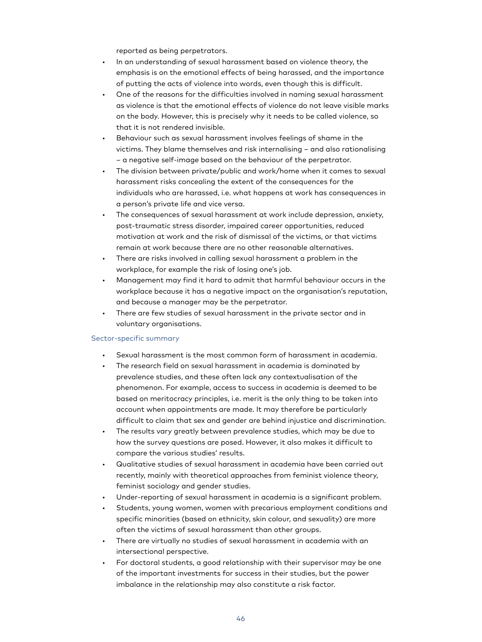reported as being perpetrators.

- In an understanding of sexual harassment based on violence theory, the emphasis is on the emotional effects of being harassed, and the importance of putting the acts of violence into words, even though this is difficult.
- One of the reasons for the difficulties involved in naming sexual harassment as violence is that the emotional effects of violence do not leave visible marks on the body. However, this is precisely why it needs to be called violence, so that it is not rendered invisible.
- Behaviour such as sexual harassment involves feelings of shame in the victims. They blame themselves and risk internalising – and also rationalising – a negative self-image based on the behaviour of the perpetrator.
- The division between private/public and work/home when it comes to sexual harassment risks concealing the extent of the consequences for the individuals who are harassed, i.e. what happens at work has consequences in a person's private life and vice versa.
- The consequences of sexual harassment at work include depression, anxiety, post-traumatic stress disorder, impaired career opportunities, reduced motivation at work and the risk of dismissal of the victims, or that victims remain at work because there are no other reasonable alternatives.
- There are risks involved in calling sexual harassment a problem in the workplace, for example the risk of losing one's job.
- Management may find it hard to admit that harmful behaviour occurs in the workplace because it has a negative impact on the organisation's reputation, and because a manager may be the perpetrator.
- There are few studies of sexual harassment in the private sector and in voluntary organisations.

## Sector-specific summary

- Sexual harassment is the most common form of harassment in academia.
- The research field on sexual harassment in academia is dominated by prevalence studies, and these often lack any contextualisation of the phenomenon. For example, access to success in academia is deemed to be based on meritocracy principles, i.e. merit is the only thing to be taken into account when appointments are made. It may therefore be particularly difficult to claim that sex and gender are behind injustice and discrimination.
- The results vary greatly between prevalence studies, which may be due to how the survey questions are posed. However, it also makes it difficult to compare the various studies' results.
- Qualitative studies of sexual harassment in academia have been carried out recently, mainly with theoretical approaches from feminist violence theory, feminist sociology and gender studies.
- Under-reporting of sexual harassment in academia is a significant problem.
- Students, young women, women with precarious employment conditions and specific minorities (based on ethnicity, skin colour, and sexuality) are more often the victims of sexual harassment than other groups.
- There are virtually no studies of sexual harassment in academia with an intersectional perspective.
- For doctoral students, a good relationship with their supervisor may be one of the important investments for success in their studies, but the power imbalance in the relationship may also constitute a risk factor.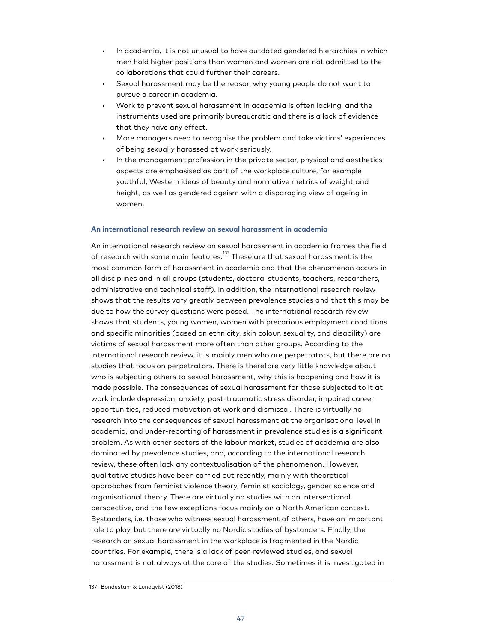- In academia, it is not unusual to have outdated gendered hierarchies in which men hold higher positions than women and women are not admitted to the collaborations that could further their careers.
- Sexual harassment may be the reason why young people do not want to pursue a career in academia.
- Work to prevent sexual harassment in academia is often lacking, and the instruments used are primarily bureaucratic and there is a lack of evidence that they have any effect.
- More managers need to recognise the problem and take victims' experiences of being sexually harassed at work seriously.
- In the management profession in the private sector, physical and aesthetics aspects are emphasised as part of the workplace culture, for example youthful, Western ideas of beauty and normative metrics of weight and height, as well as gendered ageism with a disparaging view of ageing in women.

#### **An international research review on sexual harassment in academia**

An international research review on sexual harassment in academia frames the field of research with some main features.<sup>137</sup> These are that sexual harassment is the most common form of harassment in academia and that the phenomenon occurs in all disciplines and in all groups (students, doctoral students, teachers, researchers, administrative and technical staff). In addition, the international research review shows that the results vary greatly between prevalence studies and that this may be due to how the survey questions were posed. The international research review shows that students, young women, women with precarious employment conditions and specific minorities (based on ethnicity, skin colour, sexuality, and disability) are victims of sexual harassment more often than other groups. According to the international research review, it is mainly men who are perpetrators, but there are no studies that focus on perpetrators. There is therefore very little knowledge about who is subjecting others to sexual harassment, why this is happening and how it is made possible. The consequences of sexual harassment for those subjected to it at work include depression, anxiety, post-traumatic stress disorder, impaired career opportunities, reduced motivation at work and dismissal. There is virtually no research into the consequences of sexual harassment at the organisational level in academia, and under-reporting of harassment in prevalence studies is a significant problem. As with other sectors of the labour market, studies of academia are also dominated by prevalence studies, and, according to the international research review, these often lack any contextualisation of the phenomenon. However, qualitative studies have been carried out recently, mainly with theoretical approaches from feminist violence theory, feminist sociology, gender science and organisational theory. There are virtually no studies with an intersectional perspective, and the few exceptions focus mainly on a North American context. Bystanders, i.e. those who witness sexual harassment of others, have an important role to play, but there are virtually no Nordic studies of bystanders. Finally, the research on sexual harassment in the workplace is fragmented in the Nordic countries. For example, there is a lack of peer-reviewed studies, and sexual harassment is not always at the core of the studies. Sometimes it is investigated in

<sup>137.</sup> Bondestam & Lundqvist (2018)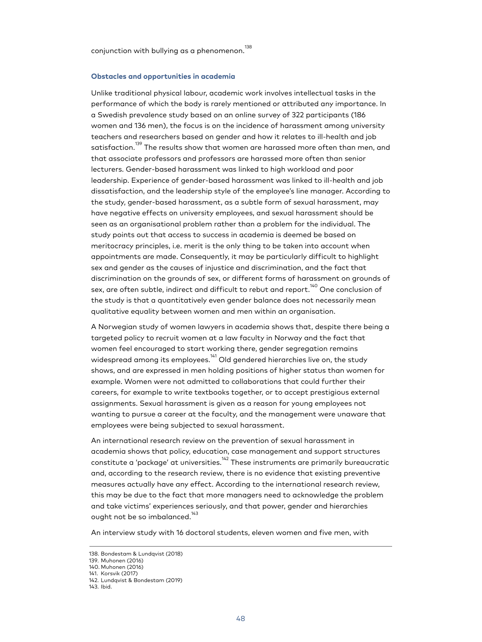conjunction with bullying as a phenomenon. $^{138}$ 

#### **Obstacles and opportunities in academia**

Unlike traditional physical labour, academic work involves intellectual tasks in the performance of which the body is rarely mentioned or attributed any importance. In a Swedish prevalence study based on an online survey of 322 participants (186 women and 136 men), the focus is on the incidence of harassment among university teachers and researchers based on gender and how it relates to ill-health and job satisfaction.<sup>139</sup> The results show that women are harassed more often than men, and that associate professors and professors are harassed more often than senior lecturers. Gender-based harassment was linked to high workload and poor leadership. Experience of gender-based harassment was linked to ill-health and job dissatisfaction, and the leadership style of the employee's line manager. According to the study, gender-based harassment, as a subtle form of sexual harassment, may have negative effects on university employees, and sexual harassment should be seen as an organisational problem rather than a problem for the individual. The study points out that access to success in academia is deemed be based on meritocracy principles, i.e. merit is the only thing to be taken into account when appointments are made. Consequently, it may be particularly difficult to highlight sex and gender as the causes of injustice and discrimination, and the fact that discrimination on the grounds of sex, or different forms of harassment on grounds of sex, are often subtle, indirect and difficult to rebut and report. $^{140}$  One conclusion of the study is that a quantitatively even gender balance does not necessarily mean qualitative equality between women and men within an organisation.

A Norwegian study of women lawyers in academia shows that, despite there being a targeted policy to recruit women at a law faculty in Norway and the fact that women feel encouraged to start working there, gender segregation remains widespread among its employees.<sup>141</sup> Old gendered hierarchies live on, the study shows, and are expressed in men holding positions of higher status than women for example. Women were not admitted to collaborations that could further their careers, for example to write textbooks together, or to accept prestigious external assignments. Sexual harassment is given as a reason for young employees not wanting to pursue a career at the faculty, and the management were unaware that employees were being subjected to sexual harassment.

An international research review on the prevention of sexual harassment in academia shows that policy, education, case management and support structures constitute a 'package' at universities.<sup>142</sup> These instruments are primarily bureaucratic and, according to the research review, there is no evidence that existing preventive measures actually have any effect. According to the international research review, this may be due to the fact that more managers need to acknowledge the problem and take victims' experiences seriously, and that power, gender and hierarchies ought not be so imbalanced.<sup>143</sup>

An interview study with 16 doctoral students, eleven women and five men, with

<sup>138.</sup> Bondestam & Lundqvist (2018)

<sup>139.</sup> Muhonen (2016)

<sup>140.</sup> Muhonen (2016) 141. Korsvik (2017)

<sup>142.</sup> Lundqvist & Bondestam (2019)

<sup>143.</sup> Ibid.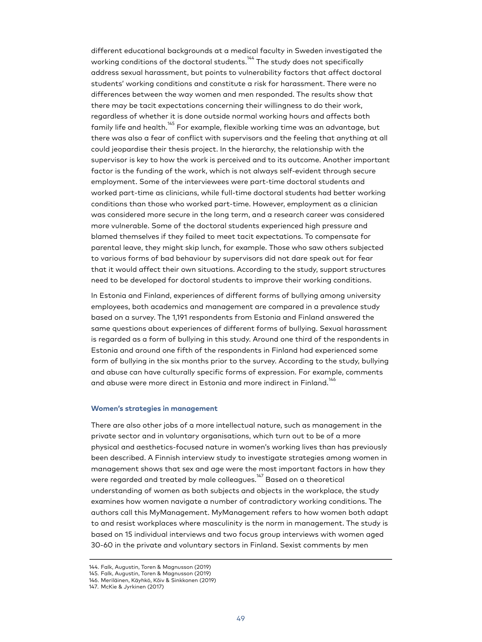different educational backgrounds at a medical faculty in Sweden investigated the working conditions of the doctoral students.<sup>144</sup> The study does not specifically address sexual harassment, but points to vulnerability factors that affect doctoral students' working conditions and constitute a risk for harassment. There were no differences between the way women and men responded. The results show that there may be tacit expectations concerning their willingness to do their work, regardless of whether it is done outside normal working hours and affects both family life and health.<sup>145</sup> For example, flexible working time was an advantage, but there was also a fear of conflict with supervisors and the feeling that anything at all could jeopardise their thesis project. In the hierarchy, the relationship with the supervisor is key to how the work is perceived and to its outcome. Another important factor is the funding of the work, which is not always self-evident through secure employment. Some of the interviewees were part-time doctoral students and worked part-time as clinicians, while full-time doctoral students had better working conditions than those who worked part-time. However, employment as a clinician was considered more secure in the long term, and a research career was considered more vulnerable. Some of the doctoral students experienced high pressure and blamed themselves if they failed to meet tacit expectations. To compensate for parental leave, they might skip lunch, for example. Those who saw others subjected to various forms of bad behaviour by supervisors did not dare speak out for fear that it would affect their own situations. According to the study, support structures need to be developed for doctoral students to improve their working conditions.

In Estonia and Finland, experiences of different forms of bullying among university employees, both academics and management are compared in a prevalence study based on a survey. The 1,191 respondents from Estonia and Finland answered the same questions about experiences of different forms of bullying. Sexual harassment is regarded as a form of bullying in this study. Around one third of the respondents in Estonia and around one fifth of the respondents in Finland had experienced some form of bullying in the six months prior to the survey. According to the study, bullying and abuse can have culturally specific forms of expression. For example, comments and abuse were more direct in Estonia and more indirect in Finland.<sup>146</sup>

#### **Women's strategies in management**

There are also other jobs of a more intellectual nature, such as management in the private sector and in voluntary organisations, which turn out to be of a more physical and aesthetics-focused nature in women's working lives than has previously been described. A Finnish interview study to investigate strategies among women in management shows that sex and age were the most important factors in how they were regarded and treated by male colleagues. $^{\rm 147}_{\rm }$  Based on a theoretical understanding of women as both subjects and objects in the workplace, the study examines how women navigate a number of contradictory working conditions. The authors call this MyManagement. MyManagement refers to how women both adapt to and resist workplaces where masculinity is the norm in management. The study is based on 15 individual interviews and two focus group interviews with women aged 30-60 in the private and voluntary sectors in Finland. Sexist comments by men

<sup>144.</sup> Falk, Augustin, Toren & Magnusson (2019)

<sup>145.</sup> Falk, Augustin, Toren & Magnusson (2019) 146. Meriläinen, Käyhkö, Kõiv & Sinkkonen (2019)

<sup>147.</sup> McKie & Jyrkinen (2017)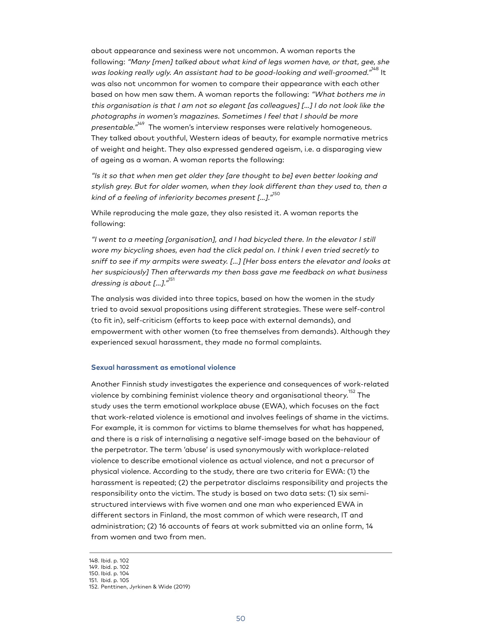about appearance and sexiness were not uncommon. A woman reports the following: "Many [men] talked about what kind of legs women have, or that, gee, she was looking really ugly. An assistant had to be good-looking and well-groomed."<sup>148</sup> It was also not uncommon for women to compare their appearance with each other based on how men saw them. A woman reports the following: "What bothers me in this organisation is that I am not so elegant [as colleagues] […] I do not look like the photographs in women's magazines. Sometimes I feel that I should be more *presentable."<sup>149</sup> T*he women's interview responses were relatively homogeneous. They talked about youthful, Western ideas of beauty, for example normative metrics of weight and height. They also expressed gendered ageism, i.e. a disparaging view of ageing as a woman. A woman reports the following:

"Is it so that when men get older they [are thought to be] even better looking and stylish grey. But for older women, when they look different than they used to, then a kind of a feeling of inferiority becomes present [...]." $^{150}$ 

While reproducing the male gaze, they also resisted it. A woman reports the following:

"I went to a meeting [organisation], and I had bicycled there. In the elevator I still wore my bicycling shoes, even had the click pedal on. I think I even tried secretly to sniff to see if my armpits were sweaty. […] [Her boss enters the elevator and looks at her suspiciously] Then afterwards my then boss gave me feedback on what business dressing is about [...]."<sup>151</sup>

The analysis was divided into three topics, based on how the women in the study tried to avoid sexual propositions using different strategies. These were self-control (to fit in), self-criticism (efforts to keep pace with external demands), and empowerment with other women (to free themselves from demands). Although they experienced sexual harassment, they made no formal complaints.

### **Sexual harassment as emotional violence**

Another Finnish study investigates the experience and consequences of work-related violence by combining feminist violence theory and organisational theory.<sup>152</sup> The study uses the term emotional workplace abuse (EWA), which focuses on the fact that work-related violence is emotional and involves feelings of shame in the victims. For example, it is common for victims to blame themselves for what has happened, and there is a risk of internalising a negative self-image based on the behaviour of the perpetrator. The term 'abuse' is used synonymously with workplace-related violence to describe emotional violence as actual violence, and not a precursor of physical violence. According to the study, there are two criteria for EWA: (1) the harassment is repeated; (2) the perpetrator disclaims responsibility and projects the responsibility onto the victim. The study is based on two data sets: (1) six semistructured interviews with five women and one man who experienced EWA in different sectors in Finland, the most common of which were research, IT and administration; (2) 16 accounts of fears at work submitted via an online form, 14 from women and two from men.

<sup>148.</sup> Ibid. p. 102

<sup>149.</sup> Ibid. p. 102 150. Ibid. p. 104

<sup>151.</sup> Ibid. p. 105

<sup>152.</sup> Penttinen, Jyrkinen & Wide (2019)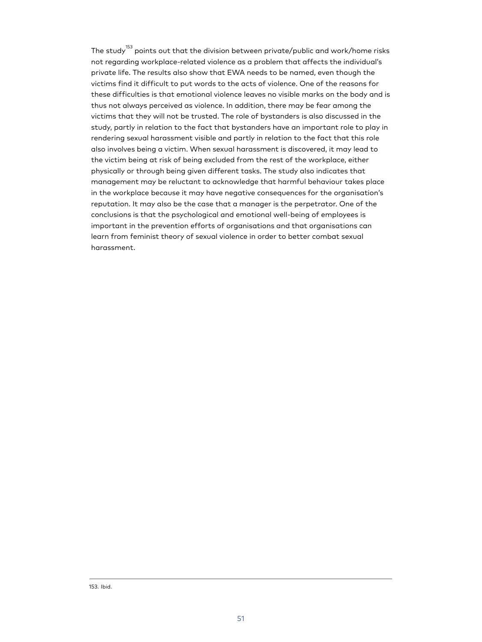The study<sup>153</sup> points out that the division between private/public and work/home risks not regarding workplace-related violence as a problem that affects the individual's private life. The results also show that EWA needs to be named, even though the victims find it difficult to put words to the acts of violence. One of the reasons for these difficulties is that emotional violence leaves no visible marks on the body and is thus not always perceived as violence. In addition, there may be fear among the victims that they will not be trusted. The role of bystanders is also discussed in the study, partly in relation to the fact that bystanders have an important role to play in rendering sexual harassment visible and partly in relation to the fact that this role also involves being a victim. When sexual harassment is discovered, it may lead to the victim being at risk of being excluded from the rest of the workplace, either physically or through being given different tasks. The study also indicates that management may be reluctant to acknowledge that harmful behaviour takes place in the workplace because it may have negative consequences for the organisation's reputation. It may also be the case that a manager is the perpetrator. One of the conclusions is that the psychological and emotional well-being of employees is important in the prevention efforts of organisations and that organisations can learn from feminist theory of sexual violence in order to better combat sexual harassment.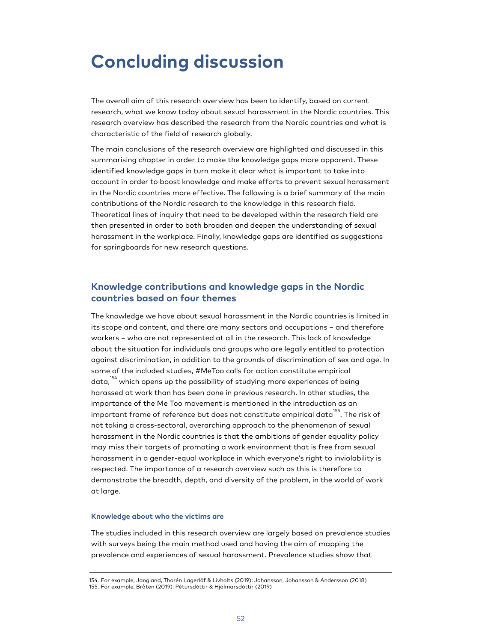# **Concluding discussion**

The overall aim of this research overview has been to identify, based on current research, what we know today about sexual harassment in the Nordic countries. This research overview has described the research from the Nordic countries and what is characteristic of the field of research globally.

The main conclusions of the research overview are highlighted and discussed in this summarising chapter in order to make the knowledge gaps more apparent. These identified knowledge gaps in turn make it clear what is important to take into account in order to boost knowledge and make efforts to prevent sexual harassment in the Nordic countries more effective. The following is a brief summary of the main contributions of the Nordic research to the knowledge in this research field. Theoretical lines of inquiry that need to be developed within the research field are then presented in order to both broaden and deepen the understanding of sexual harassment in the workplace. Finally, knowledge gaps are identified as suggestions for springboards for new research questions.

# **Knowledge contributions and knowledge gaps in the Nordic countries based on four themes**

The knowledge we have about sexual harassment in the Nordic countries is limited in its scope and content, and there are many sectors and occupations – and therefore workers – who are not represented at all in the research. This lack of knowledge about the situation for individuals and groups who are legally entitled to protection against discrimination, in addition to the grounds of discrimination of sex and age. In some of the included studies, #MeToo calls for action constitute empirical data,<sup>154</sup> which opens up the possibility of studying more experiences of being harassed at work than has been done in previous research. In other studies, the importance of the Me Too movement is mentioned in the introduction as an important frame of reference but does not constitute empirical data $^{155}$ . The risk of not taking a cross-sectoral, overarching approach to the phenomenon of sexual harassment in the Nordic countries is that the ambitions of gender equality policy may miss their targets of promoting a work environment that is free from sexual harassment in a gender-equal workplace in which everyone's right to inviolability is respected. The importance of a research overview such as this is therefore to demonstrate the breadth, depth, and diversity of the problem, in the world of work at large.

## **Knowledge about who the victims are**

The studies included in this research overview are largely based on prevalence studies with surveys being the main method used and having the aim of mapping the prevalence and experiences of sexual harassment. Prevalence studies show that

<sup>154.</sup> For example, Jangland, Thorén Lagerlöf & Livholts (2019); Johansson, Johansson & Andersson (2018)

<sup>155.</sup> For example, Bråten (2019); Pétursdóttir & Hjálmarsdóttir (2019)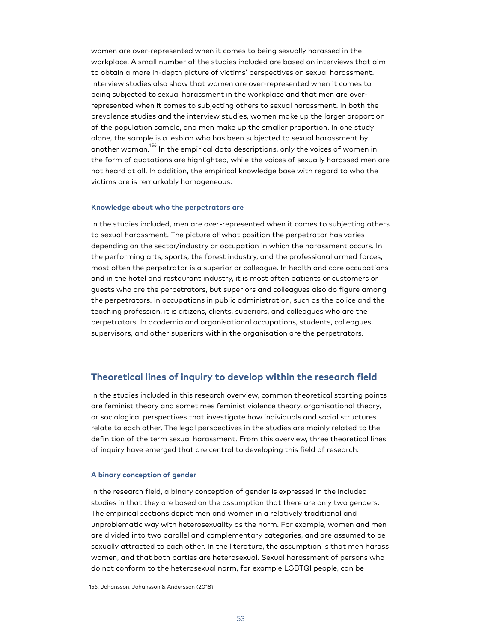women are over-represented when it comes to being sexually harassed in the workplace. A small number of the studies included are based on interviews that aim to obtain a more in-depth picture of victims' perspectives on sexual harassment. Interview studies also show that women are over-represented when it comes to being subjected to sexual harassment in the workplace and that men are overrepresented when it comes to subjecting others to sexual harassment. In both the prevalence studies and the interview studies, women make up the larger proportion of the population sample, and men make up the smaller proportion. In one study alone, the sample is a lesbian who has been subjected to sexual harassment by another woman. <sup>156</sup> In the empirical data descriptions, only the voices of women in the form of quotations are highlighted, while the voices of sexually harassed men are not heard at all. In addition, the empirical knowledge base with regard to who the victims are is remarkably homogeneous.

#### **Knowledge about who the perpetrators are**

In the studies included, men are over-represented when it comes to subjecting others to sexual harassment. The picture of what position the perpetrator has varies depending on the sector/industry or occupation in which the harassment occurs. In the performing arts, sports, the forest industry, and the professional armed forces, most often the perpetrator is a superior or colleague. In health and care occupations and in the hotel and restaurant industry, it is most often patients or customers or guests who are the perpetrators, but superiors and colleagues also do figure among the perpetrators. In occupations in public administration, such as the police and the teaching profession, it is citizens, clients, superiors, and colleagues who are the perpetrators. In academia and organisational occupations, students, colleagues, supervisors, and other superiors within the organisation are the perpetrators.

# **Theoretical lines of inquiry to develop within the research field**

In the studies included in this research overview, common theoretical starting points are feminist theory and sometimes feminist violence theory, organisational theory, or sociological perspectives that investigate how individuals and social structures relate to each other. The legal perspectives in the studies are mainly related to the definition of the term sexual harassment. From this overview, three theoretical lines of inquiry have emerged that are central to developing this field of research.

### **A binary conception of gender**

In the research field, a binary conception of gender is expressed in the included studies in that they are based on the assumption that there are only two genders. The empirical sections depict men and women in a relatively traditional and unproblematic way with heterosexuality as the norm. For example, women and men are divided into two parallel and complementary categories, and are assumed to be sexually attracted to each other. In the literature, the assumption is that men harass women, and that both parties are heterosexual. Sexual harassment of persons who do not conform to the heterosexual norm, for example LGBTQI people, can be

<sup>156.</sup> Johansson, Johansson & Andersson (2018)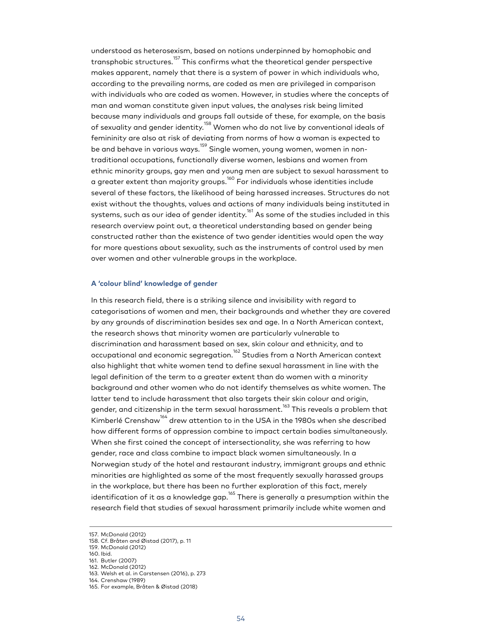understood as heterosexism, based on notions underpinned by homophobic and transphobic structures.<sup>157</sup> This confirms what the theoretical gender perspective makes apparent, namely that there is a system of power in which individuals who, according to the prevailing norms, are coded as men are privileged in comparison with individuals who are coded as women. However, in studies where the concepts of man and woman constitute given input values, the analyses risk being limited because many individuals and groups fall outside of these, for example, on the basis of sexuality and gender identity.<sup>158</sup> Women who do not live by conventional ideals of femininity are also at risk of deviating from norms of how a woman is expected to be and behave in various ways.<sup>159</sup> Single women, young women, women in nontraditional occupations, functionally diverse women, lesbians and women from ethnic minority groups, gay men and young men are subject to sexual harassment to a greater extent than majority groups.<sup>160</sup> For individuals whose identities include several of these factors, the likelihood of being harassed increases. Structures do not exist without the thoughts, values and actions of many individuals being instituted in systems, such as our idea of gender identity. $^{161}$  As some of the studies included in this research overview point out, a theoretical understanding based on gender being constructed rather than the existence of two gender identities would open the way for more questions about sexuality, such as the instruments of control used by men over women and other vulnerable groups in the workplace.

## **A 'colour blind' knowledge of gender**

In this research field, there is a striking silence and invisibility with regard to categorisations of women and men, their backgrounds and whether they are covered by any grounds of discrimination besides sex and age. In a North American context, the research shows that minority women are particularly vulnerable to discrimination and harassment based on sex, skin colour and ethnicity, and to occupational and economic segregation.<sup>162</sup> Studies from a North American context also highlight that white women tend to define sexual harassment in line with the legal definition of the term to a greater extent than do women with a minority background and other women who do not identify themselves as white women. The latter tend to include harassment that also targets their skin colour and origin, gender, and citizenship in the term sexual harassment.<sup>163</sup> This reveals a problem that Kimberlé Crenshaw<sup>164</sup> drew attention to in the USA in the 1980s when she described how different forms of oppression combine to impact certain bodies simultaneously. When she first coined the concept of intersectionality, she was referring to how gender, race and class combine to impact black women simultaneously. In a Norwegian study of the hotel and restaurant industry, immigrant groups and ethnic minorities are highlighted as some of the most frequently sexually harassed groups in the workplace, but there has been no further exploration of this fact, merely identification of it as a knowledge gap. $^{165}$  There is generally a presumption within the research field that studies of sexual harassment primarily include white women and

160. Ibid.

162. McDonald (2012)

<sup>157.</sup> McDonald (2012)

<sup>158.</sup> Cf. Bråten and Øistad (2017), p. 11 159. McDonald (2012)

<sup>161.</sup> Butler (2007)

<sup>163.</sup> Welsh et al. in Carstensen (2016), p. 273

<sup>164.</sup> Crenshaw (1989)

<sup>165.</sup> For example, Bråten & Øistad (2018)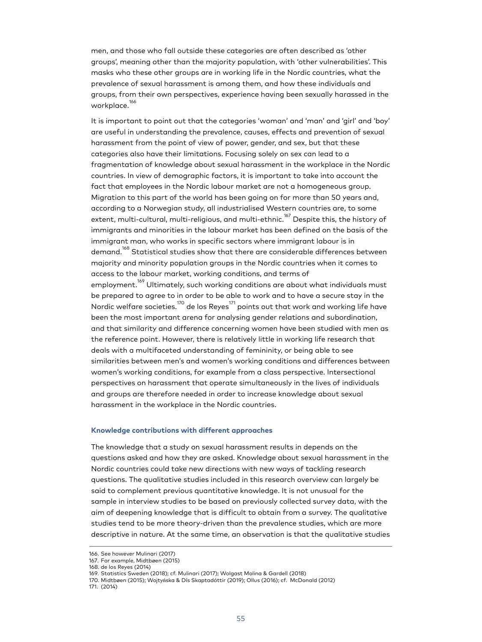men, and those who fall outside these categories are often described as 'other groups', meaning other than the majority population, with 'other vulnerabilities'. This masks who these other groups are in working life in the Nordic countries, what the prevalence of sexual harassment is among them, and how these individuals and groups, from their own perspectives, experience having been sexually harassed in the workplace.<sup>166</sup>

It is important to point out that the categories 'woman' and 'man' and 'girl' and 'boy' are useful in understanding the prevalence, causes, effects and prevention of sexual harassment from the point of view of power, gender, and sex, but that these categories also have their limitations. Focusing solely on sex can lead to a fragmentation of knowledge about sexual harassment in the workplace in the Nordic countries. In view of demographic factors, it is important to take into account the fact that employees in the Nordic labour market are not a homogeneous group. Migration to this part of the world has been going on for more than 50 years and, according to a Norwegian study, all industrialised Western countries are, to some extent, multi-cultural, multi-religious, and multi-ethnic.<sup>167</sup> Despite this, the history of immigrants and minorities in the labour market has been defined on the basis of the immigrant man, who works in specific sectors where immigrant labour is in demand.<sup>168</sup> Statistical studies show that there are considerable differences between majority and minority population groups in the Nordic countries when it comes to access to the labour market, working conditions, and terms of employment.<sup>169</sup> Ultimately, such working conditions are about what individuals must be prepared to agree to in order to be able to work and to have a secure stay in the Nordic welfare societies. $^{170}$  de los Reyes $^{171}$  points out that work and working life have been the most important arena for analysing gender relations and subordination, and that similarity and difference concerning women have been studied with men as the reference point. However, there is relatively little in working life research that deals with a multifaceted understanding of femininity, or being able to see similarities between men's and women's working conditions and differences between women's working conditions, for example from a class perspective. Intersectional perspectives on harassment that operate simultaneously in the lives of individuals and groups are therefore needed in order to increase knowledge about sexual harassment in the workplace in the Nordic countries.

#### **Knowledge contributions with different approaches**

The knowledge that a study on sexual harassment results in depends on the questions asked and how they are asked. Knowledge about sexual harassment in the Nordic countries could take new directions with new ways of tackling research questions. The qualitative studies included in this research overview can largely be said to complement previous quantitative knowledge. It is not unusual for the sample in interview studies to be based on previously collected survey data, with the aim of deepening knowledge that is difficult to obtain from a survey. The qualitative studies tend to be more theory-driven than the prevalence studies, which are more descriptive in nature. At the same time, an observation is that the qualitative studies

<sup>166.</sup> See however Mulinari (2017)

<sup>167.</sup> For example, Midtbøen (2015)

<sup>168.</sup> de los Reyes (2014)

<sup>169.</sup> Statistics Sweden (2018); cf. Mulinari (2017); Wolgast Molina & Gardell (2018) 170. Midtbøen (2015); Wojtyńska & Dís Skaptadóttir (2019); Ollus (2016); cf. McDonald (2012)

<sup>171.</sup> (2014)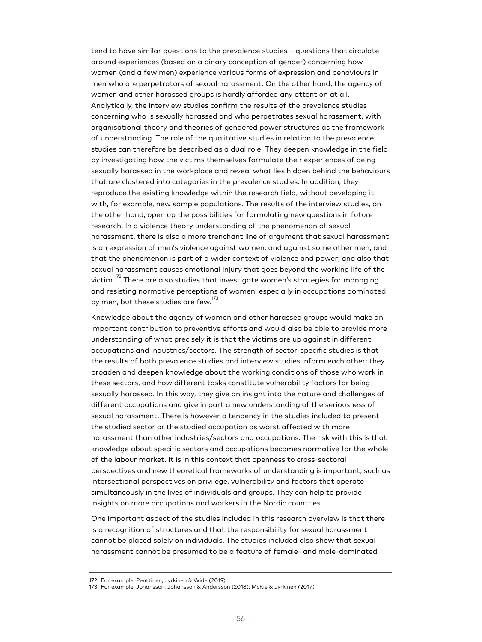tend to have similar questions to the prevalence studies – questions that circulate around experiences (based on a binary conception of gender) concerning how women (and a few men) experience various forms of expression and behaviours in men who are perpetrators of sexual harassment. On the other hand, the agency of women and other harassed groups is hardly afforded any attention at all. Analytically, the interview studies confirm the results of the prevalence studies concerning who is sexually harassed and who perpetrates sexual harassment, with organisational theory and theories of gendered power structures as the framework of understanding. The role of the qualitative studies in relation to the prevalence studies can therefore be described as a dual role. They deepen knowledge in the field by investigating how the victims themselves formulate their experiences of being sexually harassed in the workplace and reveal what lies hidden behind the behaviours that are clustered into categories in the prevalence studies. In addition, they reproduce the existing knowledge within the research field, without developing it with, for example, new sample populations. The results of the interview studies, on the other hand, open up the possibilities for formulating new questions in future research. In a violence theory understanding of the phenomenon of sexual harassment, there is also a more trenchant line of argument that sexual harassment is an expression of men's violence against women, and against some other men, and that the phenomenon is part of a wider context of violence and power; and also that sexual harassment causes emotional injury that goes beyond the working life of the victim.<sup>172</sup> There are also studies that investigate women's strategies for managing and resisting normative perceptions of women, especially in occupations dominated by men, but these studies are few. $^{\rm 173}$ 

Knowledge about the agency of women and other harassed groups would make an important contribution to preventive efforts and would also be able to provide more understanding of what precisely it is that the victims are up against in different occupations and industries/sectors. The strength of sector-specific studies is that the results of both prevalence studies and interview studies inform each other; they broaden and deepen knowledge about the working conditions of those who work in these sectors, and how different tasks constitute vulnerability factors for being sexually harassed. In this way, they give an insight into the nature and challenges of different occupations and give in part a new understanding of the seriousness of sexual harassment. There is however a tendency in the studies included to present the studied sector or the studied occupation as worst affected with more harassment than other industries/sectors and occupations. The risk with this is that knowledge about specific sectors and occupations becomes normative for the whole of the labour market. It is in this context that openness to cross-sectoral perspectives and new theoretical frameworks of understanding is important, such as intersectional perspectives on privilege, vulnerability and factors that operate simultaneously in the lives of individuals and groups. They can help to provide insights on more occupations and workers in the Nordic countries.

One important aspect of the studies included in this research overview is that there is a recognition of structures and that the responsibility for sexual harassment cannot be placed solely on individuals. The studies included also show that sexual harassment cannot be presumed to be a feature of female- and male-dominated

<sup>172.</sup> For example, Penttinen, Jyrkinen & Wide (2019)

<sup>173.</sup> For example, Johansson, Johansson & Andersson (2018); McKie & Jyrkinen (2017)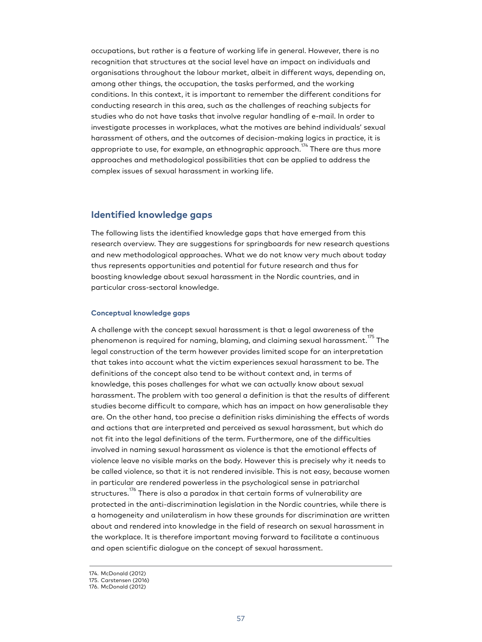occupations, but rather is a feature of working life in general. However, there is no recognition that structures at the social level have an impact on individuals and organisations throughout the labour market, albeit in different ways, depending on, among other things, the occupation, the tasks performed, and the working conditions. In this context, it is important to remember the different conditions for conducting research in this area, such as the challenges of reaching subjects for studies who do not have tasks that involve regular handling of e-mail. In order to investigate processes in workplaces, what the motives are behind individuals' sexual harassment of others, and the outcomes of decision-making logics in practice, it is appropriate to use, for example, an ethnographic approach. $^{174}$  There are thus more approaches and methodological possibilities that can be applied to address the complex issues of sexual harassment in working life.

# **Identified knowledge gaps**

The following lists the identified knowledge gaps that have emerged from this research overview. They are suggestions for springboards for new research questions and new methodological approaches. What we do not know very much about today thus represents opportunities and potential for future research and thus for boosting knowledge about sexual harassment in the Nordic countries, and in particular cross-sectoral knowledge.

## **Conceptual knowledge gaps**

A challenge with the concept sexual harassment is that a legal awareness of the phenomenon is required for naming, blaming, and claiming sexual harassment.<sup>175</sup> The legal construction of the term however provides limited scope for an interpretation that takes into account what the victim experiences sexual harassment to be. The definitions of the concept also tend to be without context and, in terms of knowledge, this poses challenges for what we can actually know about sexual harassment. The problem with too general a definition is that the results of different studies become difficult to compare, which has an impact on how generalisable they are. On the other hand, too precise a definition risks diminishing the effects of words and actions that are interpreted and perceived as sexual harassment, but which do not fit into the legal definitions of the term. Furthermore, one of the difficulties involved in naming sexual harassment as violence is that the emotional effects of violence leave no visible marks on the body. However this is precisely why it needs to be called violence, so that it is not rendered invisible. This is not easy, because women in particular are rendered powerless in the psychological sense in patriarchal structures.<sup>176</sup> There is also a paradox in that certain forms of vulnerability are protected in the anti-discrimination legislation in the Nordic countries, while there is a homogeneity and unilateralism in how these grounds for discrimination are written about and rendered into knowledge in the field of research on sexual harassment in the workplace. It is therefore important moving forward to facilitate a continuous and open scientific dialogue on the concept of sexual harassment.

<sup>174.</sup> McDonald (2012)

<sup>175.</sup> Carstensen (2016)

<sup>176.</sup> McDonald (2012)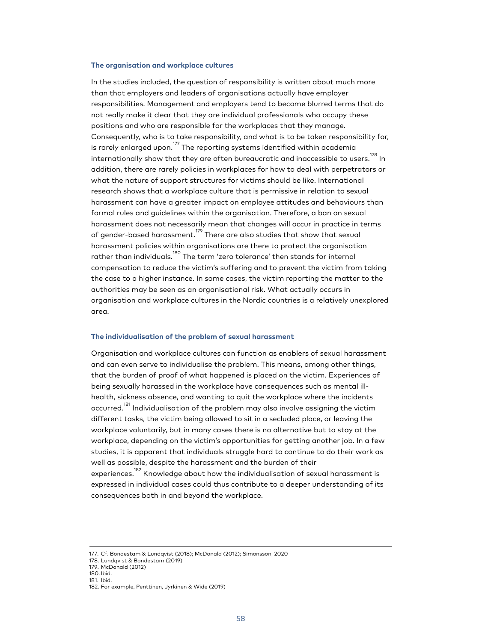## **The organisation and workplace cultures**

In the studies included, the question of responsibility is written about much more than that employers and leaders of organisations actually have employer responsibilities. Management and employers tend to become blurred terms that do not really make it clear that they are individual professionals who occupy these positions and who are responsible for the workplaces that they manage. Consequently, who is to take responsibility, and what is to be taken responsibility for, is rarely enlarged upon. $^{177}$  The reporting systems identified within academia internationally show that they are often bureaucratic and inaccessible to users. $^{^{178}}$  In addition, there are rarely policies in workplaces for how to deal with perpetrators or what the nature of support structures for victims should be like. International research shows that a workplace culture that is permissive in relation to sexual harassment can have a greater impact on employee attitudes and behaviours than formal rules and guidelines within the organisation. Therefore, a ban on sexual harassment does not necessarily mean that changes will occur in practice in terms of gender-based harassment.<sup>179</sup> There are also studies that show that sexual harassment policies within organisations are there to protect the organisation rather than individuals.<sup>180</sup> The term 'zero tolerance' then stands for internal compensation to reduce the victim's suffering and to prevent the victim from taking the case to a higher instance. In some cases, the victim reporting the matter to the authorities may be seen as an organisational risk. What actually occurs in organisation and workplace cultures in the Nordic countries is a relatively unexplored area.

#### **The individualisation of the problem of sexual harassment**

Organisation and workplace cultures can function as enablers of sexual harassment and can even serve to individualise the problem. This means, among other things, that the burden of proof of what happened is placed on the victim. Experiences of being sexually harassed in the workplace have consequences such as mental illhealth, sickness absence, and wanting to quit the workplace where the incidents occurred.<sup>181</sup> Individualisation of the problem may also involve assigning the victim different tasks, the victim being allowed to sit in a secluded place, or leaving the workplace voluntarily, but in many cases there is no alternative but to stay at the workplace, depending on the victim's opportunities for getting another job. In a few studies, it is apparent that individuals struggle hard to continue to do their work as well as possible, despite the harassment and the burden of their experiences. <sup>182</sup> Knowledge about how the individualisation of sexual harassment is expressed in individual cases could thus contribute to a deeper understanding of its

consequences both in and beyond the workplace.

- 179. McDonald (2012) 180. Ibid.
- 181. Ibid.

<sup>177.</sup> Cf. Bondestam & Lundqvist (2018); McDonald (2012); Simonsson, 2020

<sup>178.</sup> Lundqvist & Bondestam (2019)

<sup>182.</sup> For example, Penttinen, Jyrkinen & Wide (2019)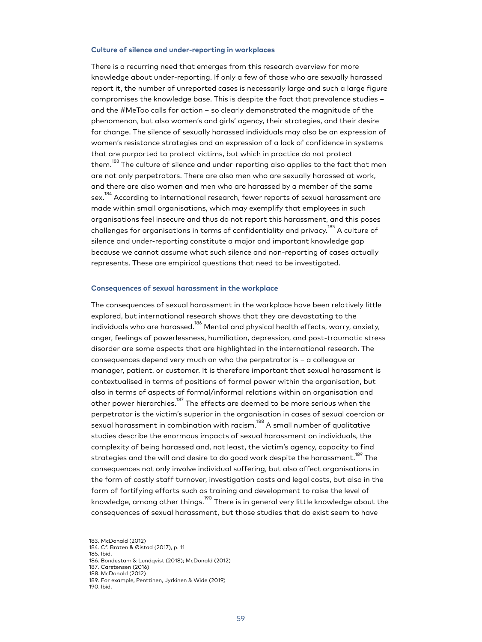#### **Culture of silence and under-reporting in workplaces**

There is a recurring need that emerges from this research overview for more knowledge about under-reporting. If only a few of those who are sexually harassed report it, the number of unreported cases is necessarily large and such a large figure compromises the knowledge base. This is despite the fact that prevalence studies – and the #MeToo calls for action – so clearly demonstrated the magnitude of the phenomenon, but also women's and girls' agency, their strategies, and their desire for change. The silence of sexually harassed individuals may also be an expression of women's resistance strategies and an expression of a lack of confidence in systems that are purported to protect victims, but which in practice do not protect them.<sup>183</sup> The culture of silence and under-reporting also applies to the fact that men are not only perpetrators. There are also men who are sexually harassed at work, and there are also women and men who are harassed by a member of the same sex.<sup>184</sup> According to international research, fewer reports of sexual harassment are made within small organisations, which may exemplify that employees in such organisations feel insecure and thus do not report this harassment, and this poses challenges for organisations in terms of confidentiality and privacy. <sup>185</sup> A culture of silence and under-reporting constitute a major and important knowledge gap because we cannot assume what such silence and non-reporting of cases actually represents. These are empirical questions that need to be investigated.

### **Consequences of sexual harassment in the workplace**

The consequences of sexual harassment in the workplace have been relatively little explored, but international research shows that they are devastating to the individuals who are harassed.<sup>186</sup> Mental and physical health effects, worry, anxiety, anger, feelings of powerlessness, humiliation, depression, and post-traumatic stress disorder are some aspects that are highlighted in the international research. The consequences depend very much on who the perpetrator is – a colleague or manager, patient, or customer. It is therefore important that sexual harassment is contextualised in terms of positions of formal power within the organisation, but also in terms of aspects of formal/informal relations within an organisation and other power hierarchies.<sup>187</sup> The effects are deemed to be more serious when the perpetrator is the victim's superior in the organisation in cases of sexual coercion or sexual harassment in combination with racism.<sup>188</sup> A small number of qualitative studies describe the enormous impacts of sexual harassment on individuals, the complexity of being harassed and, not least, the victim's agency, capacity to find strategies and the will and desire to do good work despite the harassment. $^{189}$  The consequences not only involve individual suffering, but also affect organisations in the form of costly staff turnover, investigation costs and legal costs, but also in the form of fortifying efforts such as training and development to raise the level of knowledge, among other things.<sup>190</sup> There is in general very little knowledge about the consequences of sexual harassment, but those studies that do exist seem to have

<sup>183.</sup> McDonald (2012)

<sup>184.</sup> Cf. Bråten & Øistad (2017), p. 11 185. Ibid.

<sup>186.</sup> Bondestam & Lundqvist (2018); McDonald (2012)

<sup>187.</sup> Carstensen (2016)

<sup>188.</sup> McDonald (2012)

<sup>189.</sup> For example, Penttinen, Jyrkinen & Wide (2019)

<sup>190.</sup> Ibid.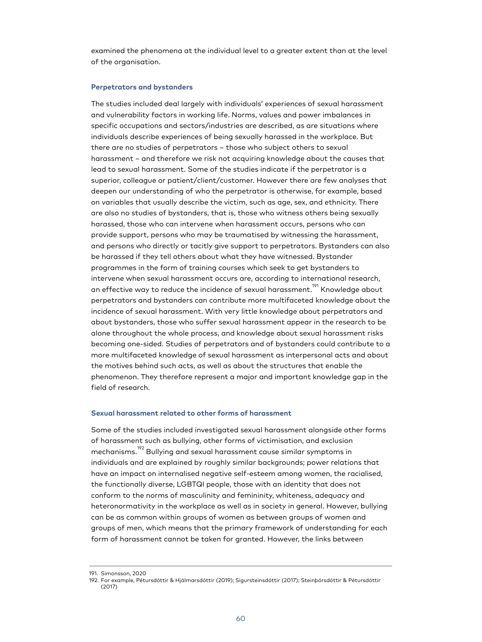examined the phenomena at the individual level to a greater extent than at the level of the organisation.

#### **Perpetrators and bystanders**

The studies included deal largely with individuals' experiences of sexual harassment and vulnerability factors in working life. Norms, values and power imbalances in specific occupations and sectors/industries are described, as are situations where individuals describe experiences of being sexually harassed in the workplace. But there are no studies of perpetrators – those who subject others to sexual harassment – and therefore we risk not acquiring knowledge about the causes that lead to sexual harassment. Some of the studies indicate if the perpetrator is a superior, colleague or patient/client/customer. However there are few analyses that deepen our understanding of who the perpetrator is otherwise, for example, based on variables that usually describe the victim, such as age, sex, and ethnicity. There are also no studies of bystanders, that is, those who witness others being sexually harassed, those who can intervene when harassment occurs, persons who can provide support, persons who may be traumatised by witnessing the harassment, and persons who directly or tacitly give support to perpetrators. Bystanders can also be harassed if they tell others about what they have witnessed. Bystander programmes in the form of training courses which seek to get bystanders to intervene when sexual harassment occurs are, according to international research, an effective way to reduce the incidence of sexual harassment.<sup>191</sup> Knowledge about perpetrators and bystanders can contribute more multifaceted knowledge about the incidence of sexual harassment. With very little knowledge about perpetrators and about bystanders, those who suffer sexual harassment appear in the research to be alone throughout the whole process, and knowledge about sexual harassment risks becoming one-sided. Studies of perpetrators and of bystanders could contribute to a more multifaceted knowledge of sexual harassment as interpersonal acts and about the motives behind such acts, as well as about the structures that enable the phenomenon. They therefore represent a major and important knowledge gap in the field of research.

#### **Sexual harassment related to other forms of harassment**

Some of the studies included investigated sexual harassment alongside other forms of harassment such as bullying, other forms of victimisation, and exclusion mechanisms.<sup>192</sup> Bullying and sexual harassment cause similar symptoms in individuals and are explained by roughly similar backgrounds; power relations that have an impact on internalised negative self-esteem among women, the racialised, the functionally diverse, LGBTQI people, those with an identity that does not conform to the norms of masculinity and femininity, whiteness, adequacy and heteronormativity in the workplace as well as in society in general. However, bullying can be as common within groups of women as between groups of women and groups of men, which means that the primary framework of understanding for each form of harassment cannot be taken for granted. However, the links between

<sup>191.</sup> Simonsson, 2020

<sup>192.</sup> For example, Pétursdóttir & Hjálmarsdóttir (2019); Sigursteinsdóttir (2017); Steinþórsdóttir & Pétursdóttir (2017)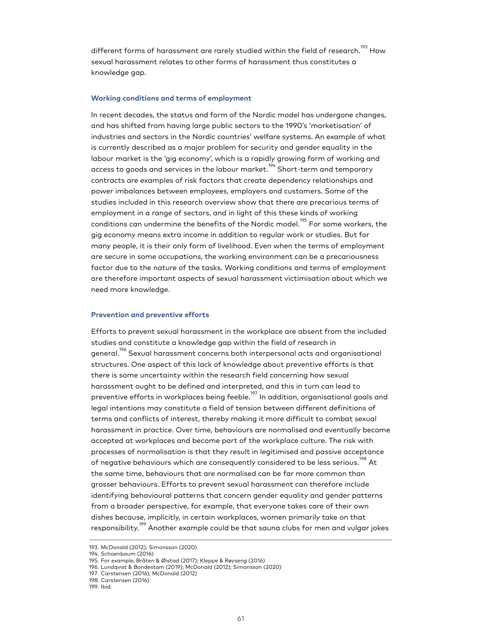different forms of harassment are rarely studied within the field of research.<sup>193</sup> How sexual harassment relates to other forms of harassment thus constitutes a knowledge gap.

## **Working conditions and terms of employment**

In recent decades, the status and form of the Nordic model has undergone changes, and has shifted from having large public sectors to the 1990's 'marketisation' of industries and sectors in the Nordic countries' welfare systems. An example of what is currently described as a major problem for security and gender equality in the labour market is the 'gig economy', which is a rapidly growing form of working and access to goods and services in the labour market.<sup>194</sup> Short-term and temporary contracts are examples of risk factors that create dependency relationships and power imbalances between employees, employers and customers. Some of the studies included in this research overview show that there are precarious terms of employment in a range of sectors, and in light of this these kinds of working conditions can undermine the benefits of the Nordic model.<sup>195</sup> For some workers, the gig economy means extra income in addition to regular work or studies. But for many people, it is their only form of livelihood. Even when the terms of employment are secure in some occupations, the working environment can be a precariousness factor due to the nature of the tasks. Working conditions and terms of employment are therefore important aspects of sexual harassment victimisation about which we need more knowledge.

#### **Prevention and preventive efforts**

Efforts to prevent sexual harassment in the workplace are absent from the included studies and constitute a knowledge gap within the field of research in general.<sup>1%</sup> Sexual harassment concerns both interpersonal acts and organisational structures. One aspect of this lack of knowledge about preventive efforts is that there is some uncertainty within the research field concerning how sexual harassment ought to be defined and interpreted, and this in turn can lead to preventive efforts in workplaces being feeble.<sup>197</sup> In addition, organisational goals and legal intentions may constitute a field of tension between different definitions of terms and conflicts of interest, thereby making it more difficult to combat sexual harassment in practice. Over time, behaviours are normalised and eventually become accepted at workplaces and become part of the workplace culture. The risk with processes of normalisation is that they result in legitimised and passive acceptance of negative behaviours which are consequently considered to be less serious. $^{198}$  At the same time, behaviours that are normalised can be far more common than grosser behaviours. Efforts to prevent sexual harassment can therefore include identifying behavioural patterns that concern gender equality and gender patterns from a broader perspective, for example, that everyone takes care of their own dishes because, implicitly, in certain workplaces, women primarily take on that responsibility.<sup>199</sup> Another example could be that sauna clubs for men and vulgar jokes

<sup>193.</sup> McDonald (2012); Simonsson (2020)

<sup>194.</sup> Schoenbaum (2016)

<sup>195.</sup> For example, Bråten & Øistad (2017); Kleppe & Røyseng (2016)

<sup>196.</sup> Lundqvist & Bondestam (2019); McDonald (2012); Simonsson (2020)

<sup>197.</sup> Carstensen (2016); McDonald (2012)

<sup>198.</sup> Carstensen (2016)

<sup>199.</sup> Ibid.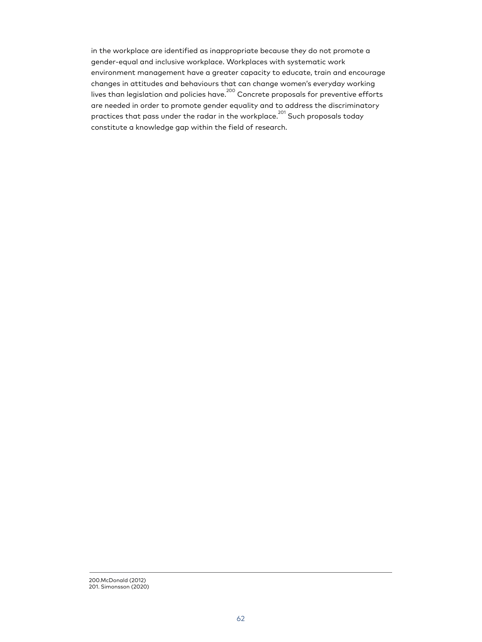in the workplace are identified as inappropriate because they do not promote a gender-equal and inclusive workplace. Workplaces with systematic work environment management have a greater capacity to educate, train and encourage changes in attitudes and behaviours that can change women's everyday working lives than legislation and policies have.<sup>200</sup> Concrete proposals for preventive efforts are needed in order to promote gender equality and to address the discriminatory practices that pass under the radar in the workplace.<sup>201</sup> Such proposals today constitute a knowledge gap within the field of research.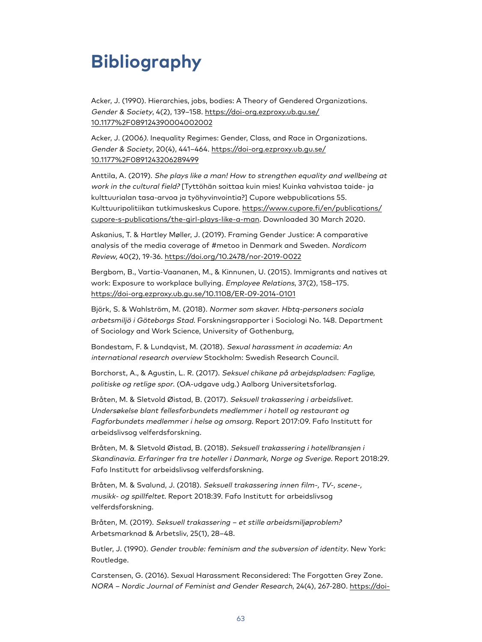# **Bibliography**

Acker, J. (1990). Hierarchies, jobs, bodies: A Theory of Gendered Organizations. Gender & Society, 4(2), 139–158. [https://doi-org.ezproxy.ub.gu.se/](https://doi-org.ezproxy.ub.gu.se/10.1177%2F089124390004002002) [10.1177%2F089124390004002002](https://doi-org.ezproxy.ub.gu.se/10.1177%2F089124390004002002)

Acker, J. (2006). Inequality Regimes: Gender, Class, and Race in Organizations. Gender & Society, 20(4), 441–464. [https://doi-org.ezproxy.ub.gu.se/](https://doi-org.ezproxy.ub.gu.se/10.1177%2F0891243206289499) [10.1177%2F0891243206289499](https://doi-org.ezproxy.ub.gu.se/10.1177%2F0891243206289499)

Anttila, A. (2019). She plays like a man! How to strengthen equality and wellbeing at work in the cultural field? [Tyttöhän soittaa kuin mies! Kuinka vahvistaa taide- ja kulttuurialan tasa-arvoa ja työhyvinvointia?] Cupore webpublications 55. Kulttuuripolitiikan tutkimuskeskus Cupore. [https://www.cupore.fi/en/publications/](https://www.cupore.fi/en/publications/cupore-s-publications/the-girl-plays-like-a-man) [cupore-s-publications/the-girl-plays-like-a-man.](https://www.cupore.fi/en/publications/cupore-s-publications/the-girl-plays-like-a-man) Downloaded 30 March 2020.

Askanius, T. & Hartley Møller, J. (2019). Framing Gender Justice: A comparative analysis of the media coverage of #metoo in Denmark and Sweden. Nordicom Review, 40(2), 19-36. <https://doi.org/10.2478/nor-2019-0022>

Bergbom, B., Vartia-Vaananen, M., & Kinnunen, U. (2015). Immigrants and natives at work: Exposure to workplace bullying. Employee Relations, 37(2), 158–175. <https://doi-org.ezproxy.ub.gu.se/10.1108/ER-09-2014-0101>

Björk, S. & Wahlström, M. (2018). Normer som skaver. Hbtq-personers sociala arbetsmiljö i Göteborgs Stad. Forskningsrapporter i Sociologi No. 148. Department of Sociology and Work Science, University of Gothenburg,

Bondestam, F. & Lundqvist, M. (2018). Sexual harassment in academia: An international research overview Stockholm: Swedish Research Council.

Borchorst, A., & Agustin, L. R. (2017). Seksuel chikane på arbejdspladsen: Faglige, politiske og retlige spor. (OA-udgave udg.) Aalborg Universitetsforlag.

Bråten, M. & Sletvold Øistad, B. (2017). Seksuell trakassering i arbeidslivet. Undersøkelse blant fellesforbundets medlemmer i hotell og restaurant og Fagforbundets medlemmer i helse og omsorg. Report 2017:09. Fafo Institutt for arbeidslivsog velferdsforskning.

Bråten, M. & Sletvold Øistad, B. (2018). Seksuell trakassering i hotellbransjen i Skandinavia. Erfaringer fra tre hoteller i Danmark, Norge og Sverige. Report 2018:29. Fafo Institutt for arbeidslivsog velferdsforskning.

Bråten, M. & Svalund, J. (2018). Seksuell trakassering innen film-, TV-, scene-, musikk- og spillfeltet. Report 2018:39. Fafo Institutt for arbeidslivsog velferdsforskning.

Bråten, M. (2019). Seksuell trakassering – et stille arbeidsmiljøproblem? Arbetsmarknad & Arbetsliv, 25(1), 28–48.

Butler, J. (1990). Gender trouble: feminism and the subversion of identity. New York: Routledge.

Carstensen, G. (2016). Sexual Harassment Reconsidered: The Forgotten Grey Zone. NORA – Nordic Journal of Feminist and Gender Research, 24(4), 267-280. [https://doi-](https://doi-org.ezproxy.ub.gu.se/10.1080/08038740.2017.1292314)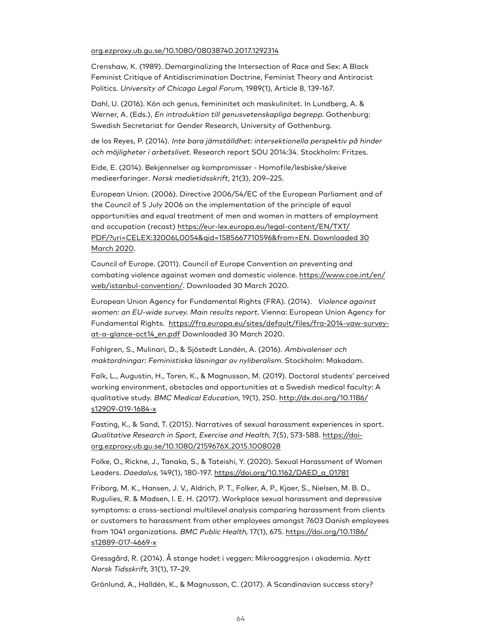## [org.ezproxy.ub.gu.se/10.1080/08038740.2017.1292314](https://doi-org.ezproxy.ub.gu.se/10.1080/08038740.2017.1292314)

Crenshaw, K. (1989). Demarginalizing the Intersection of Race and Sex: A Black Feminist Critique of Antidiscrimination Doctrine, Feminist Theory and Antiracist Politics. University of Chicago Legal Forum, 1989(1), Article 8, 139-167.

Dahl, U. (2016). Kön och genus, femininitet och maskulinitet. In Lundberg, A. & Werner, A. (Eds.), En introduktion till genusvetenskapliga begrepp. Gothenburg: Swedish Secretariat for Gender Research, University of Gothenburg.

de los Reyes, P. (2014). Inte bara jämställdhet: intersektionella perspektiv på hinder och möjligheter i arbetslivet. Research report SOU 2014:34. Stockholm: Fritzes.

Eide, E. (2014). Bekjennelser og kompromisser - Homofile/lesbiske/skeive medieerfaringer. Norsk medietidsskrift, 21(3), 209–225.

European Union. (2006). Directive 2006/54/EC of the European Parliament and of the Council of 5 July 2006 on the implementation of the principle of equal opportunities and equal treatment of men and women in matters of employment and occupation (recast) [https://eur-lex.europa.eu/legal-content/EN/TXT/](https://eur-lex.europa.eu/legal-content/EN/TXT/PDF/?uri=CELEX:32006L0054&qid=1585667710596&from=EN.%20Downloaded%2030%20March%202020) [PDF/?uri=CELEX:32006L0054&qid=1585667710596&from=EN. Downloaded 30](https://eur-lex.europa.eu/legal-content/EN/TXT/PDF/?uri=CELEX:32006L0054&qid=1585667710596&from=EN.%20Downloaded%2030%20March%202020) [March 2020](https://eur-lex.europa.eu/legal-content/EN/TXT/PDF/?uri=CELEX:32006L0054&qid=1585667710596&from=EN.%20Downloaded%2030%20March%202020).

Council of Europe. (2011). Council of Europe Convention on preventing and combating violence against women and domestic violence. [https://www.coe.int/en/](https://www.coe.int/en/web/istanbul-convention/) [web/istanbul-convention/](https://www.coe.int/en/web/istanbul-convention/). Downloaded 30 March 2020.

European Union Agency for Fundamental Rights (FRA). (2014). Violence against women: an EU-wide survey. Main results report. Vienna: European Union Agency for Fundamental Rights. [https://fra.europa.eu/sites/default/files/fra-2014-vaw-survey](https://fra.europa.eu/sites/default/files/fra-2014-vaw-survey-at-a-glance-oct14_en.pdf)[at-a-glance-oct14\\_en.pdf](https://fra.europa.eu/sites/default/files/fra-2014-vaw-survey-at-a-glance-oct14_en.pdf) Downloaded 30 March 2020.

Fahlgren, S., Mulinari, D., & Sjöstedt Landén, A. (2016). Ambivalenser och maktordningar: Feministiska läsningar av nyliberalism. Stockholm: Makadam.

Falk, L., Augustin, H., Toren, K., & Magnusson, M. (2019). Doctoral students' perceived working environment, obstacles and opportunities at a Swedish medical faculty: A qualitative study. BMC Medical Education, 19(1), 250. [http://dx.doi.org/10.1186/](http://dx.doi.org/10.1186/s12909-019-1684-x) [s12909-019-1684-x](http://dx.doi.org/10.1186/s12909-019-1684-x)

Fasting, K., & Sand, T. (2015). Narratives of sexual harassment experiences in sport. Qualitative Research in Sport, Exercise and Health, 7(5), 573-588. [https://doi](https://doi-org.ezproxy.ub.gu.se/10.1080/2159676X.2015.1008028)[org.ezproxy.ub.gu.se/10.1080/2159676X.2015.1008028](https://doi-org.ezproxy.ub.gu.se/10.1080/2159676X.2015.1008028)

Folke, O., Rickne, J., Tanaka, S., & Tateishi, Y. (2020). Sexual Harassment of Women Leaders. Daedalus, 149(1), 180-197. [https://doi.org/10.1162/DAED\\_a\\_01781](https://doi.org/10.1162/DAED_a_01781)

Friborg, M. K., Hansen, J. V., Aldrich, P. T., Folker, A. P., Kjaer, S., Nielsen, M. B. D., Rugulies, R. & Madsen, I. E. H. (2017). Workplace sexual harassment and depressive symptoms: a cross-sectional multilevel analysis comparing harassment from clients or customers to harassment from other employees amongst 7603 Danish employees from 1041 organizations. BMC Public Health, 17(1), 675. [https://doi.org/10.1186/](https://doi.org/10.1186/s12889-017-4669-x) [s12889-017-4669-x](https://doi.org/10.1186/s12889-017-4669-x)

Gressgård, R. (2014). Å stange hodet i veggen: Mikroaggresjon i akademia. Nytt Norsk Tidsskrift, 31(1), 17–29.

Grönlund, A., Halldén, K., & Magnusson, C. (2017). A Scandinavian success story?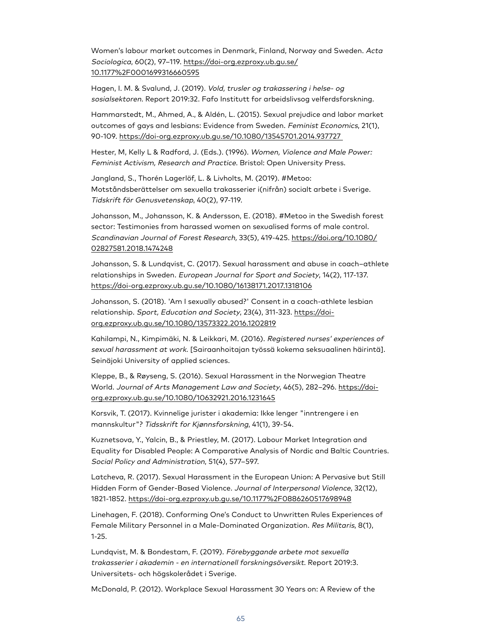Women's labour market outcomes in Denmark, Finland, Norway and Sweden. Acta Sociologica, 60(2), 97–119. [https://doi-org.ezproxy.ub.gu.se/](https://doi-org.ezproxy.ub.gu.se/10.1177%2F0001699316660595) [10.1177%2F0001699316660595](https://doi-org.ezproxy.ub.gu.se/10.1177%2F0001699316660595)

Hagen, I. M. & Svalund, J. (2019). Vold, trusler og trakassering i helse- og sosialsektoren. Report 2019:32. Fafo Institutt for arbeidslivsog velferdsforskning.

Hammarstedt, M., Ahmed, A., & Aldén, L. (2015). Sexual prejudice and labor market outcomes of gays and lesbians: Evidence from Sweden. Feminist Economics, 21(1), 90-109. <https://doi-org.ezproxy.ub.gu.se/10.1080/13545701.2014.937727>

Hester, M, Kelly L & Radford, J. (Eds.). (1996). Women, Violence and Male Power: Feminist Activism, Research and Practice. Bristol: Open University Press.

Jangland, S., Thorén Lagerlöf, L. & Livholts, M. (2019). #Metoo: Motståndsberättelser om sexuella trakasserier i(nifrån) socialt arbete i Sverige. Tidskrift för Genusvetenskap, 40(2), 97-119.

Johansson, M., Johansson, K. & Andersson, E. (2018). #Metoo in the Swedish forest sector: Testimonies from harassed women on sexualised forms of male control. Scandinavian Journal of Forest Research, 33(5), 419-425. [https://doi.org/10.1080/](https://doi.org/10.1080/02827581.2018.1474248) [02827581.2018.1474248](https://doi.org/10.1080/02827581.2018.1474248)

Johansson, S. & Lundqvist, C. (2017). Sexual harassment and abuse in coach–athlete relationships in Sweden. European Journal for Sport and Society, 14(2), 117-137. <https://doi-org.ezproxy.ub.gu.se/10.1080/16138171.2017.1318106>

Johansson, S. (2018). 'Am I sexually abused?' Consent in a coach-athlete lesbian relationship. Sport, Education and Society, 23(4), 311-323. [https://doi](https://doi-org.ezproxy.ub.gu.se/10.1080/13573322.2016.1202819)[org.ezproxy.ub.gu.se/10.1080/13573322.2016.1202819](https://doi-org.ezproxy.ub.gu.se/10.1080/13573322.2016.1202819)

Kahilampi, N., Kimpimäki, N. & Leikkari, M. (2016). Registered nurses' experiences of sexual harassment at work. [Sairaanhoitajan työssä kokema seksuaalinen häirintä]. Seinäjoki University of applied sciences.

Kleppe, B., & Røyseng, S. (2016). Sexual Harassment in the Norwegian Theatre World. Journal of Arts Management Law and Society, 46(5), 282-296. [https://doi](https://doi-org.ezproxy.ub.gu.se/10.1080/10632921.2016.1231645)[org.ezproxy.ub.gu.se/10.1080/10632921.2016.1231645](https://doi-org.ezproxy.ub.gu.se/10.1080/10632921.2016.1231645)

Korsvik, T. (2017). Kvinnelige jurister i akademia: Ikke lenger "inntrengere i en mannskultur"? Tidsskrift for Kjønnsforskning, 41(1), 39-54.

Kuznetsova, Y., Yalcin, B., & Priestley, M. (2017). Labour Market Integration and Equality for Disabled People: A Comparative Analysis of Nordic and Baltic Countries. Social Policy and Administration, 51(4), 577–597.

Latcheva, R. (2017). Sexual Harassment in the European Union: A Pervasive but Still Hidden Form of Gender-Based Violence. Journal of Interpersonal Violence, 32(12), 1821-1852. <https://doi-org.ezproxy.ub.gu.se/10.1177%2F0886260517698948>

Linehagen, F. (2018). Conforming One's Conduct to Unwritten Rules Experiences of Female Military Personnel in a Male-Dominated Organization. Res Militaris, 8(1), 1-25.

Lundqvist, M. & Bondestam, F. (2019). Förebyggande arbete mot sexuella trakasserier i akademin - en internationell forskningsöversikt. Report 2019:3. Universitets- och högskolerådet i Sverige.

McDonald, P. (2012). Workplace Sexual Harassment 30 Years on: A Review of the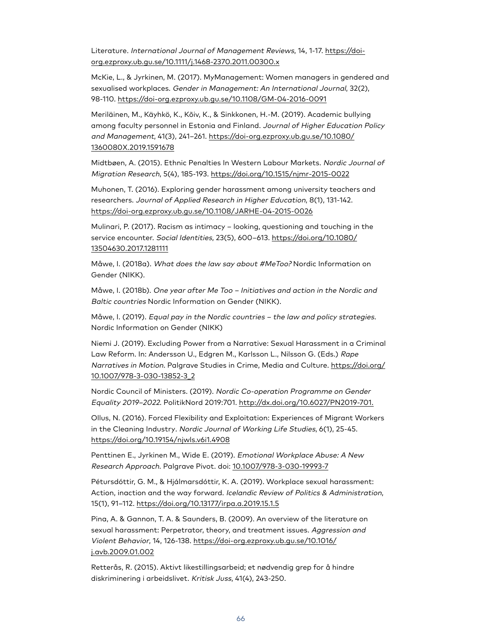Literature. International Journal of Management Reviews, 14, 1-17. [https://doi](https://doi-org.ezproxy.ub.gu.se/10.1111/j.1468-2370.2011.00300.x)[org.ezproxy.ub.gu.se/10.1111/j.1468-2370.2011.00300.x](https://doi-org.ezproxy.ub.gu.se/10.1111/j.1468-2370.2011.00300.x)

McKie, L., & Jyrkinen, M. (2017). MyManagement: Women managers in gendered and sexualised workplaces. Gender in Management: An International Journal, 32(2), 98-110. <https://doi-org.ezproxy.ub.gu.se/10.1108/GM-04-2016-0091>

Meriläinen, M., Käyhkö, K., Kõiv, K., & Sinkkonen, H.-M. (2019). Academic bullying among faculty personnel in Estonia and Finland. Journal of Higher Education Policy and Management, 41(3), 241–261. [https://doi-org.ezproxy.ub.gu.se/10.1080/](https://doi-org.ezproxy.ub.gu.se/10.1080/1360080X.2019.1591678) [1360080X.2019.1591678](https://doi-org.ezproxy.ub.gu.se/10.1080/1360080X.2019.1591678)

Midtbøen, A. (2015). Ethnic Penalties In Western Labour Markets. Nordic Journal of Migration Research, 5(4), 185-193. <https://doi.org/10.1515/njmr-2015-0022>

Muhonen, T. (2016). Exploring gender harassment among university teachers and researchers. Journal of Applied Research in Higher Education, 8(1), 131-142. <https://doi-org.ezproxy.ub.gu.se/10.1108/JARHE-04-2015-0026>

Mulinari, P. (2017). Racism as intimacy – looking, questioning and touching in the service encounter. Social Identities, 23(5), 600–613. [https://doi.org/10.1080/](https://doi.org/10.1080/13504630.2017.1281111) [13504630.2017.1281111](https://doi.org/10.1080/13504630.2017.1281111)

Måwe, I. (2018a). What does the law say about #MeToo? Nordic Information on Gender (NIKK).

Måwe, I. (2018b). One year after Me Too – Initiatives and action in the Nordic and Baltic countries Nordic Information on Gender (NIKK).

Måwe, I. (2019). Equal pay in the Nordic countries – the law and policy strategies. Nordic Information on Gender (NIKK)

Niemi J. (2019). Excluding Power from a Narrative: Sexual Harassment in a Criminal Law Reform. In: Andersson U., Edgren M., Karlsson L., Nilsson G. (Eds.) Rape Narratives in Motion. Palgrave Studies in Crime, Media and Culture. [https://doi.org/](https://doi.org/10.1007/978-3-030-13852-3_2) [10.1007/978-3-030-13852-3\\_2](https://doi.org/10.1007/978-3-030-13852-3_2)

Nordic Council of Ministers. (2019). Nordic Co-operation Programme on Gender Equality 2019–2022. PolitikNord 2019:701. <http://dx.doi.org/10.6027/PN2019-701.>

Ollus, N. (2016). Forced Flexibility and Exploitation: Experiences of Migrant Workers in the Cleaning Industry. Nordic Journal of Working Life Studies, 6(1), 25-45. <https://doi.org/10.19154/njwls.v6i1.4908>

Penttinen E., Jyrkinen M., Wide E. (2019). Emotional Workplace Abuse: A New Research Approach. Palgrave Pivot. doi: [10.1007/978-3-030-19993-7](http://10.0.3.239/978-3-030-19993-7)

Pétursdóttir, G. M., & Hjálmarsdóttir, K. A. (2019). Workplace sexual harassment: Action, inaction and the way forward. Icelandic Review of Politics & Administration, 15(1), 91–112. <https://doi.org/10.13177/irpa.a.2019.15.1.5>

Pina, A. & Gannon, T. A. & Saunders, B. (2009). An overview of the literature on sexual harassment: Perpetrator, theory, and treatment issues. Aggression and Violent Behavior, 14, 126-138. [https://doi-org.ezproxy.ub.gu.se/10.1016/](https://doi-org.ezproxy.ub.gu.se/10.1016/j.avb.2009.01.002) [j.avb.2009.01.002](https://doi-org.ezproxy.ub.gu.se/10.1016/j.avb.2009.01.002)

Retterås, R. (2015). Aktivt likestillingsarbeid; et nødvendig grep for å hindre diskriminering i arbeidslivet. Kritisk Juss, 41(4), 243-250.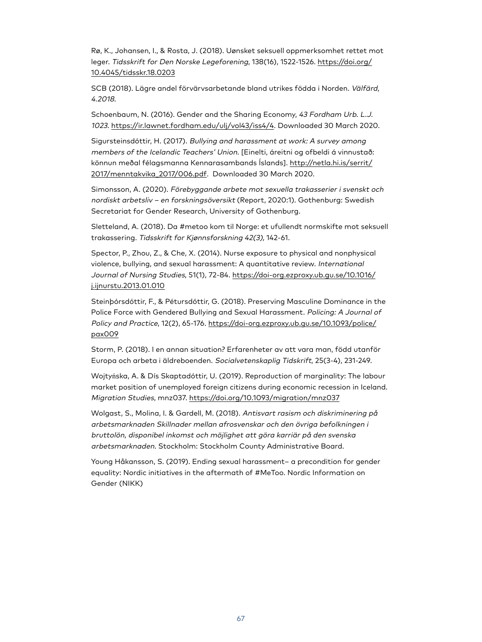Rø, K., Johansen, I., & Rosta, J. (2018). Uønsket seksuell oppmerksomhet rettet mot leger. Tidsskrift for Den Norske Legeforening, 138(16), 1522-1526. [https://doi.org/](https://doi.org/10.4045/tidsskr.18.0203) [10.4045/tidsskr.18.0203](https://doi.org/10.4045/tidsskr.18.0203)

SCB (2018). Lägre andel förvärvsarbetande bland utrikes födda i Norden. Välfärd, 4.2018.

Schoenbaum, N. (2016). Gender and the Sharing Economy, 43 Fordham Urb. L.J. 1023. [https://ir.lawnet.fordham.edu/ulj/vol43/iss4/4.](https://ir.lawnet.fordham.edu/ulj/vol43/iss4/4) Downloaded 30 March 2020.

Sigursteinsdóttir, H. (2017). Bullying and harassment at work: A survey among members of the Icelandic Teachers' Union. [Einelti, áreitni og ofbeldi á vinnustað: könnun meðal félagsmanna Kennarasambands Íslands]. [http://netla.hi.is/serrit/](http://netla.hi.is/serrit/2017/menntakvika_2017/006.pdf) [2017/menntakvika\\_2017/006.pdf.](http://netla.hi.is/serrit/2017/menntakvika_2017/006.pdf) Downloaded 30 March 2020.

Simonsson, A. (2020). Förebyggande arbete mot sexuella trakasserier i svenskt och nordiskt arbetsliv – en forskningsöversikt (Report, 2020:1). Gothenburg: Swedish Secretariat for Gender Research, University of Gothenburg.

Sletteland, A. (2018). Da #metoo kom til Norge: et ufullendt normskifte mot seksuell trakassering. Tidsskrift for Kjønnsforskning 42(3), 142-61.

Spector, P., Zhou, Z., & Che, X. (2014). Nurse exposure to physical and nonphysical violence, bullying, and sexual harassment: A quantitative review. International Journal of Nursing Studies, 51(1), 72-84. [https://doi-org.ezproxy.ub.gu.se/10.1016/](https://doi-org.ezproxy.ub.gu.se/10.1016/j.ijnurstu.2013.01.010) [j.ijnurstu.2013.01.010](https://doi-org.ezproxy.ub.gu.se/10.1016/j.ijnurstu.2013.01.010)

Steinþórsdóttir, F., & Pétursdóttir, G. (2018). Preserving Masculine Dominance in the Police Force with Gendered Bullying and Sexual Harassment. Policing: A Journal of Policy and Practice, 12(2), 65-176. [https://doi-org.ezproxy.ub.gu.se/10.1093/police/](https://doi-org.ezproxy.ub.gu.se/10.1093/police/pax009) [pax009](https://doi-org.ezproxy.ub.gu.se/10.1093/police/pax009)

Storm, P. (2018). I en annan situation? Erfarenheter av att vara man, född utanför Europa och arbeta i äldreboenden. Socialvetenskaplig Tidskrift, 25(3-4), 231-249.

Wojtyńska, A. & Dís Skaptadóttir, U. (2019). Reproduction of marginality: The labour market position of unemployed foreign citizens during economic recession in Iceland. Migration Studies, mnz037. <https://doi.org/10.1093/migration/mnz037>

Wolgast, S., Molina, I. & Gardell, M. (2018). Antisvart rasism och diskriminering på arbetsmarknaden Skillnader mellan afrosvenskar och den övriga befolkningen i bruttolön, disponibel inkomst och möjlighet att göra karriär på den svenska arbetsmarknaden. Stockholm: Stockholm County Administrative Board.

Young Håkansson, S. (2019). Ending sexual harassment– a precondition for gender equality: Nordic initiatives in the aftermath of #MeToo. Nordic Information on Gender (NIKK)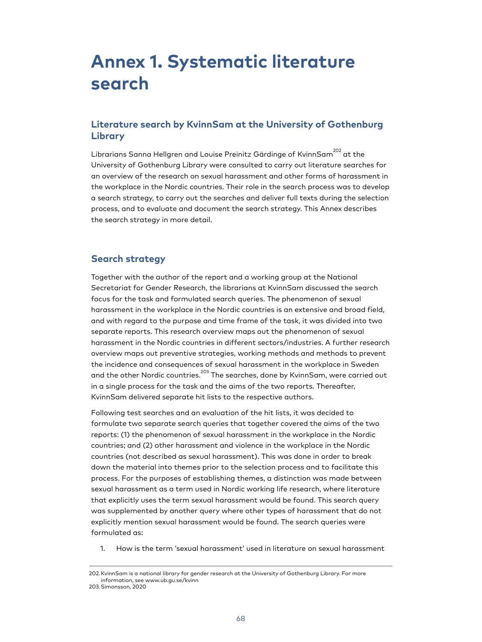# **Annex 1. Systematic literature search**

# **Literature search by KvinnSam at the University of Gothenburg Library**

Librarians Sanna Hellgren and Louise Preinitz Gärdinge of KvinnSam<sup>202</sup> at the University of Gothenburg Library were consulted to carry out literature searches for an overview of the research on sexual harassment and other forms of harassment in the workplace in the Nordic countries. Their role in the search process was to develop a search strategy, to carry out the searches and deliver full texts during the selection process, and to evaluate and document the search strategy. This Annex describes the search strategy in more detail.

# **Search strategy**

Together with the author of the report and a working group at the National Secretariat for Gender Research, the librarians at KvinnSam discussed the search focus for the task and formulated search queries. The phenomenon of sexual harassment in the workplace in the Nordic countries is an extensive and broad field, and with regard to the purpose and time frame of the task, it was divided into two separate reports. This research overview maps out the phenomenon of sexual harassment in the Nordic countries in different sectors/industries. A further research overview maps out preventive strategies, working methods and methods to prevent the incidence and consequences of sexual harassment in the workplace in Sweden and the other Nordic countries.<sup>203</sup> The searches, done by KvinnSam, were carried out in a single process for the task and the aims of the two reports. Thereafter, KvinnSam delivered separate hit lists to the respective authors.

Following test searches and an evaluation of the hit lists, it was decided to formulate two separate search queries that together covered the aims of the two reports: (1) the phenomenon of sexual harassment in the workplace in the Nordic countries; and (2) other harassment and violence in the workplace in the Nordic countries (not described as sexual harassment). This was done in order to break down the material into themes prior to the selection process and to facilitate this process. For the purposes of establishing themes, a distinction was made between sexual harassment as a term used in Nordic working life research, where literature that explicitly uses the term sexual harassment would be found. This search query was supplemented by another query where other types of harassment that do not explicitly mention sexual harassment would be found. The search queries were formulated as:

1. How is the term 'sexual harassment' used in literature on sexual harassment

<sup>202.</sup>KvinnSam is a national library for gender research at the University of Gothenburg Library. For more information, see www.ub.gu.se/kvinn

<sup>203.</sup>Simonsson, 2020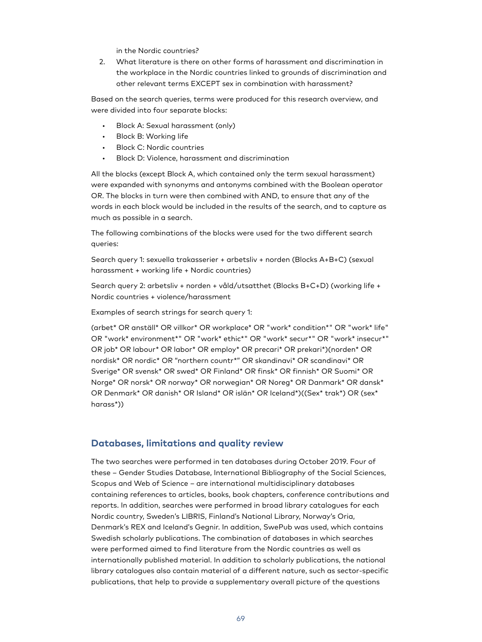in the Nordic countries?

2. What literature is there on other forms of harassment and discrimination in the workplace in the Nordic countries linked to grounds of discrimination and other relevant terms EXCEPT sex in combination with harassment?

Based on the search queries, terms were produced for this research overview, and were divided into four separate blocks:

- Block A: Sexual harassment (only)
- Block B: Working life
- Block C: Nordic countries
- Block D: Violence, harassment and discrimination

All the blocks (except Block A, which contained only the term sexual harassment) were expanded with synonyms and antonyms combined with the Boolean operator OR. The blocks in turn were then combined with AND, to ensure that any of the words in each block would be included in the results of the search, and to capture as much as possible in a search.

The following combinations of the blocks were used for the two different search queries:

Search query 1: sexuella trakasserier + arbetsliv + norden (Blocks A+B+C) (sexual harassment + working life + Nordic countries)

Search query 2: arbetsliv + norden + våld/utsatthet (Blocks B+C+D) (working life + Nordic countries + violence/harassment

Examples of search strings for search query 1:

(arbet\* OR anställ\* OR villkor\* OR workplace\* OR "work\* condition\*" OR "work\* life" OR "work\* environment\*" OR "work\* ethic\*" OR "work\* secur\*" OR "work\* insecur\*" OR job\* OR labour\* OR labor\* OR employ\* OR precari\* OR prekari\*)(norden\* OR nordisk\* OR nordic\* OR "northern countr\*" OR skandinavi\* OR scandinavi\* OR Sverige\* OR svensk\* OR swed\* OR Finland\* OR finsk\* OR finnish\* OR Suomi\* OR Norge\* OR norsk\* OR norway\* OR norwegian\* OR Noreg\* OR Danmark\* OR dansk\* OR Denmark\* OR danish\* OR Island\* OR islän\* OR Iceland\*)((Sex\* trak\*) OR (sex\* harass\*))

# **Databases, limitations and quality review**

The two searches were performed in ten databases during October 2019. Four of these – Gender Studies Database, International Bibliography of the Social Sciences, Scopus and Web of Science – are international multidisciplinary databases containing references to articles, books, book chapters, conference contributions and reports. In addition, searches were performed in broad library catalogues for each Nordic country, Sweden's LIBRIS, Finland's National Library, Norway's Oria, Denmark's REX and Iceland's Gegnir. In addition, SwePub was used, which contains Swedish scholarly publications. The combination of databases in which searches were performed aimed to find literature from the Nordic countries as well as internationally published material. In addition to scholarly publications, the national library catalogues also contain material of a different nature, such as sector-specific publications, that help to provide a supplementary overall picture of the questions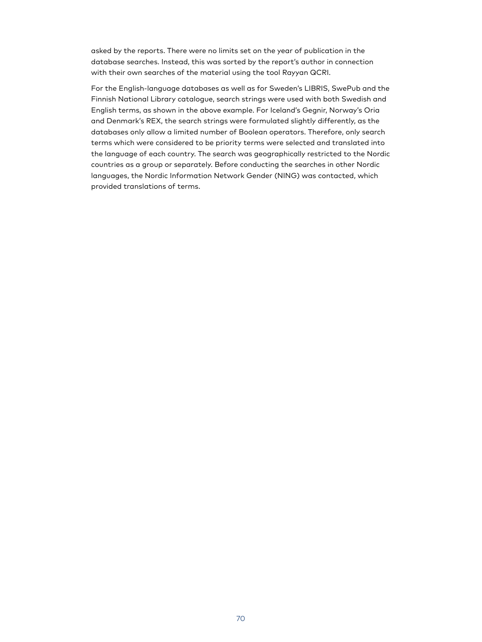asked by the reports. There were no limits set on the year of publication in the database searches. Instead, this was sorted by the report's author in connection with their own searches of the material using the tool Rayyan QCRI.

For the English-language databases as well as for Sweden's LIBRIS, SwePub and the Finnish National Library catalogue, search strings were used with both Swedish and English terms, as shown in the above example. For Iceland's Gegnir, Norway's Oria and Denmark's REX, the search strings were formulated slightly differently, as the databases only allow a limited number of Boolean operators. Therefore, only search terms which were considered to be priority terms were selected and translated into the language of each country. The search was geographically restricted to the Nordic countries as a group or separately. Before conducting the searches in other Nordic languages, the Nordic Information Network Gender (NING) was contacted, which provided translations of terms.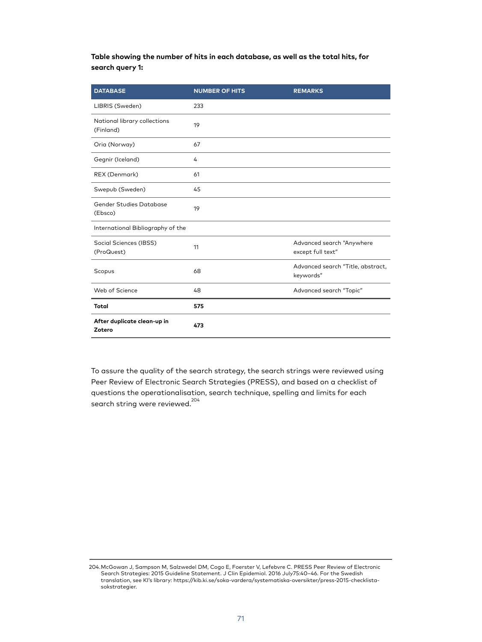**Table showing the number of hits in each database, as well as the total hits, for search query 1:**

| <b>DATABASE</b>                           | <b>NUMBER OF HITS</b> | <b>REMARKS</b>                                 |
|-------------------------------------------|-----------------------|------------------------------------------------|
| LIBRIS (Sweden)                           | 233                   |                                                |
| National library collections<br>(Finland) | 19                    |                                                |
| Oria (Norway)                             | 67                    |                                                |
| Gegnir (Iceland)                          | 4                     |                                                |
| REX (Denmark)                             | 61                    |                                                |
| Swepub (Sweden)                           | 45                    |                                                |
| Gender Studies Database<br>(Ebsco)        | 19                    |                                                |
| International Bibliography of the         |                       |                                                |
| Social Sciences (IBSS)<br>(ProQuest)      | 11                    | Advanced search "Anywhere<br>except full text" |
| Scopus                                    | 68                    | Advanced search "Title, abstract,<br>keywords" |
| Web of Science                            | 48                    | Advanced search "Topic"                        |
| <b>Total</b>                              | 575                   |                                                |
| After duplicate clean-up in<br>Zotero     | 473                   |                                                |

To assure the quality of the search strategy, the search strings were reviewed using Peer Review of Electronic Search Strategies (PRESS), and based on a checklist of questions the operationalisation, search technique, spelling and limits for each search string were reviewed.<sup>204</sup>

<sup>204.</sup>McGowan J, Sampson M, Salzwedel DM, Cogo E, Foerster V, Lefebvre C. PRESS Peer Review of Electronic Search Strategies: 2015 Guideline Statement. J Clin Epidemiol. 2016 July75:40–46. For the Swedish translation, see KI's library: https://kib.ki.se/soka-vardera/systematiska-oversikter/press-2015-checklistasokstrategier.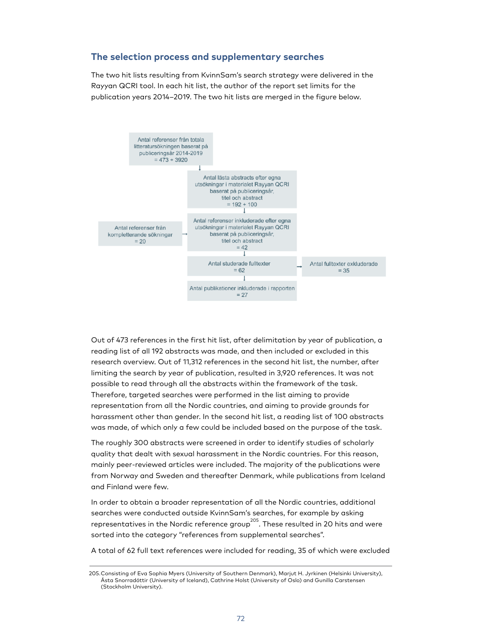# **The selection process and supplementary searches**

The two hit lists resulting from KvinnSam's search strategy were delivered in the Rayyan QCRI tool. In each hit list, the author of the report set limits for the publication years 2014–2019. The two hit lists are merged in the figure below.



Out of 473 references in the first hit list, after delimitation by year of publication, a reading list of all 192 abstracts was made, and then included or excluded in this research overview. Out of 11,312 references in the second hit list, the number, after limiting the search by year of publication, resulted in 3,920 references. It was not possible to read through all the abstracts within the framework of the task. Therefore, targeted searches were performed in the list aiming to provide representation from all the Nordic countries, and aiming to provide grounds for harassment other than gender. In the second hit list, a reading list of 100 abstracts was made, of which only a few could be included based on the purpose of the task.

The roughly 300 abstracts were screened in order to identify studies of scholarly quality that dealt with sexual harassment in the Nordic countries. For this reason, mainly peer-reviewed articles were included. The majority of the publications were from Norway and Sweden and thereafter Denmark, while publications from Iceland and Finland were few.

In order to obtain a broader representation of all the Nordic countries, additional searches were conducted outside KvinnSam's searches, for example by asking representatives in the Nordic reference group $^{205}\!.$  These resulted in 20 hits and were sorted into the category "references from supplemental searches".

A total of 62 full text references were included for reading, 35 of which were excluded

<sup>205.</sup>Consisting of Eva Sophia Myers (University of Southern Denmark), Marjut H. Jyrkinen (Helsinki University), Ásta Snorradóttir (University of Iceland), Cathrine Holst (University of Oslo) and Gunilla Carstensen (Stockholm University).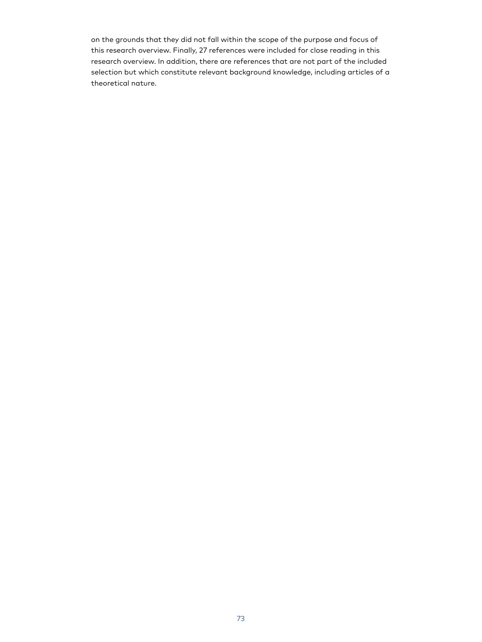on the grounds that they did not fall within the scope of the purpose and focus of this research overview. Finally, 27 references were included for close reading in this research overview. In addition, there are references that are not part of the included selection but which constitute relevant background knowledge, including articles of a theoretical nature.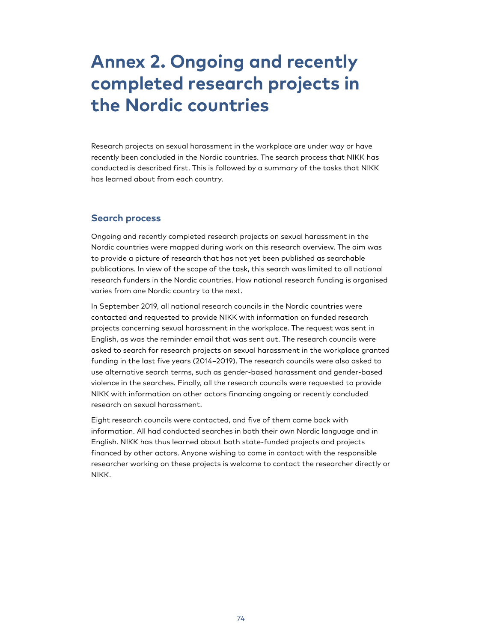# **Annex 2. Ongoing and recently completed research projects in the Nordic countries**

Research projects on sexual harassment in the workplace are under way or have recently been concluded in the Nordic countries. The search process that NIKK has conducted is described first. This is followed by a summary of the tasks that NIKK has learned about from each country.

# **Search process**

Ongoing and recently completed research projects on sexual harassment in the Nordic countries were mapped during work on this research overview. The aim was to provide a picture of research that has not yet been published as searchable publications. In view of the scope of the task, this search was limited to all national research funders in the Nordic countries. How national research funding is organised varies from one Nordic country to the next.

In September 2019, all national research councils in the Nordic countries were contacted and requested to provide NIKK with information on funded research projects concerning sexual harassment in the workplace. The request was sent in English, as was the reminder email that was sent out. The research councils were asked to search for research projects on sexual harassment in the workplace granted funding in the last five years (2014–2019). The research councils were also asked to use alternative search terms, such as gender-based harassment and gender-based violence in the searches. Finally, all the research councils were requested to provide NIKK with information on other actors financing ongoing or recently concluded research on sexual harassment.

Eight research councils were contacted, and five of them came back with information. All had conducted searches in both their own Nordic language and in English. NIKK has thus learned about both state-funded projects and projects financed by other actors. Anyone wishing to come in contact with the responsible researcher working on these projects is welcome to contact the researcher directly or NIKK.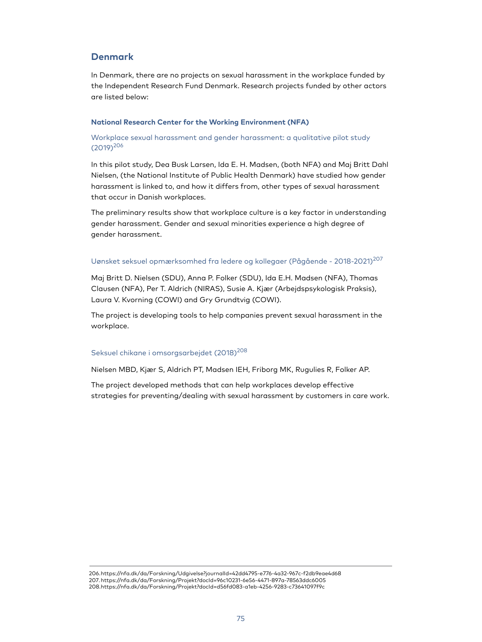# **Denmark**

In Denmark, there are no projects on sexual harassment in the workplace funded by the Independent Research Fund Denmark. Research projects funded by other actors are listed below:

# **National Research Center for the Working Environment (NFA)**

# Workplace sexual harassment and gender harassment: a qualitative pilot study (2019) 206

In this pilot study, Dea Busk Larsen, Ida E. H. Madsen, (both NFA) and Maj Britt Dahl Nielsen, (the National Institute of Public Health Denmark) have studied how gender harassment is linked to, and how it differs from, other types of sexual harassment that occur in Danish workplaces.

The preliminary results show that workplace culture is a key factor in understanding gender harassment. Gender and sexual minorities experience a high degree of gender harassment.

# Uønsket seksuel opmærksomhed fra ledere og kollegaer (Pågående - 2018-2021)<sup>207</sup>

Maj Britt D. Nielsen (SDU), Anna P. Folker (SDU), Ida E.H. Madsen (NFA), Thomas Clausen (NFA), Per T. Aldrich (NIRAS), Susie A. Kjær (Arbejdspsykologisk Praksis), Laura V. Kvorning (COWI) and Gry Grundtvig (COWI).

The project is developing tools to help companies prevent sexual harassment in the workplace.

# Seksuel chikane i omsorgsarbejdet (2018) 208

Nielsen MBD, Kjær S, Aldrich PT, Madsen IEH, Friborg MK, Rugulies R, Folker AP.

The project developed methods that can help workplaces develop effective strategies for preventing/dealing with sexual harassment by customers in care work.

206.https://nfa.dk/da/Forskning/Udgivelse?journalId=42dd4795-e776-4a32-967c-f2db9eae4d68 207.https://nfa.dk/da/Forskning/Projekt?docId=96c10231-6e56-4471-897a-78563ddc6005 208.https://nfa.dk/da/Forskning/Projekt?docId=d56fd083-a1eb-4256-9283-c73641097f9c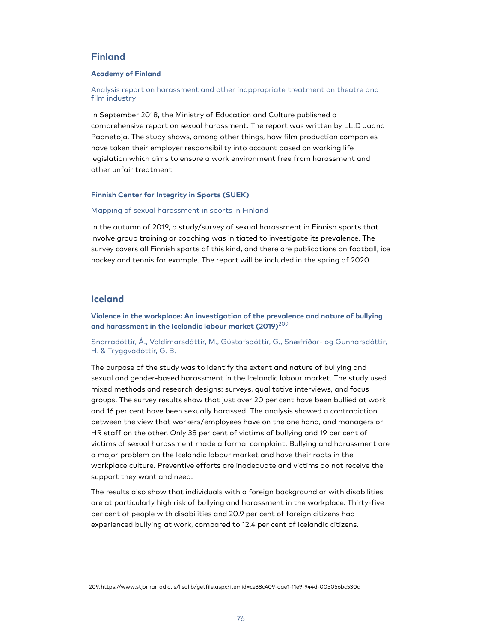# **Finland**

#### **Academy of Finland**

Analysis report on harassment and other inappropriate treatment on theatre and film industry

In September 2018, the Ministry of Education and Culture published a comprehensive report on sexual harassment. The report was written by LL.D Jaana Paanetoja. The study shows, among other things, how film production companies have taken their employer responsibility into account based on working life legislation which aims to ensure a work environment free from harassment and other unfair treatment.

# **Finnish Center for Integrity in Sports (SUEK)**

## Mapping of sexual harassment in sports in Finland

In the autumn of 2019, a study/survey of sexual harassment in Finnish sports that involve group training or coaching was initiated to investigate its prevalence. The survey covers all Finnish sports of this kind, and there are publications on football, ice hockey and tennis for example. The report will be included in the spring of 2020.

# **Iceland**

**Violence in the workplace: An investigation of the prevalence and nature of bullying and harassment in the Icelandic labour market (2019)** 209

Snorradóttir, Á., Valdimarsdóttir, M., Gústafsdóttir, G., Snæfríðar- og Gunnarsdóttir, H. & Tryggvadóttir, G. B.

The purpose of the study was to identify the extent and nature of bullying and sexual and gender-based harassment in the Icelandic labour market. The study used mixed methods and research designs: surveys, qualitative interviews, and focus groups. The survey results show that just over 20 per cent have been bullied at work, and 16 per cent have been sexually harassed. The analysis showed a contradiction between the view that workers/employees have on the one hand, and managers or HR staff on the other. Only 38 per cent of victims of bullying and 19 per cent of victims of sexual harassment made a formal complaint. Bullying and harassment are a major problem on the Icelandic labour market and have their roots in the workplace culture. Preventive efforts are inadequate and victims do not receive the support they want and need.

The results also show that individuals with a foreign background or with disabilities are at particularly high risk of bullying and harassment in the workplace. Thirty-five per cent of people with disabilities and 20.9 per cent of foreign citizens had experienced bullying at work, compared to 12.4 per cent of Icelandic citizens.

<sup>209.</sup>https://www.stjornarradid.is/lisalib/getfile.aspx?itemid=ce38c409-dae1-11e9-944d-005056bc530c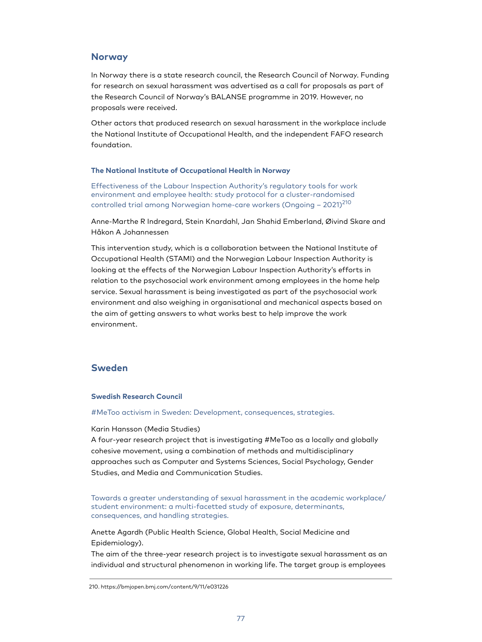# **Norway**

In Norway there is a state research council, the Research Council of Norway. Funding for research on sexual harassment was advertised as a call for proposals as part of the Research Council of Norway's BALANSE programme in 2019. However, no proposals were received.

Other actors that produced research on sexual harassment in the workplace include the National Institute of Occupational Health, and the independent FAFO research foundation.

#### **The National Institute of Occupational Health in Norway**

Effectiveness of the Labour Inspection Authority's regulatory tools for work environment and employee health: study protocol for a cluster-randomised controlled trial among Norwegian home-care workers (Ongoing – 2021) 210

Anne-Marthe R Indregard, Stein Knardahl, Jan Shahid Emberland, Øivind Skare and Håkon A Johannessen

This intervention study, which is a collaboration between the National Institute of Occupational Health (STAMI) and the Norwegian Labour Inspection Authority is looking at the effects of the Norwegian Labour Inspection Authority's efforts in relation to the psychosocial work environment among employees in the home help service. Sexual harassment is being investigated as part of the psychosocial work environment and also weighing in organisational and mechanical aspects based on the aim of getting answers to what works best to help improve the work environment.

# **Sweden**

## **Swedish Research Council**

#MeToo activism in Sweden: Development, consequences, strategies.

#### Karin Hansson (Media Studies)

A four-year research project that is investigating #MeToo as a locally and globally cohesive movement, using a combination of methods and multidisciplinary approaches such as Computer and Systems Sciences, Social Psychology, Gender Studies, and Media and Communication Studies.

Towards a greater understanding of sexual harassment in the academic workplace/ student environment: a multi-facetted study of exposure, determinants, consequences, and handling strategies.

Anette Agardh (Public Health Science, Global Health, Social Medicine and Epidemiology).

The aim of the three-year research project is to investigate sexual harassment as an individual and structural phenomenon in working life. The target group is employees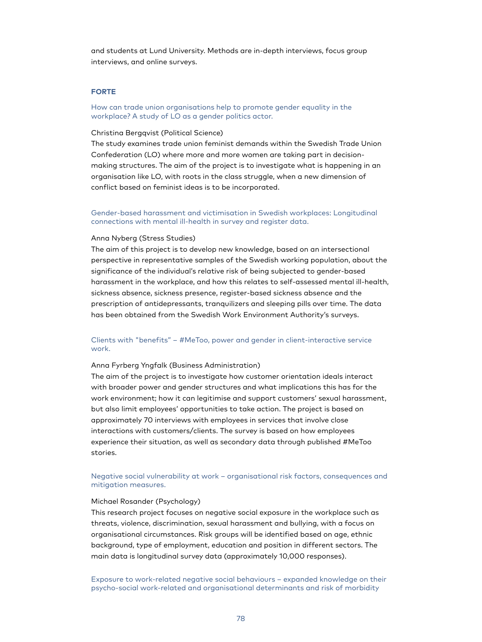and students at Lund University. Methods are in-depth interviews, focus group interviews, and online surveys.

#### **FORTE**

# How can trade union organisations help to promote gender equality in the workplace? A study of LO as a gender politics actor.

#### Christina Bergqvist (Political Science)

The study examines trade union feminist demands within the Swedish Trade Union Confederation (LO) where more and more women are taking part in decisionmaking structures. The aim of the project is to investigate what is happening in an organisation like LO, with roots in the class struggle, when a new dimension of conflict based on feminist ideas is to be incorporated.

# Gender-based harassment and victimisation in Swedish workplaces: Longitudinal connections with mental ill-health in survey and register data.

#### Anna Nyberg (Stress Studies)

The aim of this project is to develop new knowledge, based on an intersectional perspective in representative samples of the Swedish working population, about the significance of the individual's relative risk of being subjected to gender-based harassment in the workplace, and how this relates to self-assessed mental ill-health, sickness absence, sickness presence, register-based sickness absence and the prescription of antidepressants, tranquilizers and sleeping pills over time. The data has been obtained from the Swedish Work Environment Authority's surveys.

# Clients with "benefits" – #MeToo, power and gender in client-interactive service work.

## Anna Fyrberg Yngfalk (Business Administration)

The aim of the project is to investigate how customer orientation ideals interact with broader power and gender structures and what implications this has for the work environment; how it can legitimise and support customers' sexual harassment, but also limit employees' opportunities to take action. The project is based on approximately 70 interviews with employees in services that involve close interactions with customers/clients. The survey is based on how employees experience their situation, as well as secondary data through published #MeToo stories.

# Negative social vulnerability at work – organisational risk factors, consequences and mitigation measures.

## Michael Rosander (Psychology)

This research project focuses on negative social exposure in the workplace such as threats, violence, discrimination, sexual harassment and bullying, with a focus on organisational circumstances. Risk groups will be identified based on age, ethnic background, type of employment, education and position in different sectors. The main data is longitudinal survey data (approximately 10,000 responses).

Exposure to work-related negative social behaviours – expanded knowledge on their psycho-social work-related and organisational determinants and risk of morbidity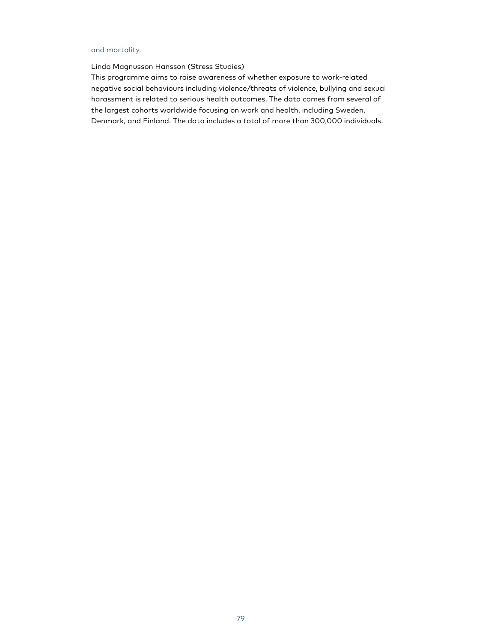# and mortality.

Linda Magnusson Hansson (Stress Studies)

This programme aims to raise awareness of whether exposure to work-related negative social behaviours including violence/threats of violence, bullying and sexual harassment is related to serious health outcomes. The data comes from several of the largest cohorts worldwide focusing on work and health, including Sweden, Denmark, and Finland. The data includes a total of more than 300,000 individuals.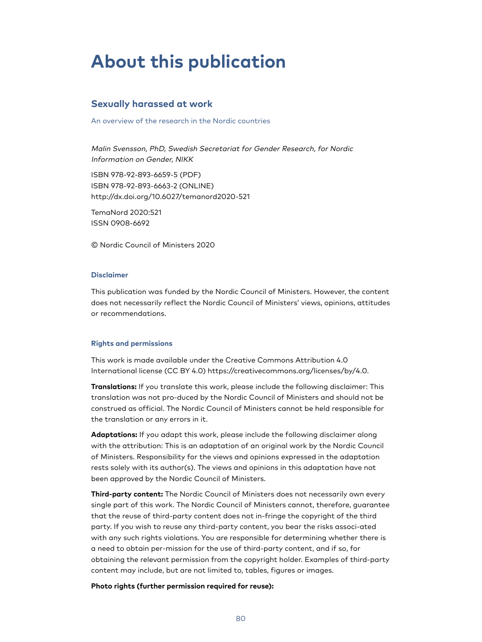# **About this publication**

# **Sexually harassed at work**

An overview of the research in the Nordic countries

Malin Svensson, PhD, Swedish Secretariat for Gender Research, for Nordic Information on Gender, NIKK

ISBN 978-92-893-6659-5 (PDF) ISBN 978-92-893-6663-2 (ONLINE) http://dx.doi.org/10.6027/temanord2020-521

TemaNord 2020:521 ISSN 0908-6692

© Nordic Council of Ministers 2020

#### **Disclaimer**

This publication was funded by the Nordic Council of Ministers. However, the content does not necessarily reflect the Nordic Council of Ministers' views, opinions, attitudes or recommendations.

#### **Rights and permissions**

This work is made available under the Creative Commons Attribution 4.0 International license (CC BY 4.0) https://creativecommons.org/licenses/by/4.0.

**Translations:** If you translate this work, please include the following disclaimer: This translation was not pro-duced by the Nordic Council of Ministers and should not be construed as official. The Nordic Council of Ministers cannot be held responsible for the translation or any errors in it.

**Adaptations:** If you adapt this work, please include the following disclaimer along with the attribution: This is an adaptation of an original work by the Nordic Council of Ministers. Responsibility for the views and opinions expressed in the adaptation rests solely with its author(s). The views and opinions in this adaptation have not been approved by the Nordic Council of Ministers.

**Third-party content:** The Nordic Council of Ministers does not necessarily own every single part of this work. The Nordic Council of Ministers cannot, therefore, guarantee that the reuse of third-party content does not in-fringe the copyright of the third party. If you wish to reuse any third-party content, you bear the risks associ-ated with any such rights violations. You are responsible for determining whether there is a need to obtain per-mission for the use of third-party content, and if so, for obtaining the relevant permission from the copyright holder. Examples of third-party content may include, but are not limited to, tables, figures or images.

#### **Photo rights (further permission required for reuse):**